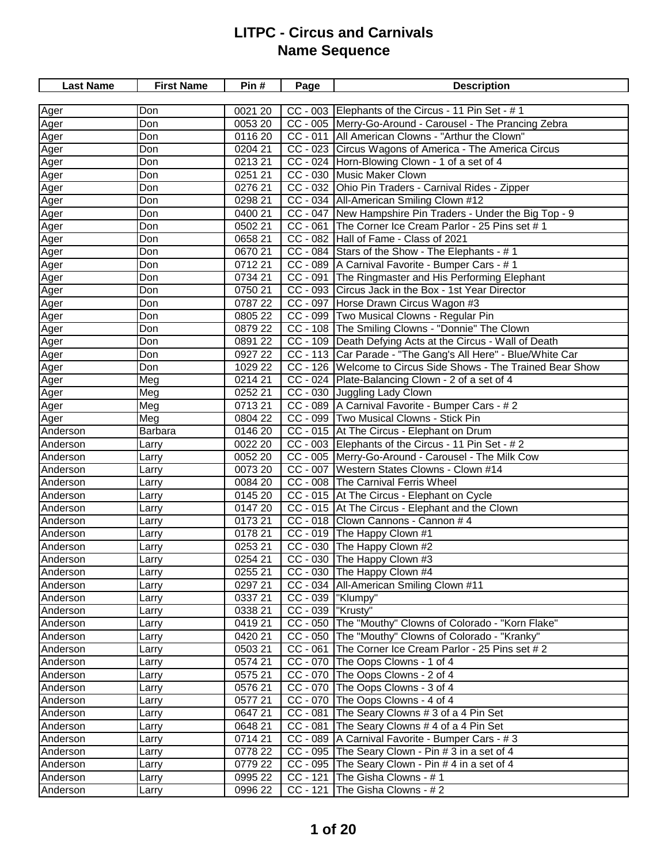| <b>Last Name</b> | <b>First Name</b> | Pin#    | Page               | <b>Description</b>                                            |
|------------------|-------------------|---------|--------------------|---------------------------------------------------------------|
|                  |                   |         |                    |                                                               |
| Ager             | Don               | 0021 20 |                    | CC - 003 Elephants of the Circus - 11 Pin Set - # 1           |
| Ager             | Don               | 0053 20 |                    | CC - 005  Merry-Go-Around - Carousel - The Prancing Zebra     |
| Ager             | Don               | 0116 20 |                    | CC - 011   All American Clowns - "Arthur the Clown"           |
| Ager             | Don               | 0204 21 |                    | CC - 023 Circus Wagons of America - The America Circus        |
| Ager             | Don               | 0213 21 |                    | CC - 024 Horn-Blowing Clown - 1 of a set of 4                 |
| Ager             | Don               | 0251 21 |                    | CC - 030 Music Maker Clown                                    |
| Ager             | Don               | 0276 21 |                    | CC - 032 Ohio Pin Traders - Carnival Rides - Zipper           |
| Ager             | Don               | 0298 21 |                    | CC - 034   All-American Smiling Clown #12                     |
| Ager             | Don               | 0400 21 |                    | CC - 047 New Hampshire Pin Traders - Under the Big Top - 9    |
| Ager             | Don               | 0502 21 |                    | CC - 061 The Corner Ice Cream Parlor - 25 Pins set # 1        |
| Ager             | Don               | 0658 21 |                    | CC - 082 Hall of Fame - Class of 2021                         |
| Ager             | Don               | 0670 21 |                    | CC - 084 Stars of the Show - The Elephants - #1               |
| Ager             | Don               | 071221  |                    | CC - 089   A Carnival Favorite - Bumper Cars - # 1            |
| Ager             | Don               | 0734 21 |                    | CC - 091 The Ringmaster and His Performing Elephant           |
| Ager             | Don               | 0750 21 |                    | CC - 093 Circus Jack in the Box - 1st Year Director           |
| Ager             | Don               | 0787 22 |                    | CC - 097 Horse Drawn Circus Wagon #3                          |
| Ager             | Don               | 0805 22 |                    | CC - 099   Two Musical Clowns - Regular Pin                   |
| Ager             | Don               | 0879 22 |                    | CC - 108 The Smiling Clowns - "Donnie" The Clown              |
| Ager             | Don               | 0891 22 |                    | CC - 109 Death Defying Acts at the Circus - Wall of Death     |
| Ager             | Don               | 0927 22 |                    | CC - 113 Car Parade - "The Gang's All Here" - Blue/White Car  |
| Ager             | Don               | 1029 22 |                    | CC - 126 Welcome to Circus Side Shows - The Trained Bear Show |
| Ager             | Meg               | 0214 21 |                    | CC - 024 Plate-Balancing Clown - 2 of a set of 4              |
| Ager             | Meg               | 0252 21 |                    | CC - 030 Juggling Lady Clown                                  |
| Ager             | Meg               | 071321  |                    | CC - 089   A Carnival Favorite - Bumper Cars - # 2            |
| Ager             | Meg               | 0804 22 |                    | CC - 099   Two Musical Clowns - Stick Pin                     |
| Anderson         | Barbara           | 0146 20 |                    | CC - 015 At The Circus - Elephant on Drum                     |
| Anderson         | Larry             | 0022 20 |                    | CC - 003 Elephants of the Circus - 11 Pin Set - $# 2$         |
| Anderson         | Larry             | 0052 20 |                    | CC - 005   Merry-Go-Around - Carousel - The Milk Cow          |
| Anderson         | Larry             | 0073 20 |                    | CC - 007 Western States Clowns - Clown #14                    |
| Anderson         | Larry             | 0084 20 |                    | CC - 008 The Carnival Ferris Wheel                            |
| Anderson         | Larry             | 0145 20 |                    | CC - 015 At The Circus - Elephant on Cycle                    |
| Anderson         | Larry             | 0147 20 |                    | CC - 015 At The Circus - Elephant and the Clown               |
| Anderson         | Larry             | 017321  |                    | CC - 018 Clown Cannons - Cannon # 4                           |
| Anderson         | Larry             | 0178 21 |                    | CC - 019 The Happy Clown #1                                   |
| Anderson         | Larry             | 0253 21 |                    | CC - 030 The Happy Clown #2                                   |
| Anderson         | Larry             | 0254 21 |                    | CC - 030 The Happy Clown #3                                   |
| Anderson         | Larry             | 0255 21 |                    | CC - 030 The Happy Clown #4                                   |
| Anderson         | Larry             | 0297 21 |                    | CC - 034   All-American Smiling Clown #11                     |
| Anderson         | Larry             | 0337 21 | CC - 039  "Klumpy" |                                                               |
| Anderson         | Larry             | 0338 21 | CC - 039  "Krusty" |                                                               |
| Anderson         | Larry             | 041921  |                    | CC - 050 The "Mouthy" Clowns of Colorado - "Korn Flake"       |
| Anderson         | Larry             | 0420 21 |                    | CC - 050 The "Mouthy" Clowns of Colorado - "Kranky"           |
| Anderson         | Larry             | 0503 21 | $CC - 061$         | The Corner Ice Cream Parlor - 25 Pins set # 2                 |
| Anderson         | Larry             | 0574 21 |                    | CC - 070 The Oops Clowns - 1 of 4                             |
| Anderson         | Larry             | 0575 21 |                    | CC - 070 The Oops Clowns - 2 of 4                             |
| Anderson         | Larry             | 0576 21 |                    | CC - 070 The Oops Clowns - 3 of 4                             |
| Anderson         | Larry             | 0577 21 |                    | CC - 070 The Oops Clowns - 4 of 4                             |
| Anderson         | Larry             | 0647 21 | $CC - 081$         | The Seary Clowns # 3 of a 4 Pin Set                           |
| Anderson         | Larry             | 0648 21 | $CC - 081$         | The Seary Clowns # 4 of a 4 Pin Set                           |
| Anderson         | Larry             | 0714 21 |                    | CC - 089   A Carnival Favorite - Bumper Cars - # 3            |
| Anderson         | Larry             | 0778 22 |                    | CC - 095 The Seary Clown - Pin # 3 in a set of 4              |
| Anderson         | Larry             | 0779 22 |                    | CC - 095 The Seary Clown - Pin # 4 in a set of 4              |
| Anderson         | Larry             | 0995 22 | $CC - 121$         | The Gisha Clowns - # 1                                        |
| Anderson         | Larry             | 0996 22 | $CC - 121$         | The Gisha Clowns - #2                                         |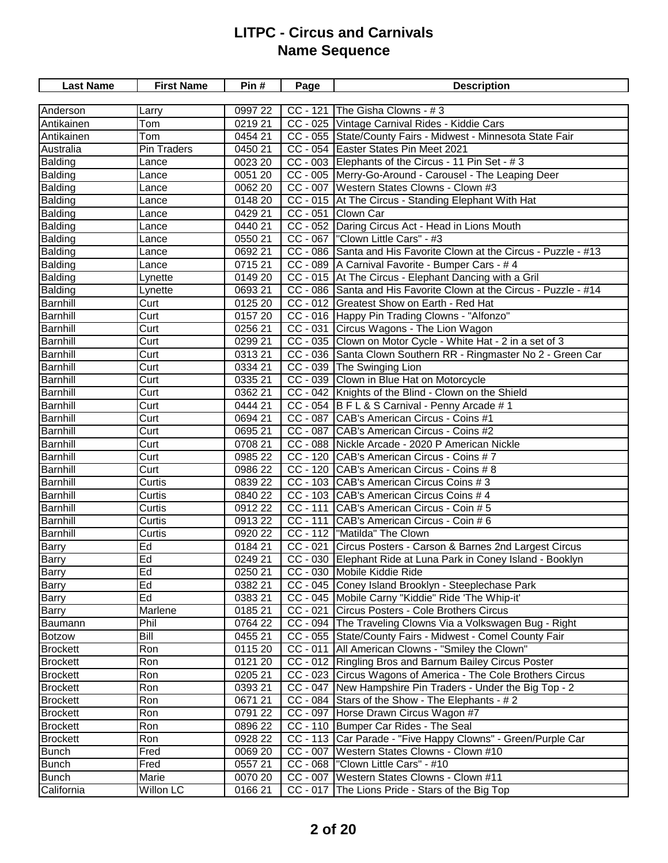| <b>Last Name</b> | <b>First Name</b>        | Pin#    | Page                  | <b>Description</b>                                                 |
|------------------|--------------------------|---------|-----------------------|--------------------------------------------------------------------|
|                  |                          |         |                       |                                                                    |
| Anderson         | Larry                    | 0997 22 | $CC - 121$            | The Gisha Clowns - #3                                              |
| Antikainen       | $\overline{T}$ om        | 021921  |                       | CC - 025 Vintage Carnival Rides - Kiddie Cars                      |
| Antikainen       | Tom                      | 0454 21 |                       | CC - 055 State/County Fairs - Midwest - Minnesota State Fair       |
| Australia        | Pin Traders              | 0450 21 |                       | CC - 054 Easter States Pin Meet 2021                               |
| Balding          | Lance                    | 0023 20 |                       | CC - 003 Elephants of the Circus - 11 Pin Set - #3                 |
| Balding          | Lance                    | 0051 20 |                       | CC - 005 Merry-Go-Around - Carousel - The Leaping Deer             |
| Balding          | Lance                    | 0062 20 |                       | CC - 007 Western States Clowns - Clown #3                          |
| Balding          | Lance                    | 0148 20 |                       | CC - 015 At The Circus - Standing Elephant With Hat                |
| Balding          | Lance                    | 0429 21 | $\overline{CC}$ - 051 | Clown Car                                                          |
| Balding          | Lance                    | 0440 21 |                       | CC - 052 Daring Circus Act - Head in Lions Mouth                   |
| Balding          | Lance                    | 0550 21 |                       | CC - 067   "Clown Little Cars" - #3                                |
| Balding          | Lance                    | 069221  |                       | CC - 086 Santa and His Favorite Clown at the Circus - Puzzle - #13 |
| Balding          | Lance                    | 0715 21 |                       | CC - 089 A Carnival Favorite - Bumper Cars - # 4                   |
| Balding          | Lynette                  | 0149 20 |                       | CC - 015 At The Circus - Elephant Dancing with a Gril              |
| Balding          | Lynette                  | 0693 21 |                       | CC - 086 Santa and His Favorite Clown at the Circus - Puzzle - #14 |
| <b>Barnhill</b>  | Curt                     | 0125 20 |                       | CC - 012 Greatest Show on Earth - Red Hat                          |
| <b>Barnhill</b>  | Curt                     | 0157 20 |                       | CC - 016 Happy Pin Trading Clowns - "Alfonzo"                      |
| Barnhill         | Curt                     | 0256 21 |                       | CC - 031 Circus Wagons - The Lion Wagon                            |
| <b>Barnhill</b>  | Curt                     | 0299 21 |                       | CC - 035 Clown on Motor Cycle - White Hat - 2 in a set of 3        |
| <b>Barnhill</b>  | Curt                     | 031321  |                       | CC - 036 Santa Clown Southern RR - Ringmaster No 2 - Green Car     |
| <b>Barnhill</b>  | $\overline{\text{Curt}}$ | 0334 21 |                       | CC - 039 The Swinging Lion                                         |
| <b>Barnhill</b>  | Curt                     | 0335 21 |                       | CC - 039 Clown in Blue Hat on Motorcycle                           |
| <b>Barnhill</b>  | Curt                     | 0362 21 |                       | CC - 042 Knights of the Blind - Clown on the Shield                |
| <b>Barnhill</b>  | Curt                     | 0444 21 |                       | CC - 054 B F L & S Carnival - Penny Arcade # 1                     |
| <b>Barnhill</b>  | Curt                     | 0694 21 |                       | CC - 087 CAB's American Circus - Coins #1                          |
| <b>Barnhill</b>  | $\overline{\text{Curt}}$ | 0695 21 | $CC - 087$            | CAB's American Circus - Coins #2                                   |
| <b>Barnhill</b>  | Curt                     | 0708 21 |                       | CC - 088 Nickle Arcade - 2020 P American Nickle                    |
| <b>Barnhill</b>  | Curt                     | 0985 22 | CC - 120              | CAB's American Circus - Coins # 7                                  |
| <b>Barnhill</b>  | Curt                     | 0986 22 |                       | CC - 120 CAB's American Circus - Coins # 8                         |
| <b>Barnhill</b>  | Curtis                   | 0839 22 |                       | CC - 103 CAB's American Circus Coins # 3                           |
| <b>Barnhill</b>  | Curtis                   | 0840 22 |                       | CC - 103 CAB's American Circus Coins # 4                           |
| <b>Barnhill</b>  | Curtis                   | 091222  |                       | CC - 111 CAB's American Circus - Coin # 5                          |
| <b>Barnhill</b>  | Curtis                   | 0913 22 | $\overline{CC}$ - 111 | CAB's American Circus - Coin # 6                                   |
| <b>Barnhill</b>  | Curtis                   | 0920 22 |                       | CC - 112  "Matilda" The Clown                                      |
| <b>Barry</b>     | Ed                       | 0184 21 | $CC - 021$            | Circus Posters - Carson & Barnes 2nd Largest Circus                |
| Barry            | Ed                       | 0249 21 |                       | CC - 030 Elephant Ride at Luna Park in Coney Island - Booklyn      |
| Barry            | Ed                       | 0250 21 |                       | CC - 030 Mobile Kiddie Ride                                        |
| Barry            | Ed                       | 0382 21 |                       | CC - 045 Coney Island Brooklyn - Steeplechase Park                 |
| <b>Barry</b>     | Ed                       | 0383 21 |                       | CC - 045 Mobile Carny "Kiddie" Ride 'The Whip-it'                  |
| Barry            | Marlene                  | 018521  |                       | CC - 021 Circus Posters - Cole Brothers Circus                     |
| Baumann          | Phil                     | 0764 22 |                       | CC - 094 The Traveling Clowns Via a Volkswagen Bug - Right         |
| <b>Botzow</b>    | Bill                     | 0455 21 |                       | CC - 055 State/County Fairs - Midwest - Comel County Fair          |
| <b>Brockett</b>  | Ron                      | 0115 20 |                       | CC - 011   All American Clowns - "Smiley the Clown"                |
| <b>Brockett</b>  | Ron                      | 0121 20 |                       | CC - 012 Ringling Bros and Barnum Bailey Circus Poster             |
| <b>Brockett</b>  | Ron                      | 0205 21 |                       | CC - 023 Circus Wagons of America - The Cole Brothers Circus       |
| <b>Brockett</b>  | Ron                      | 0393 21 |                       | CC - 047   New Hampshire Pin Traders - Under the Big Top - 2       |
| <b>Brockett</b>  | Ron                      | 067121  |                       | CC - 084 Stars of the Show - The Elephants - #2                    |
| <b>Brockett</b>  | Ron                      | 0791 22 |                       | CC - 097 Horse Drawn Circus Wagon #7                               |
| <b>Brockett</b>  | Ron                      | 0896 22 |                       | CC - 110   Bumper Car Rides - The Seal                             |
| <b>Brockett</b>  | Ron                      | 0928 22 |                       | CC - 113 Car Parade - "Five Happy Clowns" - Green/Purple Car       |
| <b>Bunch</b>     | Fred                     | 0069 20 |                       | CC - 007 Western States Clowns - Clown #10                         |
| <b>Bunch</b>     | Fred                     | 0557 21 |                       | $CC - 068$  "Clown Little Cars" - #10                              |
| <b>Bunch</b>     | Marie                    | 0070 20 |                       | CC - 007   Western States Clowns - Clown #11                       |
| California       | <b>Willon LC</b>         | 016621  |                       | CC - 017 The Lions Pride - Stars of the Big Top                    |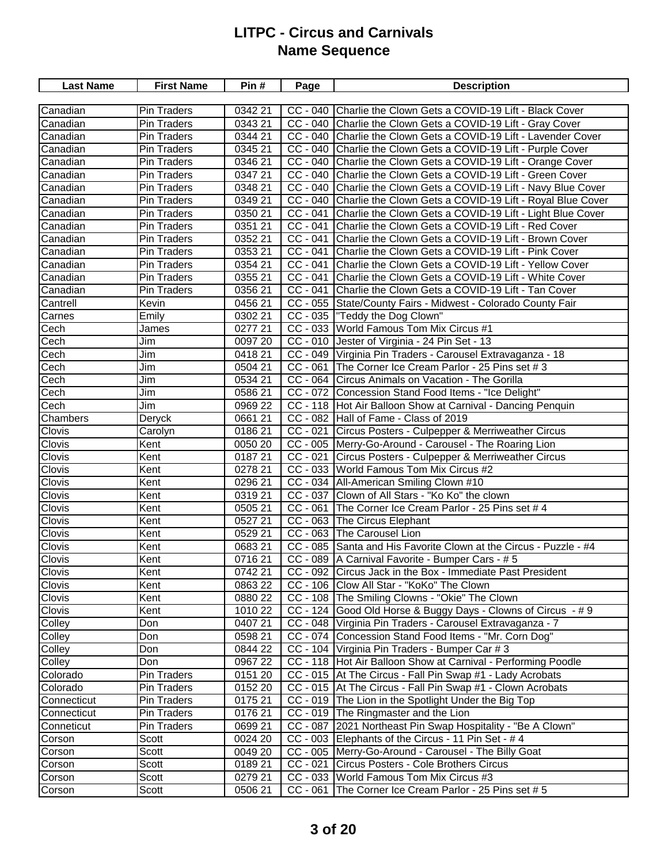| CC - 040 Charlie the Clown Gets a COVID-19 Lift - Black Cover<br>Canadian<br><b>Pin Traders</b><br>0342 21<br>0343 21<br>Canadian<br>Pin Traders<br>CC - 040 Charlie the Clown Gets a COVID-19 Lift - Gray Cover<br>0344 21<br>CC - 040 Charlie the Clown Gets a COVID-19 Lift - Lavender Cover<br>Canadian<br>Pin Traders<br>034521<br>CC - 040 Charlie the Clown Gets a COVID-19 Lift - Purple Cover<br>Pin Traders<br>Canadian<br>CC - 040 Charlie the Clown Gets a COVID-19 Lift - Orange Cover<br>Pin Traders<br>0346 21<br>Canadian<br>CC - 040 Charlie the Clown Gets a COVID-19 Lift - Green Cover<br>0347 21<br>Canadian<br><b>Pin Traders</b><br>CC - 040 Charlie the Clown Gets a COVID-19 Lift - Navy Blue Cover<br>0348 21<br>Canadian<br><b>Pin Traders</b><br>CC - 040 Charlie the Clown Gets a COVID-19 Lift - Royal Blue Cover<br>0349 21<br>Canadian<br>Pin Traders<br>CC - 041 Charlie the Clown Gets a COVID-19 Lift - Light Blue Cover<br>0350 21<br><b>Pin Traders</b><br>Canadian<br>CC - 041 Charlie the Clown Gets a COVID-19 Lift - Red Cover<br>0351 21<br>Canadian<br><b>Pin Traders</b><br>CC - 041 Charlie the Clown Gets a COVID-19 Lift - Brown Cover<br>Canadian<br>Pin Traders<br>0352 21<br>CC - 041 Charlie the Clown Gets a COVID-19 Lift - Pink Cover<br>Pin Traders<br>035321<br>Canadian<br>CC - 041 Charlie the Clown Gets a COVID-19 Lift - Yellow Cover<br>0354 21<br>Canadian<br><b>Pin Traders</b><br>CC - 041 Charlie the Clown Gets a COVID-19 Lift - White Cover<br>Canadian<br><b>Pin Traders</b><br>0355 21<br>0356 21<br>CC - 041 Charlie the Clown Gets a COVID-19 Lift - Tan Cover<br>Canadian<br><b>Pin Traders</b><br>CC - 055 State/County Fairs - Midwest - Colorado County Fair<br>Cantrell<br>0456 21<br>Kevin<br>Carnes<br>CC - 035  "Teddy the Dog Clown"<br>Emily<br>0302 21<br>CC - 033 World Famous Tom Mix Circus #1<br>Cech<br>0277 21<br>James<br>Cech<br>CC - 010 Jester of Virginia - 24 Pin Set - 13<br>Jim<br>0097 20<br>Jim<br>041821<br>CC - 049 Virginia Pin Traders - Carousel Extravaganza - 18<br>Cech<br>Cech<br>Jim<br>$CC - 061$<br>The Corner Ice Cream Parlor - 25 Pins set # 3<br>0504 21<br>Cech<br>Jim<br>0534 21<br>CC - 064<br>Circus Animals on Vacation - The Gorilla<br>Cech<br>Jim<br>CC - 072 Concession Stand Food Items - "Ice Delight"<br>0586 21<br>Cech<br>Jim<br>CC - 118 Hot Air Balloon Show at Carnival - Dancing Penquin<br>0969 22<br>CC - 082 Hall of Fame - Class of 2019<br>Chambers<br>Deryck<br>0661 21<br>CC - 021 Circus Posters - Culpepper & Merriweather Circus<br>Clovis<br>018621<br>Carolyn<br>Clovis<br>CC - 005   Merry-Go-Around - Carousel - The Roaring Lion<br>0050 20<br>Kent<br>Clovis<br>Kent<br>018721<br>CC - 021 Circus Posters - Culpepper & Merriweather Circus<br>Clovis<br>CC - 033 World Famous Tom Mix Circus #2<br>0278 21<br>Kent<br>Clovis<br>CC - 034 All-American Smiling Clown #10<br>Kent<br>0296 21<br>Clovis<br>CC - 037 Clown of All Stars - "Ko Ko" the clown<br>031921<br>Kent<br>CC - 061 The Corner Ice Cream Parlor - 25 Pins set # 4<br><b>Clovis</b><br>0505 21<br>Kent<br>CC - 063 The Circus Elephant<br>Clovis<br>Kent<br>0527 21<br>$CC - 063$<br>The Carousel Lion<br>Clovis<br>Kent<br>0529 21<br>CC - 085 Santa and His Favorite Clown at the Circus - Puzzle - #4<br>Clovis<br>Kent<br>068321<br>Clovis<br>071621<br>CC - 089   A Carnival Favorite - Bumper Cars - # 5<br>Kent<br>0742 21<br>CC - 092 Circus Jack in the Box - Immediate Past President<br>Clovis<br>Kent<br>Clovis<br>Kent<br>CC - 106 Clow All Star - "KoKo" The Clown<br>0863 22<br><b>Clovis</b><br>CC - 108 The Smiling Clowns - "Okie" The Clown<br>0880 22<br>Kent<br>CC - 124 Good Old Horse & Buggy Days - Clowns of Circus - # 9<br>Clovis<br>1010 22<br>Kent<br>CC - 048 Virginia Pin Traders - Carousel Extravaganza - 7<br>Colley<br>0407 21<br>Don<br>Colley<br>0598 21<br>CC - 074 Concession Stand Food Items - "Mr. Corn Dog"<br>Don<br>CC - 104   Virginia Pin Traders - Bumper Car # 3<br>Colley<br>Don<br>0844 22<br>0967 22<br>CC - 118   Hot Air Balloon Show at Carnival - Performing Poodle<br>Colley<br>Don<br>Pin Traders<br>0151 20<br>CC - 015 At The Circus - Fall Pin Swap #1 - Lady Acrobats<br>Colorado<br>CC - 015 At The Circus - Fall Pin Swap #1 - Clown Acrobats<br>0152 20<br>Colorado<br>Pin Traders<br>Pin Traders<br>0175 21<br>CC - 019 The Lion in the Spotlight Under the Big Top<br>Connecticut<br>CC - 019   The Ringmaster and the Lion<br>Connecticut<br>Pin Traders<br>0176 21<br>CC - 087 2021 Northeast Pin Swap Hospitality - "Be A Clown"<br>Pin Traders<br>0699 21<br>Conneticut<br>CC - 003 Elephants of the Circus - 11 Pin Set - $# 4$<br>Corson<br>Scott<br>0024 20<br>Corson<br>Scott<br>CC - 005   Merry-Go-Around - Carousel - The Billy Goat<br>0049 20<br>CC - 021 Circus Posters - Cole Brothers Circus<br>018921<br>Corson<br>Scott<br>CC - 033 World Famous Tom Mix Circus #3<br>Corson<br>Scott<br>0279 21 | <b>Last Name</b> | <b>First Name</b> | Pin#    | Page       | <b>Description</b>                            |
|---------------------------------------------------------------------------------------------------------------------------------------------------------------------------------------------------------------------------------------------------------------------------------------------------------------------------------------------------------------------------------------------------------------------------------------------------------------------------------------------------------------------------------------------------------------------------------------------------------------------------------------------------------------------------------------------------------------------------------------------------------------------------------------------------------------------------------------------------------------------------------------------------------------------------------------------------------------------------------------------------------------------------------------------------------------------------------------------------------------------------------------------------------------------------------------------------------------------------------------------------------------------------------------------------------------------------------------------------------------------------------------------------------------------------------------------------------------------------------------------------------------------------------------------------------------------------------------------------------------------------------------------------------------------------------------------------------------------------------------------------------------------------------------------------------------------------------------------------------------------------------------------------------------------------------------------------------------------------------------------------------------------------------------------------------------------------------------------------------------------------------------------------------------------------------------------------------------------------------------------------------------------------------------------------------------------------------------------------------------------------------------------------------------------------------------------------------------------------------------------------------------------------------------------------------------------------------------------------------------------------------------------------------------------------------------------------------------------------------------------------------------------------------------------------------------------------------------------------------------------------------------------------------------------------------------------------------------------------------------------------------------------------------------------------------------------------------------------------------------------------------------------------------------------------------------------------------------------------------------------------------------------------------------------------------------------------------------------------------------------------------------------------------------------------------------------------------------------------------------------------------------------------------------------------------------------------------------------------------------------------------------------------------------------------------------------------------------------------------------------------------------------------------------------------------------------------------------------------------------------------------------------------------------------------------------------------------------------------------------------------------------------------------------------------------------------------------------------------------------------------------------------------------------------------------------------------------------------------------------------------------------------------------------------------------------------------------------------------------------------------------------------------------------------------------------------------------------------------------------------------------------------------------------------------------------------------------------------------------------------------------------------------------------------------------------------------------------------------------------------------------------------------------------------------------------------------------------------------------------------------------------------------------------------------------------------------------------------------------------------------------------|------------------|-------------------|---------|------------|-----------------------------------------------|
|                                                                                                                                                                                                                                                                                                                                                                                                                                                                                                                                                                                                                                                                                                                                                                                                                                                                                                                                                                                                                                                                                                                                                                                                                                                                                                                                                                                                                                                                                                                                                                                                                                                                                                                                                                                                                                                                                                                                                                                                                                                                                                                                                                                                                                                                                                                                                                                                                                                                                                                                                                                                                                                                                                                                                                                                                                                                                                                                                                                                                                                                                                                                                                                                                                                                                                                                                                                                                                                                                                                                                                                                                                                                                                                                                                                                                                                                                                                                                                                                                                                                                                                                                                                                                                                                                                                                                                                                                                                                                                                                                                                                                                                                                                                                                                                                                                                                                                                                                                                                               |                  |                   |         |            |                                               |
|                                                                                                                                                                                                                                                                                                                                                                                                                                                                                                                                                                                                                                                                                                                                                                                                                                                                                                                                                                                                                                                                                                                                                                                                                                                                                                                                                                                                                                                                                                                                                                                                                                                                                                                                                                                                                                                                                                                                                                                                                                                                                                                                                                                                                                                                                                                                                                                                                                                                                                                                                                                                                                                                                                                                                                                                                                                                                                                                                                                                                                                                                                                                                                                                                                                                                                                                                                                                                                                                                                                                                                                                                                                                                                                                                                                                                                                                                                                                                                                                                                                                                                                                                                                                                                                                                                                                                                                                                                                                                                                                                                                                                                                                                                                                                                                                                                                                                                                                                                                                               |                  |                   |         |            |                                               |
|                                                                                                                                                                                                                                                                                                                                                                                                                                                                                                                                                                                                                                                                                                                                                                                                                                                                                                                                                                                                                                                                                                                                                                                                                                                                                                                                                                                                                                                                                                                                                                                                                                                                                                                                                                                                                                                                                                                                                                                                                                                                                                                                                                                                                                                                                                                                                                                                                                                                                                                                                                                                                                                                                                                                                                                                                                                                                                                                                                                                                                                                                                                                                                                                                                                                                                                                                                                                                                                                                                                                                                                                                                                                                                                                                                                                                                                                                                                                                                                                                                                                                                                                                                                                                                                                                                                                                                                                                                                                                                                                                                                                                                                                                                                                                                                                                                                                                                                                                                                                               |                  |                   |         |            |                                               |
|                                                                                                                                                                                                                                                                                                                                                                                                                                                                                                                                                                                                                                                                                                                                                                                                                                                                                                                                                                                                                                                                                                                                                                                                                                                                                                                                                                                                                                                                                                                                                                                                                                                                                                                                                                                                                                                                                                                                                                                                                                                                                                                                                                                                                                                                                                                                                                                                                                                                                                                                                                                                                                                                                                                                                                                                                                                                                                                                                                                                                                                                                                                                                                                                                                                                                                                                                                                                                                                                                                                                                                                                                                                                                                                                                                                                                                                                                                                                                                                                                                                                                                                                                                                                                                                                                                                                                                                                                                                                                                                                                                                                                                                                                                                                                                                                                                                                                                                                                                                                               |                  |                   |         |            |                                               |
|                                                                                                                                                                                                                                                                                                                                                                                                                                                                                                                                                                                                                                                                                                                                                                                                                                                                                                                                                                                                                                                                                                                                                                                                                                                                                                                                                                                                                                                                                                                                                                                                                                                                                                                                                                                                                                                                                                                                                                                                                                                                                                                                                                                                                                                                                                                                                                                                                                                                                                                                                                                                                                                                                                                                                                                                                                                                                                                                                                                                                                                                                                                                                                                                                                                                                                                                                                                                                                                                                                                                                                                                                                                                                                                                                                                                                                                                                                                                                                                                                                                                                                                                                                                                                                                                                                                                                                                                                                                                                                                                                                                                                                                                                                                                                                                                                                                                                                                                                                                                               |                  |                   |         |            |                                               |
|                                                                                                                                                                                                                                                                                                                                                                                                                                                                                                                                                                                                                                                                                                                                                                                                                                                                                                                                                                                                                                                                                                                                                                                                                                                                                                                                                                                                                                                                                                                                                                                                                                                                                                                                                                                                                                                                                                                                                                                                                                                                                                                                                                                                                                                                                                                                                                                                                                                                                                                                                                                                                                                                                                                                                                                                                                                                                                                                                                                                                                                                                                                                                                                                                                                                                                                                                                                                                                                                                                                                                                                                                                                                                                                                                                                                                                                                                                                                                                                                                                                                                                                                                                                                                                                                                                                                                                                                                                                                                                                                                                                                                                                                                                                                                                                                                                                                                                                                                                                                               |                  |                   |         |            |                                               |
|                                                                                                                                                                                                                                                                                                                                                                                                                                                                                                                                                                                                                                                                                                                                                                                                                                                                                                                                                                                                                                                                                                                                                                                                                                                                                                                                                                                                                                                                                                                                                                                                                                                                                                                                                                                                                                                                                                                                                                                                                                                                                                                                                                                                                                                                                                                                                                                                                                                                                                                                                                                                                                                                                                                                                                                                                                                                                                                                                                                                                                                                                                                                                                                                                                                                                                                                                                                                                                                                                                                                                                                                                                                                                                                                                                                                                                                                                                                                                                                                                                                                                                                                                                                                                                                                                                                                                                                                                                                                                                                                                                                                                                                                                                                                                                                                                                                                                                                                                                                                               |                  |                   |         |            |                                               |
|                                                                                                                                                                                                                                                                                                                                                                                                                                                                                                                                                                                                                                                                                                                                                                                                                                                                                                                                                                                                                                                                                                                                                                                                                                                                                                                                                                                                                                                                                                                                                                                                                                                                                                                                                                                                                                                                                                                                                                                                                                                                                                                                                                                                                                                                                                                                                                                                                                                                                                                                                                                                                                                                                                                                                                                                                                                                                                                                                                                                                                                                                                                                                                                                                                                                                                                                                                                                                                                                                                                                                                                                                                                                                                                                                                                                                                                                                                                                                                                                                                                                                                                                                                                                                                                                                                                                                                                                                                                                                                                                                                                                                                                                                                                                                                                                                                                                                                                                                                                                               |                  |                   |         |            |                                               |
|                                                                                                                                                                                                                                                                                                                                                                                                                                                                                                                                                                                                                                                                                                                                                                                                                                                                                                                                                                                                                                                                                                                                                                                                                                                                                                                                                                                                                                                                                                                                                                                                                                                                                                                                                                                                                                                                                                                                                                                                                                                                                                                                                                                                                                                                                                                                                                                                                                                                                                                                                                                                                                                                                                                                                                                                                                                                                                                                                                                                                                                                                                                                                                                                                                                                                                                                                                                                                                                                                                                                                                                                                                                                                                                                                                                                                                                                                                                                                                                                                                                                                                                                                                                                                                                                                                                                                                                                                                                                                                                                                                                                                                                                                                                                                                                                                                                                                                                                                                                                               |                  |                   |         |            |                                               |
|                                                                                                                                                                                                                                                                                                                                                                                                                                                                                                                                                                                                                                                                                                                                                                                                                                                                                                                                                                                                                                                                                                                                                                                                                                                                                                                                                                                                                                                                                                                                                                                                                                                                                                                                                                                                                                                                                                                                                                                                                                                                                                                                                                                                                                                                                                                                                                                                                                                                                                                                                                                                                                                                                                                                                                                                                                                                                                                                                                                                                                                                                                                                                                                                                                                                                                                                                                                                                                                                                                                                                                                                                                                                                                                                                                                                                                                                                                                                                                                                                                                                                                                                                                                                                                                                                                                                                                                                                                                                                                                                                                                                                                                                                                                                                                                                                                                                                                                                                                                                               |                  |                   |         |            |                                               |
|                                                                                                                                                                                                                                                                                                                                                                                                                                                                                                                                                                                                                                                                                                                                                                                                                                                                                                                                                                                                                                                                                                                                                                                                                                                                                                                                                                                                                                                                                                                                                                                                                                                                                                                                                                                                                                                                                                                                                                                                                                                                                                                                                                                                                                                                                                                                                                                                                                                                                                                                                                                                                                                                                                                                                                                                                                                                                                                                                                                                                                                                                                                                                                                                                                                                                                                                                                                                                                                                                                                                                                                                                                                                                                                                                                                                                                                                                                                                                                                                                                                                                                                                                                                                                                                                                                                                                                                                                                                                                                                                                                                                                                                                                                                                                                                                                                                                                                                                                                                                               |                  |                   |         |            |                                               |
|                                                                                                                                                                                                                                                                                                                                                                                                                                                                                                                                                                                                                                                                                                                                                                                                                                                                                                                                                                                                                                                                                                                                                                                                                                                                                                                                                                                                                                                                                                                                                                                                                                                                                                                                                                                                                                                                                                                                                                                                                                                                                                                                                                                                                                                                                                                                                                                                                                                                                                                                                                                                                                                                                                                                                                                                                                                                                                                                                                                                                                                                                                                                                                                                                                                                                                                                                                                                                                                                                                                                                                                                                                                                                                                                                                                                                                                                                                                                                                                                                                                                                                                                                                                                                                                                                                                                                                                                                                                                                                                                                                                                                                                                                                                                                                                                                                                                                                                                                                                                               |                  |                   |         |            |                                               |
|                                                                                                                                                                                                                                                                                                                                                                                                                                                                                                                                                                                                                                                                                                                                                                                                                                                                                                                                                                                                                                                                                                                                                                                                                                                                                                                                                                                                                                                                                                                                                                                                                                                                                                                                                                                                                                                                                                                                                                                                                                                                                                                                                                                                                                                                                                                                                                                                                                                                                                                                                                                                                                                                                                                                                                                                                                                                                                                                                                                                                                                                                                                                                                                                                                                                                                                                                                                                                                                                                                                                                                                                                                                                                                                                                                                                                                                                                                                                                                                                                                                                                                                                                                                                                                                                                                                                                                                                                                                                                                                                                                                                                                                                                                                                                                                                                                                                                                                                                                                                               |                  |                   |         |            |                                               |
|                                                                                                                                                                                                                                                                                                                                                                                                                                                                                                                                                                                                                                                                                                                                                                                                                                                                                                                                                                                                                                                                                                                                                                                                                                                                                                                                                                                                                                                                                                                                                                                                                                                                                                                                                                                                                                                                                                                                                                                                                                                                                                                                                                                                                                                                                                                                                                                                                                                                                                                                                                                                                                                                                                                                                                                                                                                                                                                                                                                                                                                                                                                                                                                                                                                                                                                                                                                                                                                                                                                                                                                                                                                                                                                                                                                                                                                                                                                                                                                                                                                                                                                                                                                                                                                                                                                                                                                                                                                                                                                                                                                                                                                                                                                                                                                                                                                                                                                                                                                                               |                  |                   |         |            |                                               |
|                                                                                                                                                                                                                                                                                                                                                                                                                                                                                                                                                                                                                                                                                                                                                                                                                                                                                                                                                                                                                                                                                                                                                                                                                                                                                                                                                                                                                                                                                                                                                                                                                                                                                                                                                                                                                                                                                                                                                                                                                                                                                                                                                                                                                                                                                                                                                                                                                                                                                                                                                                                                                                                                                                                                                                                                                                                                                                                                                                                                                                                                                                                                                                                                                                                                                                                                                                                                                                                                                                                                                                                                                                                                                                                                                                                                                                                                                                                                                                                                                                                                                                                                                                                                                                                                                                                                                                                                                                                                                                                                                                                                                                                                                                                                                                                                                                                                                                                                                                                                               |                  |                   |         |            |                                               |
|                                                                                                                                                                                                                                                                                                                                                                                                                                                                                                                                                                                                                                                                                                                                                                                                                                                                                                                                                                                                                                                                                                                                                                                                                                                                                                                                                                                                                                                                                                                                                                                                                                                                                                                                                                                                                                                                                                                                                                                                                                                                                                                                                                                                                                                                                                                                                                                                                                                                                                                                                                                                                                                                                                                                                                                                                                                                                                                                                                                                                                                                                                                                                                                                                                                                                                                                                                                                                                                                                                                                                                                                                                                                                                                                                                                                                                                                                                                                                                                                                                                                                                                                                                                                                                                                                                                                                                                                                                                                                                                                                                                                                                                                                                                                                                                                                                                                                                                                                                                                               |                  |                   |         |            |                                               |
|                                                                                                                                                                                                                                                                                                                                                                                                                                                                                                                                                                                                                                                                                                                                                                                                                                                                                                                                                                                                                                                                                                                                                                                                                                                                                                                                                                                                                                                                                                                                                                                                                                                                                                                                                                                                                                                                                                                                                                                                                                                                                                                                                                                                                                                                                                                                                                                                                                                                                                                                                                                                                                                                                                                                                                                                                                                                                                                                                                                                                                                                                                                                                                                                                                                                                                                                                                                                                                                                                                                                                                                                                                                                                                                                                                                                                                                                                                                                                                                                                                                                                                                                                                                                                                                                                                                                                                                                                                                                                                                                                                                                                                                                                                                                                                                                                                                                                                                                                                                                               |                  |                   |         |            |                                               |
|                                                                                                                                                                                                                                                                                                                                                                                                                                                                                                                                                                                                                                                                                                                                                                                                                                                                                                                                                                                                                                                                                                                                                                                                                                                                                                                                                                                                                                                                                                                                                                                                                                                                                                                                                                                                                                                                                                                                                                                                                                                                                                                                                                                                                                                                                                                                                                                                                                                                                                                                                                                                                                                                                                                                                                                                                                                                                                                                                                                                                                                                                                                                                                                                                                                                                                                                                                                                                                                                                                                                                                                                                                                                                                                                                                                                                                                                                                                                                                                                                                                                                                                                                                                                                                                                                                                                                                                                                                                                                                                                                                                                                                                                                                                                                                                                                                                                                                                                                                                                               |                  |                   |         |            |                                               |
|                                                                                                                                                                                                                                                                                                                                                                                                                                                                                                                                                                                                                                                                                                                                                                                                                                                                                                                                                                                                                                                                                                                                                                                                                                                                                                                                                                                                                                                                                                                                                                                                                                                                                                                                                                                                                                                                                                                                                                                                                                                                                                                                                                                                                                                                                                                                                                                                                                                                                                                                                                                                                                                                                                                                                                                                                                                                                                                                                                                                                                                                                                                                                                                                                                                                                                                                                                                                                                                                                                                                                                                                                                                                                                                                                                                                                                                                                                                                                                                                                                                                                                                                                                                                                                                                                                                                                                                                                                                                                                                                                                                                                                                                                                                                                                                                                                                                                                                                                                                                               |                  |                   |         |            |                                               |
|                                                                                                                                                                                                                                                                                                                                                                                                                                                                                                                                                                                                                                                                                                                                                                                                                                                                                                                                                                                                                                                                                                                                                                                                                                                                                                                                                                                                                                                                                                                                                                                                                                                                                                                                                                                                                                                                                                                                                                                                                                                                                                                                                                                                                                                                                                                                                                                                                                                                                                                                                                                                                                                                                                                                                                                                                                                                                                                                                                                                                                                                                                                                                                                                                                                                                                                                                                                                                                                                                                                                                                                                                                                                                                                                                                                                                                                                                                                                                                                                                                                                                                                                                                                                                                                                                                                                                                                                                                                                                                                                                                                                                                                                                                                                                                                                                                                                                                                                                                                                               |                  |                   |         |            |                                               |
|                                                                                                                                                                                                                                                                                                                                                                                                                                                                                                                                                                                                                                                                                                                                                                                                                                                                                                                                                                                                                                                                                                                                                                                                                                                                                                                                                                                                                                                                                                                                                                                                                                                                                                                                                                                                                                                                                                                                                                                                                                                                                                                                                                                                                                                                                                                                                                                                                                                                                                                                                                                                                                                                                                                                                                                                                                                                                                                                                                                                                                                                                                                                                                                                                                                                                                                                                                                                                                                                                                                                                                                                                                                                                                                                                                                                                                                                                                                                                                                                                                                                                                                                                                                                                                                                                                                                                                                                                                                                                                                                                                                                                                                                                                                                                                                                                                                                                                                                                                                                               |                  |                   |         |            |                                               |
|                                                                                                                                                                                                                                                                                                                                                                                                                                                                                                                                                                                                                                                                                                                                                                                                                                                                                                                                                                                                                                                                                                                                                                                                                                                                                                                                                                                                                                                                                                                                                                                                                                                                                                                                                                                                                                                                                                                                                                                                                                                                                                                                                                                                                                                                                                                                                                                                                                                                                                                                                                                                                                                                                                                                                                                                                                                                                                                                                                                                                                                                                                                                                                                                                                                                                                                                                                                                                                                                                                                                                                                                                                                                                                                                                                                                                                                                                                                                                                                                                                                                                                                                                                                                                                                                                                                                                                                                                                                                                                                                                                                                                                                                                                                                                                                                                                                                                                                                                                                                               |                  |                   |         |            |                                               |
|                                                                                                                                                                                                                                                                                                                                                                                                                                                                                                                                                                                                                                                                                                                                                                                                                                                                                                                                                                                                                                                                                                                                                                                                                                                                                                                                                                                                                                                                                                                                                                                                                                                                                                                                                                                                                                                                                                                                                                                                                                                                                                                                                                                                                                                                                                                                                                                                                                                                                                                                                                                                                                                                                                                                                                                                                                                                                                                                                                                                                                                                                                                                                                                                                                                                                                                                                                                                                                                                                                                                                                                                                                                                                                                                                                                                                                                                                                                                                                                                                                                                                                                                                                                                                                                                                                                                                                                                                                                                                                                                                                                                                                                                                                                                                                                                                                                                                                                                                                                                               |                  |                   |         |            |                                               |
|                                                                                                                                                                                                                                                                                                                                                                                                                                                                                                                                                                                                                                                                                                                                                                                                                                                                                                                                                                                                                                                                                                                                                                                                                                                                                                                                                                                                                                                                                                                                                                                                                                                                                                                                                                                                                                                                                                                                                                                                                                                                                                                                                                                                                                                                                                                                                                                                                                                                                                                                                                                                                                                                                                                                                                                                                                                                                                                                                                                                                                                                                                                                                                                                                                                                                                                                                                                                                                                                                                                                                                                                                                                                                                                                                                                                                                                                                                                                                                                                                                                                                                                                                                                                                                                                                                                                                                                                                                                                                                                                                                                                                                                                                                                                                                                                                                                                                                                                                                                                               |                  |                   |         |            |                                               |
|                                                                                                                                                                                                                                                                                                                                                                                                                                                                                                                                                                                                                                                                                                                                                                                                                                                                                                                                                                                                                                                                                                                                                                                                                                                                                                                                                                                                                                                                                                                                                                                                                                                                                                                                                                                                                                                                                                                                                                                                                                                                                                                                                                                                                                                                                                                                                                                                                                                                                                                                                                                                                                                                                                                                                                                                                                                                                                                                                                                                                                                                                                                                                                                                                                                                                                                                                                                                                                                                                                                                                                                                                                                                                                                                                                                                                                                                                                                                                                                                                                                                                                                                                                                                                                                                                                                                                                                                                                                                                                                                                                                                                                                                                                                                                                                                                                                                                                                                                                                                               |                  |                   |         |            |                                               |
|                                                                                                                                                                                                                                                                                                                                                                                                                                                                                                                                                                                                                                                                                                                                                                                                                                                                                                                                                                                                                                                                                                                                                                                                                                                                                                                                                                                                                                                                                                                                                                                                                                                                                                                                                                                                                                                                                                                                                                                                                                                                                                                                                                                                                                                                                                                                                                                                                                                                                                                                                                                                                                                                                                                                                                                                                                                                                                                                                                                                                                                                                                                                                                                                                                                                                                                                                                                                                                                                                                                                                                                                                                                                                                                                                                                                                                                                                                                                                                                                                                                                                                                                                                                                                                                                                                                                                                                                                                                                                                                                                                                                                                                                                                                                                                                                                                                                                                                                                                                                               |                  |                   |         |            |                                               |
|                                                                                                                                                                                                                                                                                                                                                                                                                                                                                                                                                                                                                                                                                                                                                                                                                                                                                                                                                                                                                                                                                                                                                                                                                                                                                                                                                                                                                                                                                                                                                                                                                                                                                                                                                                                                                                                                                                                                                                                                                                                                                                                                                                                                                                                                                                                                                                                                                                                                                                                                                                                                                                                                                                                                                                                                                                                                                                                                                                                                                                                                                                                                                                                                                                                                                                                                                                                                                                                                                                                                                                                                                                                                                                                                                                                                                                                                                                                                                                                                                                                                                                                                                                                                                                                                                                                                                                                                                                                                                                                                                                                                                                                                                                                                                                                                                                                                                                                                                                                                               |                  |                   |         |            |                                               |
|                                                                                                                                                                                                                                                                                                                                                                                                                                                                                                                                                                                                                                                                                                                                                                                                                                                                                                                                                                                                                                                                                                                                                                                                                                                                                                                                                                                                                                                                                                                                                                                                                                                                                                                                                                                                                                                                                                                                                                                                                                                                                                                                                                                                                                                                                                                                                                                                                                                                                                                                                                                                                                                                                                                                                                                                                                                                                                                                                                                                                                                                                                                                                                                                                                                                                                                                                                                                                                                                                                                                                                                                                                                                                                                                                                                                                                                                                                                                                                                                                                                                                                                                                                                                                                                                                                                                                                                                                                                                                                                                                                                                                                                                                                                                                                                                                                                                                                                                                                                                               |                  |                   |         |            |                                               |
|                                                                                                                                                                                                                                                                                                                                                                                                                                                                                                                                                                                                                                                                                                                                                                                                                                                                                                                                                                                                                                                                                                                                                                                                                                                                                                                                                                                                                                                                                                                                                                                                                                                                                                                                                                                                                                                                                                                                                                                                                                                                                                                                                                                                                                                                                                                                                                                                                                                                                                                                                                                                                                                                                                                                                                                                                                                                                                                                                                                                                                                                                                                                                                                                                                                                                                                                                                                                                                                                                                                                                                                                                                                                                                                                                                                                                                                                                                                                                                                                                                                                                                                                                                                                                                                                                                                                                                                                                                                                                                                                                                                                                                                                                                                                                                                                                                                                                                                                                                                                               |                  |                   |         |            |                                               |
|                                                                                                                                                                                                                                                                                                                                                                                                                                                                                                                                                                                                                                                                                                                                                                                                                                                                                                                                                                                                                                                                                                                                                                                                                                                                                                                                                                                                                                                                                                                                                                                                                                                                                                                                                                                                                                                                                                                                                                                                                                                                                                                                                                                                                                                                                                                                                                                                                                                                                                                                                                                                                                                                                                                                                                                                                                                                                                                                                                                                                                                                                                                                                                                                                                                                                                                                                                                                                                                                                                                                                                                                                                                                                                                                                                                                                                                                                                                                                                                                                                                                                                                                                                                                                                                                                                                                                                                                                                                                                                                                                                                                                                                                                                                                                                                                                                                                                                                                                                                                               |                  |                   |         |            |                                               |
|                                                                                                                                                                                                                                                                                                                                                                                                                                                                                                                                                                                                                                                                                                                                                                                                                                                                                                                                                                                                                                                                                                                                                                                                                                                                                                                                                                                                                                                                                                                                                                                                                                                                                                                                                                                                                                                                                                                                                                                                                                                                                                                                                                                                                                                                                                                                                                                                                                                                                                                                                                                                                                                                                                                                                                                                                                                                                                                                                                                                                                                                                                                                                                                                                                                                                                                                                                                                                                                                                                                                                                                                                                                                                                                                                                                                                                                                                                                                                                                                                                                                                                                                                                                                                                                                                                                                                                                                                                                                                                                                                                                                                                                                                                                                                                                                                                                                                                                                                                                                               |                  |                   |         |            |                                               |
|                                                                                                                                                                                                                                                                                                                                                                                                                                                                                                                                                                                                                                                                                                                                                                                                                                                                                                                                                                                                                                                                                                                                                                                                                                                                                                                                                                                                                                                                                                                                                                                                                                                                                                                                                                                                                                                                                                                                                                                                                                                                                                                                                                                                                                                                                                                                                                                                                                                                                                                                                                                                                                                                                                                                                                                                                                                                                                                                                                                                                                                                                                                                                                                                                                                                                                                                                                                                                                                                                                                                                                                                                                                                                                                                                                                                                                                                                                                                                                                                                                                                                                                                                                                                                                                                                                                                                                                                                                                                                                                                                                                                                                                                                                                                                                                                                                                                                                                                                                                                               |                  |                   |         |            |                                               |
|                                                                                                                                                                                                                                                                                                                                                                                                                                                                                                                                                                                                                                                                                                                                                                                                                                                                                                                                                                                                                                                                                                                                                                                                                                                                                                                                                                                                                                                                                                                                                                                                                                                                                                                                                                                                                                                                                                                                                                                                                                                                                                                                                                                                                                                                                                                                                                                                                                                                                                                                                                                                                                                                                                                                                                                                                                                                                                                                                                                                                                                                                                                                                                                                                                                                                                                                                                                                                                                                                                                                                                                                                                                                                                                                                                                                                                                                                                                                                                                                                                                                                                                                                                                                                                                                                                                                                                                                                                                                                                                                                                                                                                                                                                                                                                                                                                                                                                                                                                                                               |                  |                   |         |            |                                               |
|                                                                                                                                                                                                                                                                                                                                                                                                                                                                                                                                                                                                                                                                                                                                                                                                                                                                                                                                                                                                                                                                                                                                                                                                                                                                                                                                                                                                                                                                                                                                                                                                                                                                                                                                                                                                                                                                                                                                                                                                                                                                                                                                                                                                                                                                                                                                                                                                                                                                                                                                                                                                                                                                                                                                                                                                                                                                                                                                                                                                                                                                                                                                                                                                                                                                                                                                                                                                                                                                                                                                                                                                                                                                                                                                                                                                                                                                                                                                                                                                                                                                                                                                                                                                                                                                                                                                                                                                                                                                                                                                                                                                                                                                                                                                                                                                                                                                                                                                                                                                               |                  |                   |         |            |                                               |
|                                                                                                                                                                                                                                                                                                                                                                                                                                                                                                                                                                                                                                                                                                                                                                                                                                                                                                                                                                                                                                                                                                                                                                                                                                                                                                                                                                                                                                                                                                                                                                                                                                                                                                                                                                                                                                                                                                                                                                                                                                                                                                                                                                                                                                                                                                                                                                                                                                                                                                                                                                                                                                                                                                                                                                                                                                                                                                                                                                                                                                                                                                                                                                                                                                                                                                                                                                                                                                                                                                                                                                                                                                                                                                                                                                                                                                                                                                                                                                                                                                                                                                                                                                                                                                                                                                                                                                                                                                                                                                                                                                                                                                                                                                                                                                                                                                                                                                                                                                                                               |                  |                   |         |            |                                               |
|                                                                                                                                                                                                                                                                                                                                                                                                                                                                                                                                                                                                                                                                                                                                                                                                                                                                                                                                                                                                                                                                                                                                                                                                                                                                                                                                                                                                                                                                                                                                                                                                                                                                                                                                                                                                                                                                                                                                                                                                                                                                                                                                                                                                                                                                                                                                                                                                                                                                                                                                                                                                                                                                                                                                                                                                                                                                                                                                                                                                                                                                                                                                                                                                                                                                                                                                                                                                                                                                                                                                                                                                                                                                                                                                                                                                                                                                                                                                                                                                                                                                                                                                                                                                                                                                                                                                                                                                                                                                                                                                                                                                                                                                                                                                                                                                                                                                                                                                                                                                               |                  |                   |         |            |                                               |
|                                                                                                                                                                                                                                                                                                                                                                                                                                                                                                                                                                                                                                                                                                                                                                                                                                                                                                                                                                                                                                                                                                                                                                                                                                                                                                                                                                                                                                                                                                                                                                                                                                                                                                                                                                                                                                                                                                                                                                                                                                                                                                                                                                                                                                                                                                                                                                                                                                                                                                                                                                                                                                                                                                                                                                                                                                                                                                                                                                                                                                                                                                                                                                                                                                                                                                                                                                                                                                                                                                                                                                                                                                                                                                                                                                                                                                                                                                                                                                                                                                                                                                                                                                                                                                                                                                                                                                                                                                                                                                                                                                                                                                                                                                                                                                                                                                                                                                                                                                                                               |                  |                   |         |            |                                               |
|                                                                                                                                                                                                                                                                                                                                                                                                                                                                                                                                                                                                                                                                                                                                                                                                                                                                                                                                                                                                                                                                                                                                                                                                                                                                                                                                                                                                                                                                                                                                                                                                                                                                                                                                                                                                                                                                                                                                                                                                                                                                                                                                                                                                                                                                                                                                                                                                                                                                                                                                                                                                                                                                                                                                                                                                                                                                                                                                                                                                                                                                                                                                                                                                                                                                                                                                                                                                                                                                                                                                                                                                                                                                                                                                                                                                                                                                                                                                                                                                                                                                                                                                                                                                                                                                                                                                                                                                                                                                                                                                                                                                                                                                                                                                                                                                                                                                                                                                                                                                               |                  |                   |         |            |                                               |
|                                                                                                                                                                                                                                                                                                                                                                                                                                                                                                                                                                                                                                                                                                                                                                                                                                                                                                                                                                                                                                                                                                                                                                                                                                                                                                                                                                                                                                                                                                                                                                                                                                                                                                                                                                                                                                                                                                                                                                                                                                                                                                                                                                                                                                                                                                                                                                                                                                                                                                                                                                                                                                                                                                                                                                                                                                                                                                                                                                                                                                                                                                                                                                                                                                                                                                                                                                                                                                                                                                                                                                                                                                                                                                                                                                                                                                                                                                                                                                                                                                                                                                                                                                                                                                                                                                                                                                                                                                                                                                                                                                                                                                                                                                                                                                                                                                                                                                                                                                                                               |                  |                   |         |            |                                               |
|                                                                                                                                                                                                                                                                                                                                                                                                                                                                                                                                                                                                                                                                                                                                                                                                                                                                                                                                                                                                                                                                                                                                                                                                                                                                                                                                                                                                                                                                                                                                                                                                                                                                                                                                                                                                                                                                                                                                                                                                                                                                                                                                                                                                                                                                                                                                                                                                                                                                                                                                                                                                                                                                                                                                                                                                                                                                                                                                                                                                                                                                                                                                                                                                                                                                                                                                                                                                                                                                                                                                                                                                                                                                                                                                                                                                                                                                                                                                                                                                                                                                                                                                                                                                                                                                                                                                                                                                                                                                                                                                                                                                                                                                                                                                                                                                                                                                                                                                                                                                               |                  |                   |         |            |                                               |
|                                                                                                                                                                                                                                                                                                                                                                                                                                                                                                                                                                                                                                                                                                                                                                                                                                                                                                                                                                                                                                                                                                                                                                                                                                                                                                                                                                                                                                                                                                                                                                                                                                                                                                                                                                                                                                                                                                                                                                                                                                                                                                                                                                                                                                                                                                                                                                                                                                                                                                                                                                                                                                                                                                                                                                                                                                                                                                                                                                                                                                                                                                                                                                                                                                                                                                                                                                                                                                                                                                                                                                                                                                                                                                                                                                                                                                                                                                                                                                                                                                                                                                                                                                                                                                                                                                                                                                                                                                                                                                                                                                                                                                                                                                                                                                                                                                                                                                                                                                                                               |                  |                   |         |            |                                               |
|                                                                                                                                                                                                                                                                                                                                                                                                                                                                                                                                                                                                                                                                                                                                                                                                                                                                                                                                                                                                                                                                                                                                                                                                                                                                                                                                                                                                                                                                                                                                                                                                                                                                                                                                                                                                                                                                                                                                                                                                                                                                                                                                                                                                                                                                                                                                                                                                                                                                                                                                                                                                                                                                                                                                                                                                                                                                                                                                                                                                                                                                                                                                                                                                                                                                                                                                                                                                                                                                                                                                                                                                                                                                                                                                                                                                                                                                                                                                                                                                                                                                                                                                                                                                                                                                                                                                                                                                                                                                                                                                                                                                                                                                                                                                                                                                                                                                                                                                                                                                               |                  |                   |         |            |                                               |
|                                                                                                                                                                                                                                                                                                                                                                                                                                                                                                                                                                                                                                                                                                                                                                                                                                                                                                                                                                                                                                                                                                                                                                                                                                                                                                                                                                                                                                                                                                                                                                                                                                                                                                                                                                                                                                                                                                                                                                                                                                                                                                                                                                                                                                                                                                                                                                                                                                                                                                                                                                                                                                                                                                                                                                                                                                                                                                                                                                                                                                                                                                                                                                                                                                                                                                                                                                                                                                                                                                                                                                                                                                                                                                                                                                                                                                                                                                                                                                                                                                                                                                                                                                                                                                                                                                                                                                                                                                                                                                                                                                                                                                                                                                                                                                                                                                                                                                                                                                                                               |                  |                   |         |            |                                               |
|                                                                                                                                                                                                                                                                                                                                                                                                                                                                                                                                                                                                                                                                                                                                                                                                                                                                                                                                                                                                                                                                                                                                                                                                                                                                                                                                                                                                                                                                                                                                                                                                                                                                                                                                                                                                                                                                                                                                                                                                                                                                                                                                                                                                                                                                                                                                                                                                                                                                                                                                                                                                                                                                                                                                                                                                                                                                                                                                                                                                                                                                                                                                                                                                                                                                                                                                                                                                                                                                                                                                                                                                                                                                                                                                                                                                                                                                                                                                                                                                                                                                                                                                                                                                                                                                                                                                                                                                                                                                                                                                                                                                                                                                                                                                                                                                                                                                                                                                                                                                               |                  |                   |         |            |                                               |
|                                                                                                                                                                                                                                                                                                                                                                                                                                                                                                                                                                                                                                                                                                                                                                                                                                                                                                                                                                                                                                                                                                                                                                                                                                                                                                                                                                                                                                                                                                                                                                                                                                                                                                                                                                                                                                                                                                                                                                                                                                                                                                                                                                                                                                                                                                                                                                                                                                                                                                                                                                                                                                                                                                                                                                                                                                                                                                                                                                                                                                                                                                                                                                                                                                                                                                                                                                                                                                                                                                                                                                                                                                                                                                                                                                                                                                                                                                                                                                                                                                                                                                                                                                                                                                                                                                                                                                                                                                                                                                                                                                                                                                                                                                                                                                                                                                                                                                                                                                                                               |                  |                   |         |            |                                               |
|                                                                                                                                                                                                                                                                                                                                                                                                                                                                                                                                                                                                                                                                                                                                                                                                                                                                                                                                                                                                                                                                                                                                                                                                                                                                                                                                                                                                                                                                                                                                                                                                                                                                                                                                                                                                                                                                                                                                                                                                                                                                                                                                                                                                                                                                                                                                                                                                                                                                                                                                                                                                                                                                                                                                                                                                                                                                                                                                                                                                                                                                                                                                                                                                                                                                                                                                                                                                                                                                                                                                                                                                                                                                                                                                                                                                                                                                                                                                                                                                                                                                                                                                                                                                                                                                                                                                                                                                                                                                                                                                                                                                                                                                                                                                                                                                                                                                                                                                                                                                               |                  |                   |         |            |                                               |
|                                                                                                                                                                                                                                                                                                                                                                                                                                                                                                                                                                                                                                                                                                                                                                                                                                                                                                                                                                                                                                                                                                                                                                                                                                                                                                                                                                                                                                                                                                                                                                                                                                                                                                                                                                                                                                                                                                                                                                                                                                                                                                                                                                                                                                                                                                                                                                                                                                                                                                                                                                                                                                                                                                                                                                                                                                                                                                                                                                                                                                                                                                                                                                                                                                                                                                                                                                                                                                                                                                                                                                                                                                                                                                                                                                                                                                                                                                                                                                                                                                                                                                                                                                                                                                                                                                                                                                                                                                                                                                                                                                                                                                                                                                                                                                                                                                                                                                                                                                                                               |                  |                   |         |            |                                               |
|                                                                                                                                                                                                                                                                                                                                                                                                                                                                                                                                                                                                                                                                                                                                                                                                                                                                                                                                                                                                                                                                                                                                                                                                                                                                                                                                                                                                                                                                                                                                                                                                                                                                                                                                                                                                                                                                                                                                                                                                                                                                                                                                                                                                                                                                                                                                                                                                                                                                                                                                                                                                                                                                                                                                                                                                                                                                                                                                                                                                                                                                                                                                                                                                                                                                                                                                                                                                                                                                                                                                                                                                                                                                                                                                                                                                                                                                                                                                                                                                                                                                                                                                                                                                                                                                                                                                                                                                                                                                                                                                                                                                                                                                                                                                                                                                                                                                                                                                                                                                               |                  |                   |         |            |                                               |
|                                                                                                                                                                                                                                                                                                                                                                                                                                                                                                                                                                                                                                                                                                                                                                                                                                                                                                                                                                                                                                                                                                                                                                                                                                                                                                                                                                                                                                                                                                                                                                                                                                                                                                                                                                                                                                                                                                                                                                                                                                                                                                                                                                                                                                                                                                                                                                                                                                                                                                                                                                                                                                                                                                                                                                                                                                                                                                                                                                                                                                                                                                                                                                                                                                                                                                                                                                                                                                                                                                                                                                                                                                                                                                                                                                                                                                                                                                                                                                                                                                                                                                                                                                                                                                                                                                                                                                                                                                                                                                                                                                                                                                                                                                                                                                                                                                                                                                                                                                                                               |                  |                   |         |            |                                               |
|                                                                                                                                                                                                                                                                                                                                                                                                                                                                                                                                                                                                                                                                                                                                                                                                                                                                                                                                                                                                                                                                                                                                                                                                                                                                                                                                                                                                                                                                                                                                                                                                                                                                                                                                                                                                                                                                                                                                                                                                                                                                                                                                                                                                                                                                                                                                                                                                                                                                                                                                                                                                                                                                                                                                                                                                                                                                                                                                                                                                                                                                                                                                                                                                                                                                                                                                                                                                                                                                                                                                                                                                                                                                                                                                                                                                                                                                                                                                                                                                                                                                                                                                                                                                                                                                                                                                                                                                                                                                                                                                                                                                                                                                                                                                                                                                                                                                                                                                                                                                               |                  |                   |         |            |                                               |
|                                                                                                                                                                                                                                                                                                                                                                                                                                                                                                                                                                                                                                                                                                                                                                                                                                                                                                                                                                                                                                                                                                                                                                                                                                                                                                                                                                                                                                                                                                                                                                                                                                                                                                                                                                                                                                                                                                                                                                                                                                                                                                                                                                                                                                                                                                                                                                                                                                                                                                                                                                                                                                                                                                                                                                                                                                                                                                                                                                                                                                                                                                                                                                                                                                                                                                                                                                                                                                                                                                                                                                                                                                                                                                                                                                                                                                                                                                                                                                                                                                                                                                                                                                                                                                                                                                                                                                                                                                                                                                                                                                                                                                                                                                                                                                                                                                                                                                                                                                                                               |                  |                   |         |            |                                               |
|                                                                                                                                                                                                                                                                                                                                                                                                                                                                                                                                                                                                                                                                                                                                                                                                                                                                                                                                                                                                                                                                                                                                                                                                                                                                                                                                                                                                                                                                                                                                                                                                                                                                                                                                                                                                                                                                                                                                                                                                                                                                                                                                                                                                                                                                                                                                                                                                                                                                                                                                                                                                                                                                                                                                                                                                                                                                                                                                                                                                                                                                                                                                                                                                                                                                                                                                                                                                                                                                                                                                                                                                                                                                                                                                                                                                                                                                                                                                                                                                                                                                                                                                                                                                                                                                                                                                                                                                                                                                                                                                                                                                                                                                                                                                                                                                                                                                                                                                                                                                               |                  |                   |         |            |                                               |
|                                                                                                                                                                                                                                                                                                                                                                                                                                                                                                                                                                                                                                                                                                                                                                                                                                                                                                                                                                                                                                                                                                                                                                                                                                                                                                                                                                                                                                                                                                                                                                                                                                                                                                                                                                                                                                                                                                                                                                                                                                                                                                                                                                                                                                                                                                                                                                                                                                                                                                                                                                                                                                                                                                                                                                                                                                                                                                                                                                                                                                                                                                                                                                                                                                                                                                                                                                                                                                                                                                                                                                                                                                                                                                                                                                                                                                                                                                                                                                                                                                                                                                                                                                                                                                                                                                                                                                                                                                                                                                                                                                                                                                                                                                                                                                                                                                                                                                                                                                                                               |                  |                   |         |            |                                               |
|                                                                                                                                                                                                                                                                                                                                                                                                                                                                                                                                                                                                                                                                                                                                                                                                                                                                                                                                                                                                                                                                                                                                                                                                                                                                                                                                                                                                                                                                                                                                                                                                                                                                                                                                                                                                                                                                                                                                                                                                                                                                                                                                                                                                                                                                                                                                                                                                                                                                                                                                                                                                                                                                                                                                                                                                                                                                                                                                                                                                                                                                                                                                                                                                                                                                                                                                                                                                                                                                                                                                                                                                                                                                                                                                                                                                                                                                                                                                                                                                                                                                                                                                                                                                                                                                                                                                                                                                                                                                                                                                                                                                                                                                                                                                                                                                                                                                                                                                                                                                               |                  |                   |         |            |                                               |
|                                                                                                                                                                                                                                                                                                                                                                                                                                                                                                                                                                                                                                                                                                                                                                                                                                                                                                                                                                                                                                                                                                                                                                                                                                                                                                                                                                                                                                                                                                                                                                                                                                                                                                                                                                                                                                                                                                                                                                                                                                                                                                                                                                                                                                                                                                                                                                                                                                                                                                                                                                                                                                                                                                                                                                                                                                                                                                                                                                                                                                                                                                                                                                                                                                                                                                                                                                                                                                                                                                                                                                                                                                                                                                                                                                                                                                                                                                                                                                                                                                                                                                                                                                                                                                                                                                                                                                                                                                                                                                                                                                                                                                                                                                                                                                                                                                                                                                                                                                                                               | Corson           | Scott             | 0506 21 | $CC - 061$ | The Corner Ice Cream Parlor - 25 Pins set # 5 |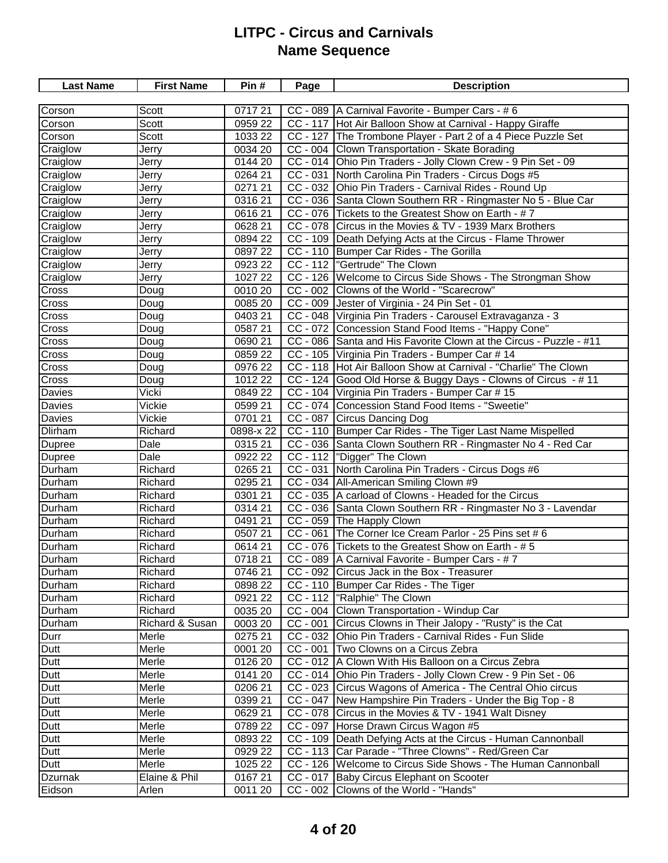| <b>Last Name</b> | <b>First Name</b> | Pin#      | Page       | <b>Description</b>                                                 |
|------------------|-------------------|-----------|------------|--------------------------------------------------------------------|
|                  |                   |           |            |                                                                    |
| Corson           | Scott             | 071721    |            | CC - 089   A Carnival Favorite - Bumper Cars - #6                  |
| Corson           | Scott             | 0959 22   |            | CC - 117 Hot Air Balloon Show at Carnival - Happy Giraffe          |
| Corson           | Scott             | 1033 22   |            | CC - 127 The Trombone Player - Part 2 of a 4 Piece Puzzle Set      |
| Craiglow         | Jerry             | 0034 20   |            | CC - 004 Clown Transportation - Skate Borading                     |
| Craiglow         | Jerry             | 0144 20   |            | CC - 014 Ohio Pin Traders - Jolly Clown Crew - 9 Pin Set - 09      |
| Craiglow         | Jerry             | 0264 21   |            | CC - 031 North Carolina Pin Traders - Circus Dogs #5               |
| Craiglow         | Jerry             | 027121    |            | CC - 032 Ohio Pin Traders - Carnival Rides - Round Up              |
| Craiglow         | Jerry             | 0316 21   |            | CC - 036 Santa Clown Southern RR - Ringmaster No 5 - Blue Car      |
| Craiglow         | Jerry             | 061621    |            | CC - 076 Tickets to the Greatest Show on Earth - #7                |
| Craiglow         | Jerry             | 0628 21   |            | CC - 078 Circus in the Movies & TV - 1939 Marx Brothers            |
| Craiglow         | Jerry             | 0894 22   |            | CC - 109   Death Defying Acts at the Circus - Flame Thrower        |
| Craiglow         | Jerry             | 0897 22   |            | CC - 110 Bumper Car Rides - The Gorilla                            |
| Craiglow         | Jerry             | 0923 22   |            | CC - 112  "Gertrude" The Clown                                     |
| Craiglow         | Jerry             | 1027 22   |            | CC - 126 Welcome to Circus Side Shows - The Strongman Show         |
| Cross            | Doug              | 0010 20   |            | CC - 002 Clowns of the World - "Scarecrow"                         |
| Cross            | Doug              | 0085 20   |            | CC - 009 Jester of Virginia - 24 Pin Set - 01                      |
| Cross            | Doug              | 0403 21   |            | CC - 048 Virginia Pin Traders - Carousel Extravaganza - 3          |
| Cross            | Doug              | 0587 21   |            | CC - 072 Concession Stand Food Items - "Happy Cone"                |
| Cross            | Doug              | 0690 21   |            | CC - 086 Santa and His Favorite Clown at the Circus - Puzzle - #11 |
| Cross            | Doug              | 0859 22   |            | CC - 105 Virginia Pin Traders - Bumper Car # 14                    |
| Cross            | Doug              | 0976 22   |            | CC - 118 Hot Air Balloon Show at Carnival - "Charlie" The Clown    |
| Cross            | Doug              | 1012 22   |            | CC - 124 Good Old Horse & Buggy Days - Clowns of Circus - #11      |
| Davies           | Vicki             | 0849 22   |            | CC - 104 Virginia Pin Traders - Bumper Car # 15                    |
| Davies           | Vickie            | 0599 21   |            | CC - 074 Concession Stand Food Items - "Sweetie"                   |
| Davies           | Vickie            | 0701 21   |            | CC - 087 Circus Dancing Dog                                        |
| <b>Dlirham</b>   | Richard           | 0898-x 22 |            | CC - 110 Bumper Car Rides - The Tiger Last Name Mispelled          |
| Dupree           | Dale              | 0315 21   |            | CC - 036 Santa Clown Southern RR - Ringmaster No 4 - Red Car       |
| Dupree           | Dale              | 0922 22   |            | CC - 112  "Digger" The Clown                                       |
| Durham           | Richard           | 0265 21   |            | CC - 031 North Carolina Pin Traders - Circus Dogs #6               |
| Durham           | Richard           | 0295 21   |            | CC - 034   All-American Smiling Clown #9                           |
| Durham           | Richard           | 0301 21   |            | CC - 035 A carload of Clowns - Headed for the Circus               |
| Durham           | Richard           | 0314 21   |            | CC - 036 Santa Clown Southern RR - Ringmaster No 3 - Lavendar      |
| Durham           | Richard           | 0491 21   |            | CC - 059 The Happly Clown                                          |
| Durham           | Richard           | 0507 21   | $CC - 061$ | The Corner Ice Cream Parlor - 25 Pins set # 6                      |
| Durham           | Richard           | 0614 21   |            | CC - 076 Tickets to the Greatest Show on Earth - #5                |
| Durham           | Richard           | 071821    |            | CC - 089   A Carnival Favorite - Bumper Cars - #7                  |
| Durham           | Richard           | 0746 21   |            | CC - 092 Circus Jack in the Box - Treasurer                        |
| Durham           | Richard           | 0898 22   |            | CC - 110 Bumper Car Rides - The Tiger                              |
| Durham           | Richard           | 0921 22   |            | CC - 112  "Ralphie" The Clown                                      |
| Durham           | Richard           | 0035 20   |            | CC - 004 Clown Transportation - Windup Car                         |
| Durham           | Richard & Susan   | 0003 20   |            | CC - 001 Circus Clowns in Their Jalopy - "Rusty" is the Cat        |
| Durr             | Merle             | 0275 21   |            | CC - 032 Ohio Pin Traders - Carnival Rides - Fun Slide             |
| Dutt             | Merle             | 0001 20   |            | CC - 001   Two Clowns on a Circus Zebra                            |
| Dutt             | Merle             | 0126 20   |            | CC - 012   A Clown With His Balloon on a Circus Zebra              |
| Dutt             | Merle             | 0141 20   |            | CC - 014 Ohio Pin Traders - Jolly Clown Crew - 9 Pin Set - 06      |
| Dutt             | Merle             | 0206 21   |            | CC - 023 Circus Wagons of America - The Central Ohio circus        |
| Dutt             | Merle             | 0399 21   |            | CC - 047 New Hampshire Pin Traders - Under the Big Top - 8         |
| Dutt             | Merle             | 0629 21   |            | CC - 078 Circus in the Movies & TV - 1941 Walt Disney              |
| Dutt             | Merle             | 0789 22   | CC - 097   | Horse Drawn Circus Wagon #5                                        |
| Dutt             | Merle             | 0893 22   |            | CC - 109   Death Defying Acts at the Circus - Human Cannonball     |
| Dutt             | Merle             | 0929 22   |            | CC - 113 Car Parade - "Three Clowns" - Red/Green Car               |
| Dutt             | Merle             | 1025 22   |            | CC - 126   Welcome to Circus Side Shows - The Human Cannonball     |
| Dzurnak          | Elaine & Phil     | 016721    |            | CC - 017 Baby Circus Elephant on Scooter                           |
| Eidson           | Arlen             | 0011 20   |            | CC - 002 Clowns of the World - "Hands"                             |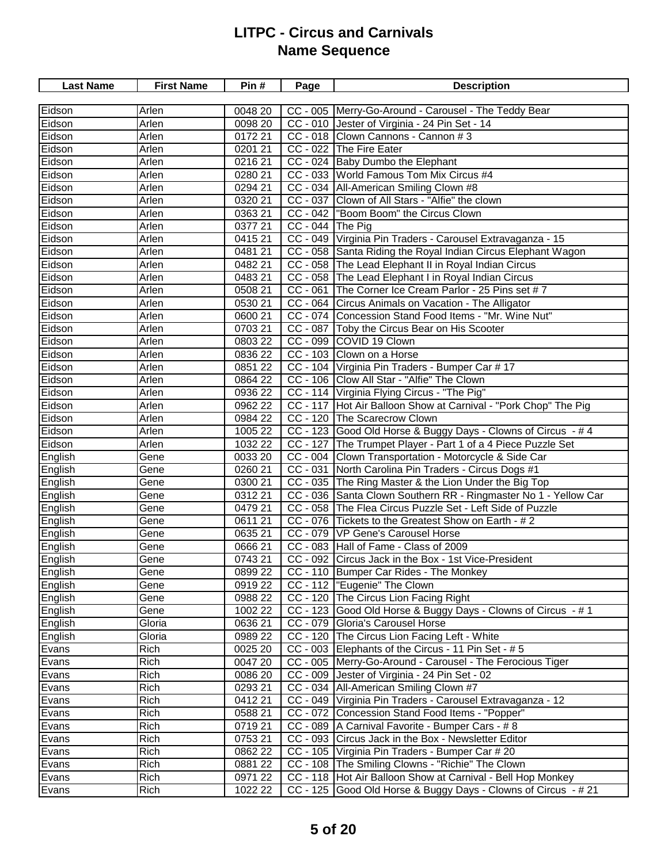| Eidson<br>CC - 005 Merry-Go-Around - Carousel - The Teddy Bear<br>Arlen<br>0048 20<br>0098 20<br>Eidson<br>Arlen<br>CC - 010 Jester of Virginia - 24 Pin Set - 14<br>Eidson<br>CC - 018 Clown Cannons - Cannon # 3<br>Arlen<br>0172 21<br>CC - 022 The Fire Eater<br>Eidson<br>Arlen<br>0201 21<br>CC - 024 Baby Dumbo the Elephant<br>Eidson<br>0216 21<br>Arlen<br>Eidson<br>CC - 033 World Famous Tom Mix Circus #4<br>Arlen<br>0280 21<br>Eidson<br>CC - 034 All-American Smiling Clown #8<br>Arlen<br>0294 21<br>CC - 037 Clown of All Stars - "Alfie" the clown<br>Eidson<br>0320 21<br>Arlen<br>CC - 042  "Boom Boom" the Circus Clown<br>Eidson<br>Arlen<br>0363 21<br>CC - 044 The Pig<br>Eidson<br>Arlen<br>0377 21<br>CC - 049 Virginia Pin Traders - Carousel Extravaganza - 15<br>Eidson<br>Arlen<br>0415 21<br>CC - 058 Santa Riding the Royal Indian Circus Elephant Wagon<br>Eidson<br>Arlen<br>048121<br>CC - 058 The Lead Elephant II in Royal Indian Circus<br>Eidson<br>Arlen<br>$\frac{1}{0482}$ 21<br>CC - 058 The Lead Elephant I in Royal Indian Circus<br>Eidson<br>Arlen<br>048321<br>CC - 061 The Corner Ice Cream Parlor - 25 Pins set #7<br>Eidson<br>0508 21<br>Arlen<br>CC - 064 Circus Animals on Vacation - The Alligator<br>Eidson<br>0530 21<br>Arlen<br>CC - 074 Concession Stand Food Items - "Mr. Wine Nut"<br>Eidson<br>Arlen<br>0600 21<br>Eidson<br>0703 21<br>CC - 087   Toby the Circus Bear on His Scooter<br>Arlen<br>CC - 099 COVID 19 Clown<br>Eidson<br>Arlen<br>0803 22<br>Eidson<br>0836 22<br>CC - 103 Clown on a Horse<br>Arlen<br>CC - 104 Virginia Pin Traders - Bumper Car # 17<br>Eidson<br>Arlen<br>0851 22<br>CC - 106 Clow All Star - "Alfie" The Clown<br>Eidson<br>0864 22<br>Arlen<br>CC - 114 Virginia Flying Circus - "The Pig"<br>Eidson<br>Arlen<br>0936 22<br>CC - 117 Hot Air Balloon Show at Carnival - "Pork Chop" The Pig<br>Eidson<br>Arlen<br>0962 22<br>Arlen<br>CC - 120 The Scarecrow Clown<br>Eidson<br>0984 22<br>CC - 123 Good Old Horse & Buggy Days - Clowns of Circus - #4<br>Eidson<br>Arlen<br>1005 22<br>CC - 127 The Trumpet Player - Part 1 of a 4 Piece Puzzle Set<br>Eidson<br>Arlen<br>1032 22<br>English<br>CC - 004 Clown Transportation - Motorcycle & Side Car<br>Gene<br>0033 20<br>CC - 031 North Carolina Pin Traders - Circus Dogs #1<br>English<br>0260 21<br>Gene<br>English<br>CC - 035 The Ring Master & the Lion Under the Big Top<br>0300 21<br>Gene<br>CC - 036 Santa Clown Southern RR - Ringmaster No 1 - Yellow Car<br>English<br>0312 21<br>Gene<br>CC - 058 The Flea Circus Puzzle Set - Left Side of Puzzle<br>English<br>$\overline{0}47921$<br>Gene<br>CC - 076 Tickets to the Greatest Show on Earth - #2<br>English<br>0611 21<br>Gene<br>CC - 079 VP Gene's Carousel Horse<br>0635 21<br>English<br>Gene<br>CC - 083 Hall of Fame - Class of 2009<br>English<br>0666 21<br>Gene<br>CC - 092 Circus Jack in the Box - 1st Vice-President<br>English<br>0743 21<br>Gene<br>CC - 110 Bumper Car Rides - The Monkey<br>0899 22<br>English<br>Gene<br>CC - 112  "Eugenie" The Clown<br>English<br>091922<br>Gene<br>English<br>CC - 120 The Circus Lion Facing Right<br>Gene<br>0988 22<br>CC - 123 Good Old Horse & Buggy Days - Clowns of Circus - # 1<br>English<br>Gene<br>1002 22<br>CC - 079 Gloria's Carousel Horse<br>Gloria<br>0636 21<br>English<br>CC - 120 The Circus Lion Facing Left - White<br>English<br>Gloria<br>0989 22<br>CC - 003 Elephants of the Circus - 11 Pin Set - # 5<br>Evans<br>Rich<br>0025 20<br>0047 20<br>CC - 005  Merry-Go-Around - Carousel - The Ferocious Tiger<br>Evans<br>Rich<br>Rich<br>CC - 009 Jester of Virginia - 24 Pin Set - 02<br>0086 20<br>Evans<br>Rich<br>0293 21<br>CC - 034   All-American Smiling Clown #7<br>Evans<br>CC - 049 Virginia Pin Traders - Carousel Extravaganza - 12<br>Rich<br>0412 21<br>Evans<br>Rich<br>CC - 072 Concession Stand Food Items - "Popper"<br>0588 21<br>Evans<br>Rich<br>CC - 089   A Carnival Favorite - Bumper Cars - # 8<br>071921<br>Evans<br>Rich<br>CC - 093 Circus Jack in the Box - Newsletter Editor<br>0753 21<br>Evans<br>Rich<br>0862 22<br>CC - 105   Virginia Pin Traders - Bumper Car # 20<br>Evans<br>Rich<br>0881 22<br>CC - 108 The Smiling Clowns - "Richie" The Clown<br>Evans<br>CC - 118 Hot Air Balloon Show at Carnival - Bell Hop Monkey | <b>Last Name</b> | <b>First Name</b> | Pin#    | Page | <b>Description</b> |
|--------------------------------------------------------------------------------------------------------------------------------------------------------------------------------------------------------------------------------------------------------------------------------------------------------------------------------------------------------------------------------------------------------------------------------------------------------------------------------------------------------------------------------------------------------------------------------------------------------------------------------------------------------------------------------------------------------------------------------------------------------------------------------------------------------------------------------------------------------------------------------------------------------------------------------------------------------------------------------------------------------------------------------------------------------------------------------------------------------------------------------------------------------------------------------------------------------------------------------------------------------------------------------------------------------------------------------------------------------------------------------------------------------------------------------------------------------------------------------------------------------------------------------------------------------------------------------------------------------------------------------------------------------------------------------------------------------------------------------------------------------------------------------------------------------------------------------------------------------------------------------------------------------------------------------------------------------------------------------------------------------------------------------------------------------------------------------------------------------------------------------------------------------------------------------------------------------------------------------------------------------------------------------------------------------------------------------------------------------------------------------------------------------------------------------------------------------------------------------------------------------------------------------------------------------------------------------------------------------------------------------------------------------------------------------------------------------------------------------------------------------------------------------------------------------------------------------------------------------------------------------------------------------------------------------------------------------------------------------------------------------------------------------------------------------------------------------------------------------------------------------------------------------------------------------------------------------------------------------------------------------------------------------------------------------------------------------------------------------------------------------------------------------------------------------------------------------------------------------------------------------------------------------------------------------------------------------------------------------------------------------------------------------------------------------------------------------------------------------------------------------------------------------------------------------------------------------------------------------------------------------------------------------------------------------------------------------------------------------------------------------------------------------------------------------------------------------------------------------------------------------------------------------------------------------------------------------------------------------------------------------------------------------------------------------------------------------------------------------------------------|------------------|-------------------|---------|------|--------------------|
|                                                                                                                                                                                                                                                                                                                                                                                                                                                                                                                                                                                                                                                                                                                                                                                                                                                                                                                                                                                                                                                                                                                                                                                                                                                                                                                                                                                                                                                                                                                                                                                                                                                                                                                                                                                                                                                                                                                                                                                                                                                                                                                                                                                                                                                                                                                                                                                                                                                                                                                                                                                                                                                                                                                                                                                                                                                                                                                                                                                                                                                                                                                                                                                                                                                                                                                                                                                                                                                                                                                                                                                                                                                                                                                                                                                                                                                                                                                                                                                                                                                                                                                                                                                                                                                                                                                                                                          |                  |                   |         |      |                    |
|                                                                                                                                                                                                                                                                                                                                                                                                                                                                                                                                                                                                                                                                                                                                                                                                                                                                                                                                                                                                                                                                                                                                                                                                                                                                                                                                                                                                                                                                                                                                                                                                                                                                                                                                                                                                                                                                                                                                                                                                                                                                                                                                                                                                                                                                                                                                                                                                                                                                                                                                                                                                                                                                                                                                                                                                                                                                                                                                                                                                                                                                                                                                                                                                                                                                                                                                                                                                                                                                                                                                                                                                                                                                                                                                                                                                                                                                                                                                                                                                                                                                                                                                                                                                                                                                                                                                                                          |                  |                   |         |      |                    |
|                                                                                                                                                                                                                                                                                                                                                                                                                                                                                                                                                                                                                                                                                                                                                                                                                                                                                                                                                                                                                                                                                                                                                                                                                                                                                                                                                                                                                                                                                                                                                                                                                                                                                                                                                                                                                                                                                                                                                                                                                                                                                                                                                                                                                                                                                                                                                                                                                                                                                                                                                                                                                                                                                                                                                                                                                                                                                                                                                                                                                                                                                                                                                                                                                                                                                                                                                                                                                                                                                                                                                                                                                                                                                                                                                                                                                                                                                                                                                                                                                                                                                                                                                                                                                                                                                                                                                                          |                  |                   |         |      |                    |
|                                                                                                                                                                                                                                                                                                                                                                                                                                                                                                                                                                                                                                                                                                                                                                                                                                                                                                                                                                                                                                                                                                                                                                                                                                                                                                                                                                                                                                                                                                                                                                                                                                                                                                                                                                                                                                                                                                                                                                                                                                                                                                                                                                                                                                                                                                                                                                                                                                                                                                                                                                                                                                                                                                                                                                                                                                                                                                                                                                                                                                                                                                                                                                                                                                                                                                                                                                                                                                                                                                                                                                                                                                                                                                                                                                                                                                                                                                                                                                                                                                                                                                                                                                                                                                                                                                                                                                          |                  |                   |         |      |                    |
|                                                                                                                                                                                                                                                                                                                                                                                                                                                                                                                                                                                                                                                                                                                                                                                                                                                                                                                                                                                                                                                                                                                                                                                                                                                                                                                                                                                                                                                                                                                                                                                                                                                                                                                                                                                                                                                                                                                                                                                                                                                                                                                                                                                                                                                                                                                                                                                                                                                                                                                                                                                                                                                                                                                                                                                                                                                                                                                                                                                                                                                                                                                                                                                                                                                                                                                                                                                                                                                                                                                                                                                                                                                                                                                                                                                                                                                                                                                                                                                                                                                                                                                                                                                                                                                                                                                                                                          |                  |                   |         |      |                    |
|                                                                                                                                                                                                                                                                                                                                                                                                                                                                                                                                                                                                                                                                                                                                                                                                                                                                                                                                                                                                                                                                                                                                                                                                                                                                                                                                                                                                                                                                                                                                                                                                                                                                                                                                                                                                                                                                                                                                                                                                                                                                                                                                                                                                                                                                                                                                                                                                                                                                                                                                                                                                                                                                                                                                                                                                                                                                                                                                                                                                                                                                                                                                                                                                                                                                                                                                                                                                                                                                                                                                                                                                                                                                                                                                                                                                                                                                                                                                                                                                                                                                                                                                                                                                                                                                                                                                                                          |                  |                   |         |      |                    |
|                                                                                                                                                                                                                                                                                                                                                                                                                                                                                                                                                                                                                                                                                                                                                                                                                                                                                                                                                                                                                                                                                                                                                                                                                                                                                                                                                                                                                                                                                                                                                                                                                                                                                                                                                                                                                                                                                                                                                                                                                                                                                                                                                                                                                                                                                                                                                                                                                                                                                                                                                                                                                                                                                                                                                                                                                                                                                                                                                                                                                                                                                                                                                                                                                                                                                                                                                                                                                                                                                                                                                                                                                                                                                                                                                                                                                                                                                                                                                                                                                                                                                                                                                                                                                                                                                                                                                                          |                  |                   |         |      |                    |
|                                                                                                                                                                                                                                                                                                                                                                                                                                                                                                                                                                                                                                                                                                                                                                                                                                                                                                                                                                                                                                                                                                                                                                                                                                                                                                                                                                                                                                                                                                                                                                                                                                                                                                                                                                                                                                                                                                                                                                                                                                                                                                                                                                                                                                                                                                                                                                                                                                                                                                                                                                                                                                                                                                                                                                                                                                                                                                                                                                                                                                                                                                                                                                                                                                                                                                                                                                                                                                                                                                                                                                                                                                                                                                                                                                                                                                                                                                                                                                                                                                                                                                                                                                                                                                                                                                                                                                          |                  |                   |         |      |                    |
|                                                                                                                                                                                                                                                                                                                                                                                                                                                                                                                                                                                                                                                                                                                                                                                                                                                                                                                                                                                                                                                                                                                                                                                                                                                                                                                                                                                                                                                                                                                                                                                                                                                                                                                                                                                                                                                                                                                                                                                                                                                                                                                                                                                                                                                                                                                                                                                                                                                                                                                                                                                                                                                                                                                                                                                                                                                                                                                                                                                                                                                                                                                                                                                                                                                                                                                                                                                                                                                                                                                                                                                                                                                                                                                                                                                                                                                                                                                                                                                                                                                                                                                                                                                                                                                                                                                                                                          |                  |                   |         |      |                    |
|                                                                                                                                                                                                                                                                                                                                                                                                                                                                                                                                                                                                                                                                                                                                                                                                                                                                                                                                                                                                                                                                                                                                                                                                                                                                                                                                                                                                                                                                                                                                                                                                                                                                                                                                                                                                                                                                                                                                                                                                                                                                                                                                                                                                                                                                                                                                                                                                                                                                                                                                                                                                                                                                                                                                                                                                                                                                                                                                                                                                                                                                                                                                                                                                                                                                                                                                                                                                                                                                                                                                                                                                                                                                                                                                                                                                                                                                                                                                                                                                                                                                                                                                                                                                                                                                                                                                                                          |                  |                   |         |      |                    |
|                                                                                                                                                                                                                                                                                                                                                                                                                                                                                                                                                                                                                                                                                                                                                                                                                                                                                                                                                                                                                                                                                                                                                                                                                                                                                                                                                                                                                                                                                                                                                                                                                                                                                                                                                                                                                                                                                                                                                                                                                                                                                                                                                                                                                                                                                                                                                                                                                                                                                                                                                                                                                                                                                                                                                                                                                                                                                                                                                                                                                                                                                                                                                                                                                                                                                                                                                                                                                                                                                                                                                                                                                                                                                                                                                                                                                                                                                                                                                                                                                                                                                                                                                                                                                                                                                                                                                                          |                  |                   |         |      |                    |
|                                                                                                                                                                                                                                                                                                                                                                                                                                                                                                                                                                                                                                                                                                                                                                                                                                                                                                                                                                                                                                                                                                                                                                                                                                                                                                                                                                                                                                                                                                                                                                                                                                                                                                                                                                                                                                                                                                                                                                                                                                                                                                                                                                                                                                                                                                                                                                                                                                                                                                                                                                                                                                                                                                                                                                                                                                                                                                                                                                                                                                                                                                                                                                                                                                                                                                                                                                                                                                                                                                                                                                                                                                                                                                                                                                                                                                                                                                                                                                                                                                                                                                                                                                                                                                                                                                                                                                          |                  |                   |         |      |                    |
|                                                                                                                                                                                                                                                                                                                                                                                                                                                                                                                                                                                                                                                                                                                                                                                                                                                                                                                                                                                                                                                                                                                                                                                                                                                                                                                                                                                                                                                                                                                                                                                                                                                                                                                                                                                                                                                                                                                                                                                                                                                                                                                                                                                                                                                                                                                                                                                                                                                                                                                                                                                                                                                                                                                                                                                                                                                                                                                                                                                                                                                                                                                                                                                                                                                                                                                                                                                                                                                                                                                                                                                                                                                                                                                                                                                                                                                                                                                                                                                                                                                                                                                                                                                                                                                                                                                                                                          |                  |                   |         |      |                    |
|                                                                                                                                                                                                                                                                                                                                                                                                                                                                                                                                                                                                                                                                                                                                                                                                                                                                                                                                                                                                                                                                                                                                                                                                                                                                                                                                                                                                                                                                                                                                                                                                                                                                                                                                                                                                                                                                                                                                                                                                                                                                                                                                                                                                                                                                                                                                                                                                                                                                                                                                                                                                                                                                                                                                                                                                                                                                                                                                                                                                                                                                                                                                                                                                                                                                                                                                                                                                                                                                                                                                                                                                                                                                                                                                                                                                                                                                                                                                                                                                                                                                                                                                                                                                                                                                                                                                                                          |                  |                   |         |      |                    |
|                                                                                                                                                                                                                                                                                                                                                                                                                                                                                                                                                                                                                                                                                                                                                                                                                                                                                                                                                                                                                                                                                                                                                                                                                                                                                                                                                                                                                                                                                                                                                                                                                                                                                                                                                                                                                                                                                                                                                                                                                                                                                                                                                                                                                                                                                                                                                                                                                                                                                                                                                                                                                                                                                                                                                                                                                                                                                                                                                                                                                                                                                                                                                                                                                                                                                                                                                                                                                                                                                                                                                                                                                                                                                                                                                                                                                                                                                                                                                                                                                                                                                                                                                                                                                                                                                                                                                                          |                  |                   |         |      |                    |
|                                                                                                                                                                                                                                                                                                                                                                                                                                                                                                                                                                                                                                                                                                                                                                                                                                                                                                                                                                                                                                                                                                                                                                                                                                                                                                                                                                                                                                                                                                                                                                                                                                                                                                                                                                                                                                                                                                                                                                                                                                                                                                                                                                                                                                                                                                                                                                                                                                                                                                                                                                                                                                                                                                                                                                                                                                                                                                                                                                                                                                                                                                                                                                                                                                                                                                                                                                                                                                                                                                                                                                                                                                                                                                                                                                                                                                                                                                                                                                                                                                                                                                                                                                                                                                                                                                                                                                          |                  |                   |         |      |                    |
|                                                                                                                                                                                                                                                                                                                                                                                                                                                                                                                                                                                                                                                                                                                                                                                                                                                                                                                                                                                                                                                                                                                                                                                                                                                                                                                                                                                                                                                                                                                                                                                                                                                                                                                                                                                                                                                                                                                                                                                                                                                                                                                                                                                                                                                                                                                                                                                                                                                                                                                                                                                                                                                                                                                                                                                                                                                                                                                                                                                                                                                                                                                                                                                                                                                                                                                                                                                                                                                                                                                                                                                                                                                                                                                                                                                                                                                                                                                                                                                                                                                                                                                                                                                                                                                                                                                                                                          |                  |                   |         |      |                    |
|                                                                                                                                                                                                                                                                                                                                                                                                                                                                                                                                                                                                                                                                                                                                                                                                                                                                                                                                                                                                                                                                                                                                                                                                                                                                                                                                                                                                                                                                                                                                                                                                                                                                                                                                                                                                                                                                                                                                                                                                                                                                                                                                                                                                                                                                                                                                                                                                                                                                                                                                                                                                                                                                                                                                                                                                                                                                                                                                                                                                                                                                                                                                                                                                                                                                                                                                                                                                                                                                                                                                                                                                                                                                                                                                                                                                                                                                                                                                                                                                                                                                                                                                                                                                                                                                                                                                                                          |                  |                   |         |      |                    |
|                                                                                                                                                                                                                                                                                                                                                                                                                                                                                                                                                                                                                                                                                                                                                                                                                                                                                                                                                                                                                                                                                                                                                                                                                                                                                                                                                                                                                                                                                                                                                                                                                                                                                                                                                                                                                                                                                                                                                                                                                                                                                                                                                                                                                                                                                                                                                                                                                                                                                                                                                                                                                                                                                                                                                                                                                                                                                                                                                                                                                                                                                                                                                                                                                                                                                                                                                                                                                                                                                                                                                                                                                                                                                                                                                                                                                                                                                                                                                                                                                                                                                                                                                                                                                                                                                                                                                                          |                  |                   |         |      |                    |
|                                                                                                                                                                                                                                                                                                                                                                                                                                                                                                                                                                                                                                                                                                                                                                                                                                                                                                                                                                                                                                                                                                                                                                                                                                                                                                                                                                                                                                                                                                                                                                                                                                                                                                                                                                                                                                                                                                                                                                                                                                                                                                                                                                                                                                                                                                                                                                                                                                                                                                                                                                                                                                                                                                                                                                                                                                                                                                                                                                                                                                                                                                                                                                                                                                                                                                                                                                                                                                                                                                                                                                                                                                                                                                                                                                                                                                                                                                                                                                                                                                                                                                                                                                                                                                                                                                                                                                          |                  |                   |         |      |                    |
|                                                                                                                                                                                                                                                                                                                                                                                                                                                                                                                                                                                                                                                                                                                                                                                                                                                                                                                                                                                                                                                                                                                                                                                                                                                                                                                                                                                                                                                                                                                                                                                                                                                                                                                                                                                                                                                                                                                                                                                                                                                                                                                                                                                                                                                                                                                                                                                                                                                                                                                                                                                                                                                                                                                                                                                                                                                                                                                                                                                                                                                                                                                                                                                                                                                                                                                                                                                                                                                                                                                                                                                                                                                                                                                                                                                                                                                                                                                                                                                                                                                                                                                                                                                                                                                                                                                                                                          |                  |                   |         |      |                    |
|                                                                                                                                                                                                                                                                                                                                                                                                                                                                                                                                                                                                                                                                                                                                                                                                                                                                                                                                                                                                                                                                                                                                                                                                                                                                                                                                                                                                                                                                                                                                                                                                                                                                                                                                                                                                                                                                                                                                                                                                                                                                                                                                                                                                                                                                                                                                                                                                                                                                                                                                                                                                                                                                                                                                                                                                                                                                                                                                                                                                                                                                                                                                                                                                                                                                                                                                                                                                                                                                                                                                                                                                                                                                                                                                                                                                                                                                                                                                                                                                                                                                                                                                                                                                                                                                                                                                                                          |                  |                   |         |      |                    |
|                                                                                                                                                                                                                                                                                                                                                                                                                                                                                                                                                                                                                                                                                                                                                                                                                                                                                                                                                                                                                                                                                                                                                                                                                                                                                                                                                                                                                                                                                                                                                                                                                                                                                                                                                                                                                                                                                                                                                                                                                                                                                                                                                                                                                                                                                                                                                                                                                                                                                                                                                                                                                                                                                                                                                                                                                                                                                                                                                                                                                                                                                                                                                                                                                                                                                                                                                                                                                                                                                                                                                                                                                                                                                                                                                                                                                                                                                                                                                                                                                                                                                                                                                                                                                                                                                                                                                                          |                  |                   |         |      |                    |
|                                                                                                                                                                                                                                                                                                                                                                                                                                                                                                                                                                                                                                                                                                                                                                                                                                                                                                                                                                                                                                                                                                                                                                                                                                                                                                                                                                                                                                                                                                                                                                                                                                                                                                                                                                                                                                                                                                                                                                                                                                                                                                                                                                                                                                                                                                                                                                                                                                                                                                                                                                                                                                                                                                                                                                                                                                                                                                                                                                                                                                                                                                                                                                                                                                                                                                                                                                                                                                                                                                                                                                                                                                                                                                                                                                                                                                                                                                                                                                                                                                                                                                                                                                                                                                                                                                                                                                          |                  |                   |         |      |                    |
|                                                                                                                                                                                                                                                                                                                                                                                                                                                                                                                                                                                                                                                                                                                                                                                                                                                                                                                                                                                                                                                                                                                                                                                                                                                                                                                                                                                                                                                                                                                                                                                                                                                                                                                                                                                                                                                                                                                                                                                                                                                                                                                                                                                                                                                                                                                                                                                                                                                                                                                                                                                                                                                                                                                                                                                                                                                                                                                                                                                                                                                                                                                                                                                                                                                                                                                                                                                                                                                                                                                                                                                                                                                                                                                                                                                                                                                                                                                                                                                                                                                                                                                                                                                                                                                                                                                                                                          |                  |                   |         |      |                    |
|                                                                                                                                                                                                                                                                                                                                                                                                                                                                                                                                                                                                                                                                                                                                                                                                                                                                                                                                                                                                                                                                                                                                                                                                                                                                                                                                                                                                                                                                                                                                                                                                                                                                                                                                                                                                                                                                                                                                                                                                                                                                                                                                                                                                                                                                                                                                                                                                                                                                                                                                                                                                                                                                                                                                                                                                                                                                                                                                                                                                                                                                                                                                                                                                                                                                                                                                                                                                                                                                                                                                                                                                                                                                                                                                                                                                                                                                                                                                                                                                                                                                                                                                                                                                                                                                                                                                                                          |                  |                   |         |      |                    |
|                                                                                                                                                                                                                                                                                                                                                                                                                                                                                                                                                                                                                                                                                                                                                                                                                                                                                                                                                                                                                                                                                                                                                                                                                                                                                                                                                                                                                                                                                                                                                                                                                                                                                                                                                                                                                                                                                                                                                                                                                                                                                                                                                                                                                                                                                                                                                                                                                                                                                                                                                                                                                                                                                                                                                                                                                                                                                                                                                                                                                                                                                                                                                                                                                                                                                                                                                                                                                                                                                                                                                                                                                                                                                                                                                                                                                                                                                                                                                                                                                                                                                                                                                                                                                                                                                                                                                                          |                  |                   |         |      |                    |
|                                                                                                                                                                                                                                                                                                                                                                                                                                                                                                                                                                                                                                                                                                                                                                                                                                                                                                                                                                                                                                                                                                                                                                                                                                                                                                                                                                                                                                                                                                                                                                                                                                                                                                                                                                                                                                                                                                                                                                                                                                                                                                                                                                                                                                                                                                                                                                                                                                                                                                                                                                                                                                                                                                                                                                                                                                                                                                                                                                                                                                                                                                                                                                                                                                                                                                                                                                                                                                                                                                                                                                                                                                                                                                                                                                                                                                                                                                                                                                                                                                                                                                                                                                                                                                                                                                                                                                          |                  |                   |         |      |                    |
|                                                                                                                                                                                                                                                                                                                                                                                                                                                                                                                                                                                                                                                                                                                                                                                                                                                                                                                                                                                                                                                                                                                                                                                                                                                                                                                                                                                                                                                                                                                                                                                                                                                                                                                                                                                                                                                                                                                                                                                                                                                                                                                                                                                                                                                                                                                                                                                                                                                                                                                                                                                                                                                                                                                                                                                                                                                                                                                                                                                                                                                                                                                                                                                                                                                                                                                                                                                                                                                                                                                                                                                                                                                                                                                                                                                                                                                                                                                                                                                                                                                                                                                                                                                                                                                                                                                                                                          |                  |                   |         |      |                    |
|                                                                                                                                                                                                                                                                                                                                                                                                                                                                                                                                                                                                                                                                                                                                                                                                                                                                                                                                                                                                                                                                                                                                                                                                                                                                                                                                                                                                                                                                                                                                                                                                                                                                                                                                                                                                                                                                                                                                                                                                                                                                                                                                                                                                                                                                                                                                                                                                                                                                                                                                                                                                                                                                                                                                                                                                                                                                                                                                                                                                                                                                                                                                                                                                                                                                                                                                                                                                                                                                                                                                                                                                                                                                                                                                                                                                                                                                                                                                                                                                                                                                                                                                                                                                                                                                                                                                                                          |                  |                   |         |      |                    |
|                                                                                                                                                                                                                                                                                                                                                                                                                                                                                                                                                                                                                                                                                                                                                                                                                                                                                                                                                                                                                                                                                                                                                                                                                                                                                                                                                                                                                                                                                                                                                                                                                                                                                                                                                                                                                                                                                                                                                                                                                                                                                                                                                                                                                                                                                                                                                                                                                                                                                                                                                                                                                                                                                                                                                                                                                                                                                                                                                                                                                                                                                                                                                                                                                                                                                                                                                                                                                                                                                                                                                                                                                                                                                                                                                                                                                                                                                                                                                                                                                                                                                                                                                                                                                                                                                                                                                                          |                  |                   |         |      |                    |
|                                                                                                                                                                                                                                                                                                                                                                                                                                                                                                                                                                                                                                                                                                                                                                                                                                                                                                                                                                                                                                                                                                                                                                                                                                                                                                                                                                                                                                                                                                                                                                                                                                                                                                                                                                                                                                                                                                                                                                                                                                                                                                                                                                                                                                                                                                                                                                                                                                                                                                                                                                                                                                                                                                                                                                                                                                                                                                                                                                                                                                                                                                                                                                                                                                                                                                                                                                                                                                                                                                                                                                                                                                                                                                                                                                                                                                                                                                                                                                                                                                                                                                                                                                                                                                                                                                                                                                          |                  |                   |         |      |                    |
|                                                                                                                                                                                                                                                                                                                                                                                                                                                                                                                                                                                                                                                                                                                                                                                                                                                                                                                                                                                                                                                                                                                                                                                                                                                                                                                                                                                                                                                                                                                                                                                                                                                                                                                                                                                                                                                                                                                                                                                                                                                                                                                                                                                                                                                                                                                                                                                                                                                                                                                                                                                                                                                                                                                                                                                                                                                                                                                                                                                                                                                                                                                                                                                                                                                                                                                                                                                                                                                                                                                                                                                                                                                                                                                                                                                                                                                                                                                                                                                                                                                                                                                                                                                                                                                                                                                                                                          |                  |                   |         |      |                    |
|                                                                                                                                                                                                                                                                                                                                                                                                                                                                                                                                                                                                                                                                                                                                                                                                                                                                                                                                                                                                                                                                                                                                                                                                                                                                                                                                                                                                                                                                                                                                                                                                                                                                                                                                                                                                                                                                                                                                                                                                                                                                                                                                                                                                                                                                                                                                                                                                                                                                                                                                                                                                                                                                                                                                                                                                                                                                                                                                                                                                                                                                                                                                                                                                                                                                                                                                                                                                                                                                                                                                                                                                                                                                                                                                                                                                                                                                                                                                                                                                                                                                                                                                                                                                                                                                                                                                                                          |                  |                   |         |      |                    |
|                                                                                                                                                                                                                                                                                                                                                                                                                                                                                                                                                                                                                                                                                                                                                                                                                                                                                                                                                                                                                                                                                                                                                                                                                                                                                                                                                                                                                                                                                                                                                                                                                                                                                                                                                                                                                                                                                                                                                                                                                                                                                                                                                                                                                                                                                                                                                                                                                                                                                                                                                                                                                                                                                                                                                                                                                                                                                                                                                                                                                                                                                                                                                                                                                                                                                                                                                                                                                                                                                                                                                                                                                                                                                                                                                                                                                                                                                                                                                                                                                                                                                                                                                                                                                                                                                                                                                                          |                  |                   |         |      |                    |
|                                                                                                                                                                                                                                                                                                                                                                                                                                                                                                                                                                                                                                                                                                                                                                                                                                                                                                                                                                                                                                                                                                                                                                                                                                                                                                                                                                                                                                                                                                                                                                                                                                                                                                                                                                                                                                                                                                                                                                                                                                                                                                                                                                                                                                                                                                                                                                                                                                                                                                                                                                                                                                                                                                                                                                                                                                                                                                                                                                                                                                                                                                                                                                                                                                                                                                                                                                                                                                                                                                                                                                                                                                                                                                                                                                                                                                                                                                                                                                                                                                                                                                                                                                                                                                                                                                                                                                          |                  |                   |         |      |                    |
|                                                                                                                                                                                                                                                                                                                                                                                                                                                                                                                                                                                                                                                                                                                                                                                                                                                                                                                                                                                                                                                                                                                                                                                                                                                                                                                                                                                                                                                                                                                                                                                                                                                                                                                                                                                                                                                                                                                                                                                                                                                                                                                                                                                                                                                                                                                                                                                                                                                                                                                                                                                                                                                                                                                                                                                                                                                                                                                                                                                                                                                                                                                                                                                                                                                                                                                                                                                                                                                                                                                                                                                                                                                                                                                                                                                                                                                                                                                                                                                                                                                                                                                                                                                                                                                                                                                                                                          |                  |                   |         |      |                    |
|                                                                                                                                                                                                                                                                                                                                                                                                                                                                                                                                                                                                                                                                                                                                                                                                                                                                                                                                                                                                                                                                                                                                                                                                                                                                                                                                                                                                                                                                                                                                                                                                                                                                                                                                                                                                                                                                                                                                                                                                                                                                                                                                                                                                                                                                                                                                                                                                                                                                                                                                                                                                                                                                                                                                                                                                                                                                                                                                                                                                                                                                                                                                                                                                                                                                                                                                                                                                                                                                                                                                                                                                                                                                                                                                                                                                                                                                                                                                                                                                                                                                                                                                                                                                                                                                                                                                                                          |                  |                   |         |      |                    |
|                                                                                                                                                                                                                                                                                                                                                                                                                                                                                                                                                                                                                                                                                                                                                                                                                                                                                                                                                                                                                                                                                                                                                                                                                                                                                                                                                                                                                                                                                                                                                                                                                                                                                                                                                                                                                                                                                                                                                                                                                                                                                                                                                                                                                                                                                                                                                                                                                                                                                                                                                                                                                                                                                                                                                                                                                                                                                                                                                                                                                                                                                                                                                                                                                                                                                                                                                                                                                                                                                                                                                                                                                                                                                                                                                                                                                                                                                                                                                                                                                                                                                                                                                                                                                                                                                                                                                                          |                  |                   |         |      |                    |
|                                                                                                                                                                                                                                                                                                                                                                                                                                                                                                                                                                                                                                                                                                                                                                                                                                                                                                                                                                                                                                                                                                                                                                                                                                                                                                                                                                                                                                                                                                                                                                                                                                                                                                                                                                                                                                                                                                                                                                                                                                                                                                                                                                                                                                                                                                                                                                                                                                                                                                                                                                                                                                                                                                                                                                                                                                                                                                                                                                                                                                                                                                                                                                                                                                                                                                                                                                                                                                                                                                                                                                                                                                                                                                                                                                                                                                                                                                                                                                                                                                                                                                                                                                                                                                                                                                                                                                          |                  |                   |         |      |                    |
|                                                                                                                                                                                                                                                                                                                                                                                                                                                                                                                                                                                                                                                                                                                                                                                                                                                                                                                                                                                                                                                                                                                                                                                                                                                                                                                                                                                                                                                                                                                                                                                                                                                                                                                                                                                                                                                                                                                                                                                                                                                                                                                                                                                                                                                                                                                                                                                                                                                                                                                                                                                                                                                                                                                                                                                                                                                                                                                                                                                                                                                                                                                                                                                                                                                                                                                                                                                                                                                                                                                                                                                                                                                                                                                                                                                                                                                                                                                                                                                                                                                                                                                                                                                                                                                                                                                                                                          |                  |                   |         |      |                    |
|                                                                                                                                                                                                                                                                                                                                                                                                                                                                                                                                                                                                                                                                                                                                                                                                                                                                                                                                                                                                                                                                                                                                                                                                                                                                                                                                                                                                                                                                                                                                                                                                                                                                                                                                                                                                                                                                                                                                                                                                                                                                                                                                                                                                                                                                                                                                                                                                                                                                                                                                                                                                                                                                                                                                                                                                                                                                                                                                                                                                                                                                                                                                                                                                                                                                                                                                                                                                                                                                                                                                                                                                                                                                                                                                                                                                                                                                                                                                                                                                                                                                                                                                                                                                                                                                                                                                                                          |                  |                   |         |      |                    |
|                                                                                                                                                                                                                                                                                                                                                                                                                                                                                                                                                                                                                                                                                                                                                                                                                                                                                                                                                                                                                                                                                                                                                                                                                                                                                                                                                                                                                                                                                                                                                                                                                                                                                                                                                                                                                                                                                                                                                                                                                                                                                                                                                                                                                                                                                                                                                                                                                                                                                                                                                                                                                                                                                                                                                                                                                                                                                                                                                                                                                                                                                                                                                                                                                                                                                                                                                                                                                                                                                                                                                                                                                                                                                                                                                                                                                                                                                                                                                                                                                                                                                                                                                                                                                                                                                                                                                                          |                  |                   |         |      |                    |
|                                                                                                                                                                                                                                                                                                                                                                                                                                                                                                                                                                                                                                                                                                                                                                                                                                                                                                                                                                                                                                                                                                                                                                                                                                                                                                                                                                                                                                                                                                                                                                                                                                                                                                                                                                                                                                                                                                                                                                                                                                                                                                                                                                                                                                                                                                                                                                                                                                                                                                                                                                                                                                                                                                                                                                                                                                                                                                                                                                                                                                                                                                                                                                                                                                                                                                                                                                                                                                                                                                                                                                                                                                                                                                                                                                                                                                                                                                                                                                                                                                                                                                                                                                                                                                                                                                                                                                          |                  |                   |         |      |                    |
|                                                                                                                                                                                                                                                                                                                                                                                                                                                                                                                                                                                                                                                                                                                                                                                                                                                                                                                                                                                                                                                                                                                                                                                                                                                                                                                                                                                                                                                                                                                                                                                                                                                                                                                                                                                                                                                                                                                                                                                                                                                                                                                                                                                                                                                                                                                                                                                                                                                                                                                                                                                                                                                                                                                                                                                                                                                                                                                                                                                                                                                                                                                                                                                                                                                                                                                                                                                                                                                                                                                                                                                                                                                                                                                                                                                                                                                                                                                                                                                                                                                                                                                                                                                                                                                                                                                                                                          |                  |                   |         |      |                    |
|                                                                                                                                                                                                                                                                                                                                                                                                                                                                                                                                                                                                                                                                                                                                                                                                                                                                                                                                                                                                                                                                                                                                                                                                                                                                                                                                                                                                                                                                                                                                                                                                                                                                                                                                                                                                                                                                                                                                                                                                                                                                                                                                                                                                                                                                                                                                                                                                                                                                                                                                                                                                                                                                                                                                                                                                                                                                                                                                                                                                                                                                                                                                                                                                                                                                                                                                                                                                                                                                                                                                                                                                                                                                                                                                                                                                                                                                                                                                                                                                                                                                                                                                                                                                                                                                                                                                                                          |                  |                   |         |      |                    |
|                                                                                                                                                                                                                                                                                                                                                                                                                                                                                                                                                                                                                                                                                                                                                                                                                                                                                                                                                                                                                                                                                                                                                                                                                                                                                                                                                                                                                                                                                                                                                                                                                                                                                                                                                                                                                                                                                                                                                                                                                                                                                                                                                                                                                                                                                                                                                                                                                                                                                                                                                                                                                                                                                                                                                                                                                                                                                                                                                                                                                                                                                                                                                                                                                                                                                                                                                                                                                                                                                                                                                                                                                                                                                                                                                                                                                                                                                                                                                                                                                                                                                                                                                                                                                                                                                                                                                                          |                  |                   |         |      |                    |
|                                                                                                                                                                                                                                                                                                                                                                                                                                                                                                                                                                                                                                                                                                                                                                                                                                                                                                                                                                                                                                                                                                                                                                                                                                                                                                                                                                                                                                                                                                                                                                                                                                                                                                                                                                                                                                                                                                                                                                                                                                                                                                                                                                                                                                                                                                                                                                                                                                                                                                                                                                                                                                                                                                                                                                                                                                                                                                                                                                                                                                                                                                                                                                                                                                                                                                                                                                                                                                                                                                                                                                                                                                                                                                                                                                                                                                                                                                                                                                                                                                                                                                                                                                                                                                                                                                                                                                          |                  |                   |         |      |                    |
|                                                                                                                                                                                                                                                                                                                                                                                                                                                                                                                                                                                                                                                                                                                                                                                                                                                                                                                                                                                                                                                                                                                                                                                                                                                                                                                                                                                                                                                                                                                                                                                                                                                                                                                                                                                                                                                                                                                                                                                                                                                                                                                                                                                                                                                                                                                                                                                                                                                                                                                                                                                                                                                                                                                                                                                                                                                                                                                                                                                                                                                                                                                                                                                                                                                                                                                                                                                                                                                                                                                                                                                                                                                                                                                                                                                                                                                                                                                                                                                                                                                                                                                                                                                                                                                                                                                                                                          |                  |                   |         |      |                    |
|                                                                                                                                                                                                                                                                                                                                                                                                                                                                                                                                                                                                                                                                                                                                                                                                                                                                                                                                                                                                                                                                                                                                                                                                                                                                                                                                                                                                                                                                                                                                                                                                                                                                                                                                                                                                                                                                                                                                                                                                                                                                                                                                                                                                                                                                                                                                                                                                                                                                                                                                                                                                                                                                                                                                                                                                                                                                                                                                                                                                                                                                                                                                                                                                                                                                                                                                                                                                                                                                                                                                                                                                                                                                                                                                                                                                                                                                                                                                                                                                                                                                                                                                                                                                                                                                                                                                                                          |                  |                   |         |      |                    |
|                                                                                                                                                                                                                                                                                                                                                                                                                                                                                                                                                                                                                                                                                                                                                                                                                                                                                                                                                                                                                                                                                                                                                                                                                                                                                                                                                                                                                                                                                                                                                                                                                                                                                                                                                                                                                                                                                                                                                                                                                                                                                                                                                                                                                                                                                                                                                                                                                                                                                                                                                                                                                                                                                                                                                                                                                                                                                                                                                                                                                                                                                                                                                                                                                                                                                                                                                                                                                                                                                                                                                                                                                                                                                                                                                                                                                                                                                                                                                                                                                                                                                                                                                                                                                                                                                                                                                                          |                  |                   |         |      |                    |
|                                                                                                                                                                                                                                                                                                                                                                                                                                                                                                                                                                                                                                                                                                                                                                                                                                                                                                                                                                                                                                                                                                                                                                                                                                                                                                                                                                                                                                                                                                                                                                                                                                                                                                                                                                                                                                                                                                                                                                                                                                                                                                                                                                                                                                                                                                                                                                                                                                                                                                                                                                                                                                                                                                                                                                                                                                                                                                                                                                                                                                                                                                                                                                                                                                                                                                                                                                                                                                                                                                                                                                                                                                                                                                                                                                                                                                                                                                                                                                                                                                                                                                                                                                                                                                                                                                                                                                          |                  |                   |         |      |                    |
|                                                                                                                                                                                                                                                                                                                                                                                                                                                                                                                                                                                                                                                                                                                                                                                                                                                                                                                                                                                                                                                                                                                                                                                                                                                                                                                                                                                                                                                                                                                                                                                                                                                                                                                                                                                                                                                                                                                                                                                                                                                                                                                                                                                                                                                                                                                                                                                                                                                                                                                                                                                                                                                                                                                                                                                                                                                                                                                                                                                                                                                                                                                                                                                                                                                                                                                                                                                                                                                                                                                                                                                                                                                                                                                                                                                                                                                                                                                                                                                                                                                                                                                                                                                                                                                                                                                                                                          |                  |                   |         |      |                    |
|                                                                                                                                                                                                                                                                                                                                                                                                                                                                                                                                                                                                                                                                                                                                                                                                                                                                                                                                                                                                                                                                                                                                                                                                                                                                                                                                                                                                                                                                                                                                                                                                                                                                                                                                                                                                                                                                                                                                                                                                                                                                                                                                                                                                                                                                                                                                                                                                                                                                                                                                                                                                                                                                                                                                                                                                                                                                                                                                                                                                                                                                                                                                                                                                                                                                                                                                                                                                                                                                                                                                                                                                                                                                                                                                                                                                                                                                                                                                                                                                                                                                                                                                                                                                                                                                                                                                                                          | Evans            | Rich              | 0971 22 |      |                    |
| Rich<br>1022 22<br>CC - 125 Good Old Horse & Buggy Days - Clowns of Circus - # 21<br>Evans                                                                                                                                                                                                                                                                                                                                                                                                                                                                                                                                                                                                                                                                                                                                                                                                                                                                                                                                                                                                                                                                                                                                                                                                                                                                                                                                                                                                                                                                                                                                                                                                                                                                                                                                                                                                                                                                                                                                                                                                                                                                                                                                                                                                                                                                                                                                                                                                                                                                                                                                                                                                                                                                                                                                                                                                                                                                                                                                                                                                                                                                                                                                                                                                                                                                                                                                                                                                                                                                                                                                                                                                                                                                                                                                                                                                                                                                                                                                                                                                                                                                                                                                                                                                                                                                               |                  |                   |         |      |                    |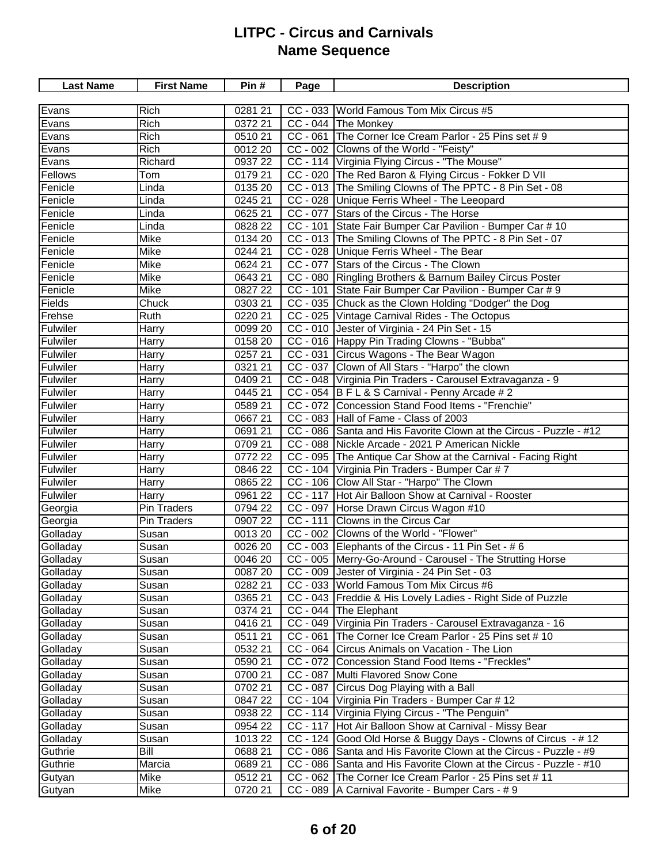| <b>Last Name</b> | <b>First Name</b> | Pin#    | Page       | <b>Description</b>                                                 |
|------------------|-------------------|---------|------------|--------------------------------------------------------------------|
|                  |                   |         |            |                                                                    |
| Evans            | Rich              | 0281 21 |            | CC - 033 World Famous Tom Mix Circus #5                            |
| Evans            | Rich              | 0372 21 |            | CC - 044 The Monkey                                                |
| Evans            | Rich              | 051021  |            | CC - 061 The Corner Ice Cream Parlor - 25 Pins set # 9             |
| Evans            | Rich              | 0012 20 |            | CC - 002 Clowns of the World - "Feisty"                            |
| Evans            | Richard           | 0937 22 |            | CC - 114 Virginia Flying Circus - "The Mouse"                      |
| Fellows          | Tom               | 0179 21 |            | CC - 020 The Red Baron & Flying Circus - Fokker D VII              |
| Fenicle          | Linda             | 0135 20 |            | CC - 013 The Smiling Clowns of The PPTC - 8 Pin Set - 08           |
| Fenicle          | Linda             | 0245 21 |            | CC - 028 Unique Ferris Wheel - The Leeopard                        |
| Fenicle          | Linda             | 0625 21 |            | CC - 077 Stars of the Circus - The Horse                           |
| Fenicle          | Linda             | 0828 22 |            | CC - 101 State Fair Bumper Car Pavilion - Bumper Car # 10          |
| Fenicle          | Mike              | 0134 20 |            | CC - 013 The Smiling Clowns of The PPTC - 8 Pin Set - 07           |
| Fenicle          | Mike              | 0244 21 |            | CC - 028 Unique Ferris Wheel - The Bear                            |
| Fenicle          | Mike              | 0624 21 |            | CC - 077 Stars of the Circus - The Clown                           |
| Fenicle          | Mike              | 0643 21 |            | CC - 080 Ringling Brothers & Barnum Bailey Circus Poster           |
| Fenicle          | Mike              | 082722  | $CC - 101$ | State Fair Bumper Car Pavilion - Bumper Car # 9                    |
| <b>Fields</b>    | Chuck             | 0303 21 |            | CC - 035 Chuck as the Clown Holding "Dodger" the Dog               |
| Frehse           | Ruth              | 0220 21 |            | CC - 025 Vintage Carnival Rides - The Octopus                      |
| Fulwiler         | Harry             | 0099 20 |            | CC - 010 Jester of Virginia - 24 Pin Set - 15                      |
| Fulwiler         | Harry             | 0158 20 |            | CC - 016 Happy Pin Trading Clowns - "Bubba"                        |
| Fulwiler         | Harry             | 0257 21 |            | CC - 031 Circus Wagons - The Bear Wagon                            |
| Fulwiler         | Harry             | 0321 21 |            | CC - 037 Clown of All Stars - "Harpo" the clown                    |
| Fulwiler         | Harry             | 0409 21 |            | CC - 048 Virginia Pin Traders - Carousel Extravaganza - 9          |
| <b>Fulwiler</b>  | Harry             | 0445 21 |            | CC - 054 B F L & S Carnival - Penny Arcade # 2                     |
| Fulwiler         | Harry             | 0589 21 |            | CC - 072 Concession Stand Food Items - "Frenchie"                  |
| Fulwiler         | Harry             | 066721  |            | CC - 083 Hall of Fame - Class of 2003                              |
| Fulwiler         | Harry             | 0691 21 |            | CC - 086 Santa and His Favorite Clown at the Circus - Puzzle - #12 |
| Fulwiler         | Harry             | 0709 21 |            | CC - 088 Nickle Arcade - 2021 P American Nickle                    |
| Fulwiler         | Harry             | 0772 22 |            | CC - 095 The Antique Car Show at the Carnival - Facing Right       |
| Fulwiler         | Harry             | 0846 22 |            | CC - 104 Virginia Pin Traders - Bumper Car # 7                     |
| Fulwiler         | Harry             | 0865 22 |            | CC - 106 Clow All Star - "Harpo" The Clown                         |
| Fulwiler         | Harry             | 0961 22 |            | CC - 117 Hot Air Balloon Show at Carnival - Rooster                |
| Georgia          | Pin Traders       | 0794 22 |            | CC - 097 Horse Drawn Circus Wagon #10                              |
| Georgia          | Pin Traders       | 0907 22 | $CC - 111$ | Clowns in the Circus Car                                           |
| Golladay         | Susan             | 0013 20 |            | CC - 002 Clowns of the World - "Flower"                            |
| Golladay         | Susan             | 0026 20 |            | CC - 003 Elephants of the Circus - 11 Pin Set - #6                 |
| Golladay         | Susan             | 0046 20 |            | CC - 005 Merry-Go-Around - Carousel - The Strutting Horse          |
| Golladay         | Susan             | 0087 20 |            | CC - 009 Jester of Virginia - 24 Pin Set - 03                      |
| Golladay         | Susan             | 0282 21 |            | CC - 033 World Famous Tom Mix Circus #6                            |
| Golladay         | Susan             | 0365 21 |            | CC - 043   Freddie & His Lovely Ladies - Right Side of Puzzle      |
| Golladay         | Susan             | 0374 21 |            | CC - 044 The Elephant                                              |
| Golladay         | Susan             | 041621  |            | CC - 049 Virginia Pin Traders - Carousel Extravaganza - 16         |
| Golladay         | Susan             | 0511 21 | $CC - 061$ | The Corner Ice Cream Parlor - 25 Pins set # 10                     |
| Golladay         | Susan             | 0532 21 |            | CC - 064 Circus Animals on Vacation - The Lion                     |
| Golladay         | Susan             | 0590 21 |            | CC - 072 Concession Stand Food Items - "Freckles"                  |
| Golladay         | Susan             | 0700 21 | CC - 087   | Multi Flavored Snow Cone                                           |
| Golladay         | Susan             | 0702 21 |            | CC - 087 Circus Dog Playing with a Ball                            |
| Golladay         | Susan             | 0847 22 |            | CC - 104 Virginia Pin Traders - Bumper Car # 12                    |
| Golladay         | Susan             | 0938 22 |            | CC - 114   Virginia Flying Circus - "The Penguin"                  |
| Golladay         | Susan             | 0954 22 |            | CC - 117 Hot Air Balloon Show at Carnival - Missy Bear             |
| Golladay         | Susan             | 1013 22 |            | CC - 124 Good Old Horse & Buggy Days - Clowns of Circus - # 12     |
| Guthrie          | Bill              | 068821  |            | CC - 086 Santa and His Favorite Clown at the Circus - Puzzle - #9  |
| Guthrie          | Marcia            | 068921  |            | CC - 086 Santa and His Favorite Clown at the Circus - Puzzle - #10 |
| Gutyan           | Mike              | 051221  |            | CC - 062 The Corner Ice Cream Parlor - 25 Pins set # 11            |
| Gutyan           | Mike              | 0720 21 |            | CC - 089   A Carnival Favorite - Bumper Cars - # 9                 |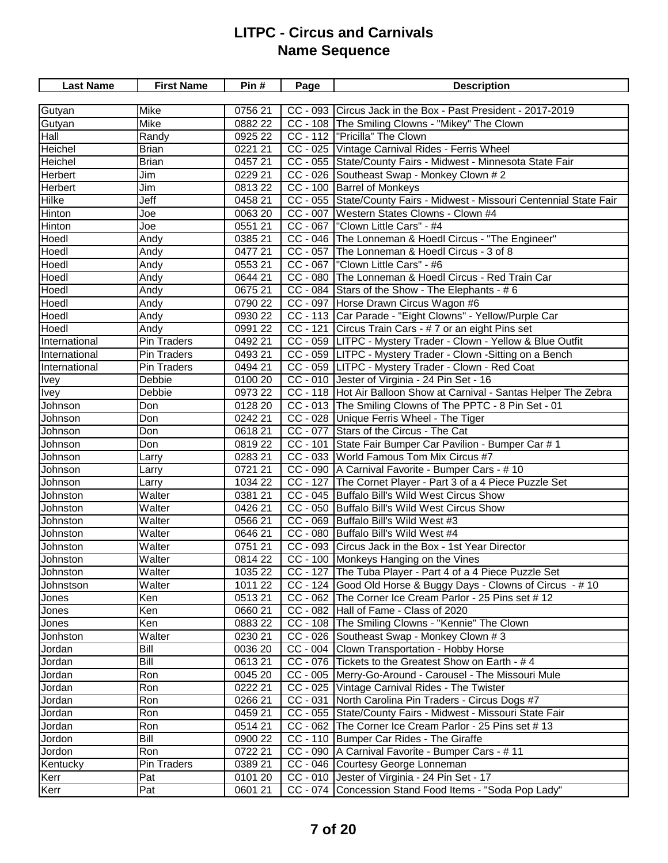| <b>Last Name</b> | <b>First Name</b>  | Pin#               | Page     | <b>Description</b>                                                     |
|------------------|--------------------|--------------------|----------|------------------------------------------------------------------------|
|                  |                    |                    |          |                                                                        |
| Gutyan           | Mike               | 0756 21            |          | CC - 093 Circus Jack in the Box - Past President - 2017-2019           |
| Gutyan           | Mike               | 0882 22            |          | CC - 108 The Smiling Clowns - "Mikey" The Clown                        |
| Hall             | Randy              | 0925 22            |          | CC - 112  "Pricilla" The Clown                                         |
| Heichel          | <b>Brian</b>       | 0221 21            |          | CC - 025 Vintage Carnival Rides - Ferris Wheel                         |
| Heichel          | <b>Brian</b>       | 0457 21            |          | CC - 055 State/County Fairs - Midwest - Minnesota State Fair           |
| Herbert          | Jim                | 0229 21            |          | CC - 026 Southeast Swap - Monkey Clown # 2                             |
| <b>Herbert</b>   | Jim                | 081322             |          | CC - 100 Barrel of Monkeys                                             |
| Hilke            | Jeff               | 0458 21            |          | CC - 055 State/County Fairs - Midwest - Missouri Centennial State Fair |
| Hinton           | Joe                | 0063 20            |          | CC - 007   Western States Clowns - Clown #4                            |
| Hinton           | Joe                | 0551 21            |          | CC - 067   "Clown Little Cars" - #4                                    |
| Hoedl            | Andy               | 0385 21            |          | CC - 046 The Lonneman & Hoedl Circus - "The Engineer"                  |
| Hoedl            | Andy               | 047721             |          | CC - 057 The Lonneman & Hoedl Circus - 3 of 8                          |
| Hoedl            | Andy               | 0553 21            |          | CC - 067   "Clown Little Cars" - #6                                    |
| Hoedl            | Andy               | 0644 21            |          | CC - 080 The Lonneman & Hoedl Circus - Red Train Car                   |
| Hoedl            | Andy               | 067521             |          | $CC - 084$ Stars of the Show - The Elephants - #6                      |
| Hoedl            | Andy               | 0790 22            |          | CC - 097 Horse Drawn Circus Wagon #6                                   |
| Hoedl            | Andy               | 0930 22            |          | CC - 113 Car Parade - "Eight Clowns" - Yellow/Purple Car               |
| Hoedl            | Andy               | 0991 22            |          | CC - 121 Circus Train Cars - # 7 or an eight Pins set                  |
| International    | Pin Traders        | 0492 21            |          | CC - 059   LITPC - Mystery Trader - Clown - Yellow & Blue Outfit       |
| International    | Pin Traders        | 0493 21            |          | CC - 059 LITPC - Mystery Trader - Clown -Sitting on a Bench            |
| International    | Pin Traders        | 0494 21            |          | CC - 059 LITPC - Mystery Trader - Clown - Red Coat                     |
| <b>Ivey</b>      | Debbie             | 0100 20            |          | CC - 010 Jester of Virginia - 24 Pin Set - 16                          |
| <b>Ivey</b>      | Debbie             | 0973 22            |          | CC - 118   Hot Air Balloon Show at Carnival - Santas Helper The Zebra  |
| Johnson          | Don                | 0128 20            |          | CC - 013 The Smiling Clowns of The PPTC - 8 Pin Set - 01               |
| Johnson          | Don                | 0242 21            |          | CC - 028 Unique Ferris Wheel - The Tiger                               |
| Johnson          | Don                | 061821             |          | CC - 077 Stars of the Circus - The Cat                                 |
| Johnson          | Don                | 081922             |          | CC - 101 State Fair Bumper Car Pavilion - Bumper Car # 1               |
| Johnson          | Larry              | 0283 21            |          | CC - 033 World Famous Tom Mix Circus #7                                |
| Johnson          | Larry              | 0721 21            |          | CC - 090   A Carnival Favorite - Bumper Cars - # 10                    |
| Johnson          | Larry              | 1034 22            | CC - 127 | The Cornet Player - Part 3 of a 4 Piece Puzzle Set                     |
| Johnston         | Walter             | 0381 21            |          | CC - 045 Buffalo Bill's Wild West Circus Show                          |
| <b>Johnston</b>  | Walter             | 0426 21            |          | CC - 050 Buffalo Bill's Wild West Circus Show                          |
| Johnston         | Walter             | 0566 21            |          | CC - 069 Buffalo Bill's Wild West #3                                   |
| Johnston         | Walter             | 0646 21            |          | CC - 080 Buffalo Bill's Wild West #4                                   |
| Johnston         | Walter             | 0751 21            |          | CC - 093 Circus Jack in the Box - 1st Year Director                    |
| Johnston         | Walter             | 0814 22            |          | CC - 100 Monkeys Hanging on the Vines                                  |
| Johnston         | Walter             | 1035 22            |          | CC - 127 The Tuba Player - Part 4 of a 4 Piece Puzzle Set              |
| Johnstson        | Walter             | 1011 22            |          | CC - 124 Good Old Horse & Buggy Days - Clowns of Circus - #10          |
| Jones            | Ken                | 051321             |          | CC - 062 The Corner Ice Cream Parlor - 25 Pins set #12                 |
| Jones            | Ken                | 066021             |          | CC - 082 Hall of Fame - Class of 2020                                  |
| Jones            | Ken                | 0883 22            |          | CC - 108 The Smiling Clowns - "Kennie" The Clown                       |
| Jonhston         | Walter             | 0230 21            |          | CC - 026 Southeast Swap - Monkey Clown #3                              |
| Jordan           | Bill               | 0036 20            |          | CC - 004 Clown Transportation - Hobby Horse                            |
| Jordan           | Bill               | 061321             |          | CC - 076 Tickets to the Greatest Show on Earth - #4                    |
| Jordan           | Ron                | 0045 20            |          | CC - 005   Merry-Go-Around - Carousel - The Missouri Mule              |
| Jordan           | Ron                | 0222 21            |          | CC - 025 Vintage Carnival Rides - The Twister                          |
| Jordan           | Ron                | 0266 21            |          | CC - 031 North Carolina Pin Traders - Circus Dogs #7                   |
| Jordan           | Ron                | 0459 21            |          | CC - 055 State/County Fairs - Midwest - Missouri State Fair            |
| Jordan           | Ron                | 0514 21            |          | CC - 062 The Corner Ice Cream Parlor - 25 Pins set #13                 |
| Jordon           | Bill               | 0900 22            |          | CC - 110 Bumper Car Rides - The Giraffe                                |
|                  | Ron                | 0722 21            |          | CC - 090   A Carnival Favorite - Bumper Cars - # 11                    |
| Jordon           |                    |                    |          | CC - 046 Courtesy George Lonneman                                      |
| Kentucky<br>Kerr | Pin Traders<br>Pat | 0389 21<br>0101 20 |          | CC - 010 Jester of Virginia - 24 Pin Set - 17                          |
|                  |                    |                    |          |                                                                        |
| Kerr             | Pat                | 0601 21            |          | CC - 074 Concession Stand Food Items - "Soda Pop Lady"                 |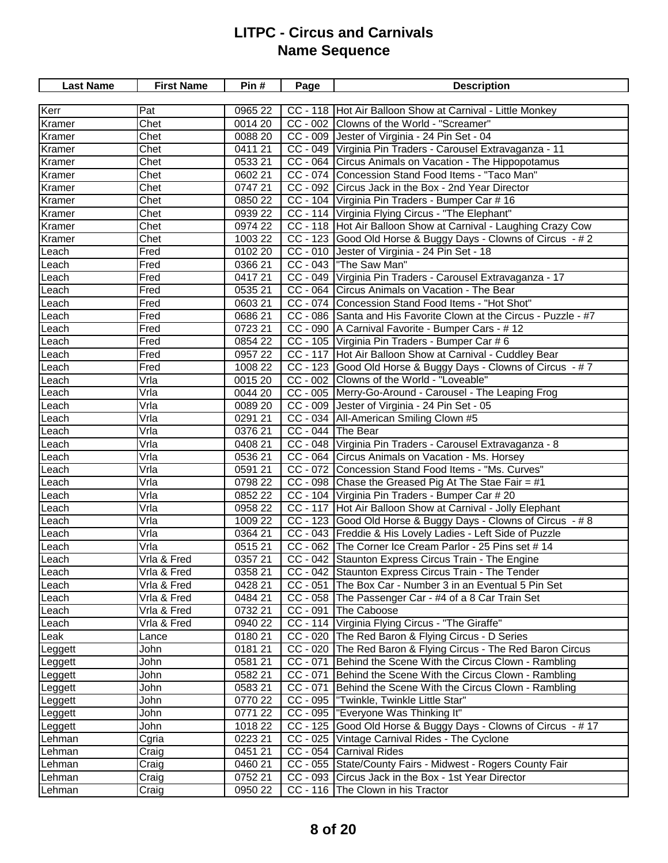| <b>Last Name</b> | <b>First Name</b> | Pin#                | Page              | <b>Description</b>                                                |
|------------------|-------------------|---------------------|-------------------|-------------------------------------------------------------------|
|                  |                   |                     |                   |                                                                   |
| Kerr             | Pat               | 0965 22             |                   | CC - 118   Hot Air Balloon Show at Carnival - Little Monkey       |
| Kramer           | Chet              | 0014 20             |                   | CC - 002 Clowns of the World - "Screamer"                         |
| Kramer           | Chet              | 0088 20             |                   | CC - 009 Jester of Virginia - 24 Pin Set - 04                     |
| Kramer           | Chet              | 0411 21             |                   | CC - 049 Virginia Pin Traders - Carousel Extravaganza - 11        |
| Kramer           | Chet              | 0533 21             |                   | CC - 064 Circus Animals on Vacation - The Hippopotamus            |
| Kramer           | Chet              | $\frac{0}{0602}$ 21 |                   | CC - 074 Concession Stand Food Items - "Taco Man"                 |
| Kramer           | Chet              | 074721              |                   | CC - 092 Circus Jack in the Box - 2nd Year Director               |
| Kramer           | Chet              | 0850 22             |                   | CC - 104 Virginia Pin Traders - Bumper Car # 16                   |
| Kramer           | Chet              | 0939 22             |                   | CC - 114 Virginia Flying Circus - "The Elephant"                  |
| Kramer           | Chet              | 0974 22             |                   | CC - 118 Hot Air Balloon Show at Carnival - Laughing Crazy Cow    |
| Kramer           | Chet              | 1003 22             |                   | CC - 123 Good Old Horse & Buggy Days - Clowns of Circus - #2      |
| Leach            | Fred              | 0102 20             |                   | CC - 010 Jester of Virginia - 24 Pin Set - 18                     |
| Leach            | Fred              | 0366 21             |                   | CC - 043 The Saw Man"                                             |
| Leach            | Fred              | 041721              |                   | CC - 049 Virginia Pin Traders - Carousel Extravaganza - 17        |
| Leach            | Fred              | 0535 21             |                   | CC - 064 Circus Animals on Vacation - The Bear                    |
| Leach            | Fred              | 0603 21             |                   | CC - 074 Concession Stand Food Items - "Hot Shot"                 |
| Leach            | Fred              | 0686 21             |                   | CC - 086 Santa and His Favorite Clown at the Circus - Puzzle - #7 |
| Leach            | Fred              | 0723 21             |                   | CC - 090   A Carnival Favorite - Bumper Cars - #12                |
| Leach            | Fred              | 0854 22             |                   | CC - 105 Virginia Pin Traders - Bumper Car # 6                    |
| Leach            | Fred              | 0957 22             |                   | CC - 117 Hot Air Balloon Show at Carnival - Cuddley Bear          |
| Leach            | Fred              | 1008 22             |                   | CC - 123 Good Old Horse & Buggy Days - Clowns of Circus - #7      |
| Leach            | Vrla              | 0015 20             |                   | CC - 002 Clowns of the World - "Loveable"                         |
| Leach            | Vrla              | 0044 20             |                   | CC - 005 Merry-Go-Around - Carousel - The Leaping Frog            |
| Leach            | Vrla              | 0089 20             |                   | CC - 009 Jester of Virginia - 24 Pin Set - 05                     |
| Leach            | Vrla              | 0291 21             |                   | CC - 034   All-American Smiling Clown #5                          |
| Leach            | Vrla              | 0376 21             | CC - 044 The Bear |                                                                   |
| Leach            | Vrla              | 0408 21             |                   | CC - 048   Virginia Pin Traders - Carousel Extravaganza - 8       |
| Leach            | Vrla              | 0536 21             |                   | CC - 064 Circus Animals on Vacation - Ms. Horsey                  |
| Leach            | Vrla              | 0591 21             |                   | CC - 072 Concession Stand Food Items - "Ms. Curves"               |
| Leach            | Vrla              | 0798 22             |                   | CC - 098 Chase the Greased Pig At The Stae Fair = $#1$            |
| Leach            | Vrla              | 0852 22             |                   | CC - 104 Virginia Pin Traders - Bumper Car # 20                   |
| Leach            | Vrla              | 0958 22             |                   | CC - 117 Hot Air Balloon Show at Carnival - Jolly Elephant        |
| Leach            | Vrla              | 1009 22             |                   | CC - 123 Good Old Horse & Buggy Days - Clowns of Circus - #8      |
| Leach            | Vrla              | 0364 21             |                   | CC - 043 Freddie & His Lovely Ladies - Left Side of Puzzle        |
| Leach            | Vrla              | 051521              |                   | CC - 062 The Corner Ice Cream Parlor - 25 Pins set #14            |
| Leach            | Vrla & Fred       | 0357 21             |                   | CC - 042 Staunton Express Circus Train - The Engine               |
| Leach            | Vrla & Fred       | 0358 21             |                   | CC - 042 Staunton Express Circus Train - The Tender               |
| Leach            | Vrla & Fred       | 0428 21             |                   | CC - 051 The Box Car - Number 3 in an Eventual 5 Pin Set          |
| Leach            | Vrla & Fred       | 0484 21             |                   | CC - 058 The Passenger Car - #4 of a 8 Car Train Set              |
| Leach            | Vrla & Fred       | 0732 21             |                   | CC - 091 The Caboose                                              |
| Leach            | Vrla & Fred       | 0940 22             |                   | CC - 114 Virginia Flying Circus - "The Giraffe"                   |
| Leak             | Lance             | 0180 21             |                   | CC - 020 The Red Baron & Flying Circus - D Series                 |
| Leggett          | John              | 018121              |                   | CC - 020 The Red Baron & Flying Circus - The Red Baron Circus     |
| Leggett          | John              | 0581 21             | $CC - 071$        | Behind the Scene With the Circus Clown - Rambling                 |
| Leggett          | John              | 0582 21             | $CC - 071$        | Behind the Scene With the Circus Clown - Rambling                 |
| Leggett          | John              | 0583 21             | $CC - 071$        | Behind the Scene With the Circus Clown - Rambling                 |
| Leggett          | John              | 0770 22             | $CC - 095$        | "Twinkle, Twinkle Little Star"                                    |
| Leggett          | John              | 0771 22             |                   | CC - 095  "Everyone Was Thinking It"                              |
| Leggett          | John              | 1018 22             |                   | CC - 125 Good Old Horse & Buggy Days - Clowns of Circus - #17     |
| Lehman           | Cgria             | 0223 21             |                   | CC - 025   Vintage Carnival Rides - The Cyclone                   |
| Lehman           | Craig             | 0451 21             |                   | CC - 054 Carnival Rides                                           |
| Lehman           | Craig             | 0460 21             |                   | CC - 055 State/County Fairs - Midwest - Rogers County Fair        |
| Lehman           | Craig             | 0752 21             |                   | CC - 093 Circus Jack in the Box - 1st Year Director               |
| Lehman           | Craig             | 0950 22             |                   | CC - 116 The Clown in his Tractor                                 |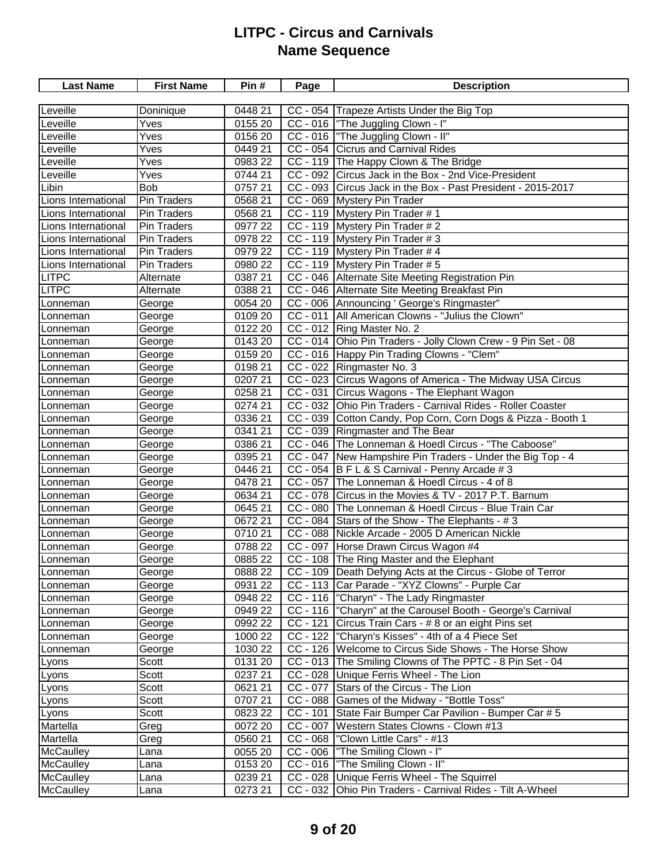| <b>Last Name</b>    | <b>First Name</b>  | Pin#                | Page       | <b>Description</b>                                            |
|---------------------|--------------------|---------------------|------------|---------------------------------------------------------------|
|                     |                    |                     |            |                                                               |
| Leveille            | Doninique          | $\frac{1}{0448}$ 21 |            | CC - 054 Trapeze Artists Under the Big Top                    |
| Leveille            | Yves               | 0155 20             |            | CC - 016 The Juggling Clown - I"                              |
| Leveille            | Yves               | 0156 20             |            | CC - 016 The Juggling Clown - II"                             |
| Leveille            | Yves               | 0449 21             |            | CC - 054 Cicrus and Carnival Rides                            |
| Leveille            | Yves               | 0983 22             |            | CC - 119 The Happy Clown & The Bridge                         |
| Leveille            | Yves               | 0744 21             |            | CC - 092 Circus Jack in the Box - 2nd Vice-President          |
| Libin               | <b>Bob</b>         | 0757 21             |            | CC - 093 Circus Jack in the Box - Past President - 2015-2017  |
| Lions International | <b>Pin Traders</b> | 0568 21             |            | CC - 069 Mystery Pin Trader                                   |
| Lions International | <b>Pin Traders</b> | 0568 21             |            | CC - 119 Mystery Pin Trader #1                                |
| Lions International | <b>Pin Traders</b> | 0977 22             |            | CC - 119 Mystery Pin Trader # 2                               |
| Lions International | <b>Pin Traders</b> | 0978 22             |            | CC - 119 Mystery Pin Trader # 3                               |
| Lions International | Pin Traders        | 0979 22             |            | CC - 119 Mystery Pin Trader # 4                               |
| Lions International | <b>Pin Traders</b> | 0980 22             |            | CC - 119 Mystery Pin Trader # 5                               |
| <b>LITPC</b>        | Alternate          | 0387 21             |            | CC - 046 Alternate Site Meeting Registration Pin              |
| <b>LITPC</b>        | Alternate          | 0388 21             |            | CC - 046 Alternate Site Meeting Breakfast Pin                 |
| Lonneman            | George             | $\overline{0}05420$ |            | CC - 006 Announcing ' George's Ringmaster"                    |
| Lonneman            | George             | 0109 20             |            | CC - 011   All American Clowns - "Julius the Clown"           |
| Lonneman            | George             | 0122 20             |            | CC - 012 Ring Master No. 2                                    |
| Lonneman            | George             | 0143 20             |            | CC - 014 Ohio Pin Traders - Jolly Clown Crew - 9 Pin Set - 08 |
| Lonneman            | George             | 0159 20             |            | CC - 016 Happy Pin Trading Clowns - "Clem"                    |
| Lonneman            | George             | 0198 21             |            | CC - 022 Ringmaster No. 3                                     |
| Lonneman            | George             | 0207 21             |            | CC - 023 Circus Wagons of America - The Midway USA Circus     |
| Lonneman            | George             | 0258 21             |            | CC - 031 Circus Wagons - The Elephant Wagon                   |
| Lonneman            | George             | 0274 21             |            | CC - 032 Ohio Pin Traders - Carnival Rides - Roller Coaster   |
| Lonneman            | George             | 0336 21             |            | CC - 039 Cotton Candy, Pop Corn, Corn Dogs & Pizza - Booth 1  |
| Lonneman            | George             | 0341 21             |            | CC - 039   Ringmaster and The Bear                            |
| Lonneman            | George             | 0386 21             |            | CC - 046 The Lonneman & Hoedl Circus - "The Caboose"          |
| Lonneman            | George             | 0395 21             |            | CC - 047 New Hampshire Pin Traders - Under the Big Top - 4    |
| Lonneman            | George             | 0446 21             |            | CC - 054 B F L & S Carnival - Penny Arcade # 3                |
| Lonneman            | George             | 0478 21             | $CC - 057$ | The Lonneman & Hoedl Circus - 4 of 8                          |
| Lonneman            | George             | 0634 21             | CC - 078   | Circus in the Movies & TV - 2017 P.T. Barnum                  |
| Lonneman            | George             | 0645 21             |            | CC - 080 The Lonneman & Hoedl Circus - Blue Train Car         |
| Lonneman            | George             | 0672 21             |            | $CC - 084$ Stars of the Show - The Elephants - #3             |
| Lonneman            | George             | 0710 21             |            | CC - 088 Nickle Arcade - 2005 D American Nickle               |
| Lonneman            | George             | 0788 22             |            | CC - 097 Horse Drawn Circus Wagon #4                          |
| Lonneman            | George             | 0885 22             |            | CC - 108 The Ring Master and the Elephant                     |
| Lonneman            | George             | 0888 22             |            | CC - 109   Death Defying Acts at the Circus - Globe of Terror |
| Lonneman            | George             | 0931 22             |            | CC - 113 Car Parade - "XYZ Clowns" - Purple Car               |
| Lonneman            | George             | 0948 22             |            | CC - 116  "Charyn" - The Lady Ringmaster                      |
| Lonneman            | George             | 0949 22             |            | CC - 116  "Charyn" at the Carousel Booth - George's Carnival  |
| Lonneman            | George             | 0992 22             |            | CC - 121 Circus Train Cars - # 8 or an eight Pins set         |
| Lonneman            | George             | 1000 22             |            | CC - 122  "Charyn's Kisses" - 4th of a 4 Piece Set            |
| Lonneman            | George             | 1030 22             |            | CC - 126 Welcome to Circus Side Shows - The Horse Show        |
| Lyons               | Scott              | 0131 20             |            | CC - 013 The Smiling Clowns of The PPTC - 8 Pin Set - 04      |
| Lyons               | Scott              | 0237 21             |            | CC - 028 Unique Ferris Wheel - The Lion                       |
| Lyons               | Scott              | 0621 21             |            | CC - 077 Stars of the Circus - The Lion                       |
| Lyons               | Scott              | 0707 21             |            | CC - 088 Games of the Midway - "Bottle Toss"                  |
| Lyons               | Scott              | 0823 22             | $CC - 101$ | State Fair Bumper Car Pavilion - Bumper Car # 5               |
| Martella            | Greg               | 0072 20             | $CC - 007$ | Western States Clowns - Clown #13                             |
| Martella            | Greg               | 0560 21             |            | $CC - 068$  "Clown Little Cars" - #13                         |
| <b>McCaulley</b>    | Lana               | 0055 20             |            | CC - 006   "The Smiling Clown - I"                            |
| <b>McCaulley</b>    | Lana               | 0153 20             |            | CC - 016   "The Smiling Clown - II"                           |
| <b>McCaulley</b>    | Lana               | 0239 21             |            | CC - 028 Unique Ferris Wheel - The Squirrel                   |
| McCaulley           | Lana               | 0273 21             |            | CC - 032 Ohio Pin Traders - Carnival Rides - Tilt A-Wheel     |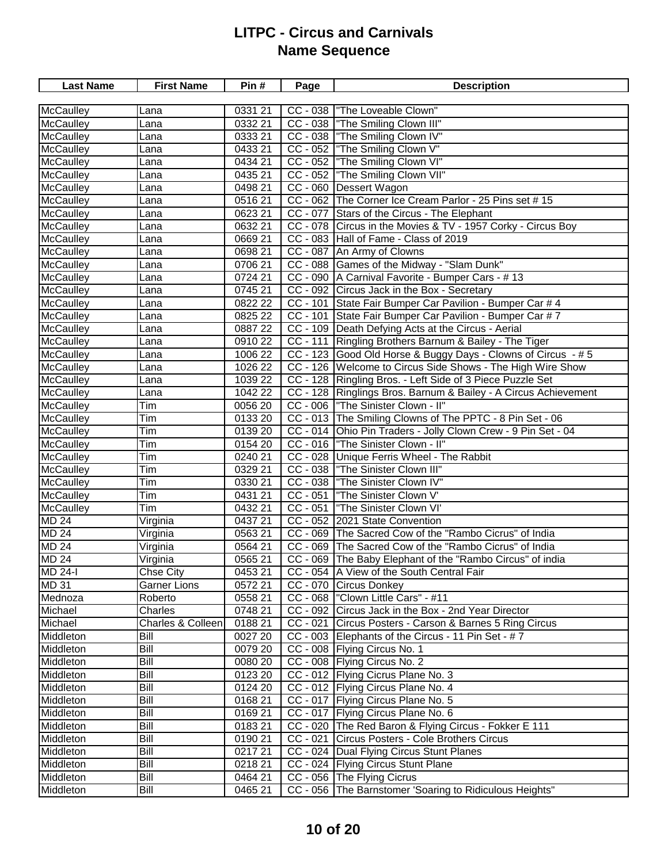| <b>Last Name</b>             | <b>First Name</b>                | Pin #                 | Page       | <b>Description</b>                                                                       |
|------------------------------|----------------------------------|-----------------------|------------|------------------------------------------------------------------------------------------|
|                              |                                  |                       |            |                                                                                          |
| McCaulley                    | Lana                             | 0331 21               |            | CC - 038 The Loveable Clown"                                                             |
| McCaulley                    | Lana                             | 0332 21               |            | CC - 038 The Smiling Clown III"                                                          |
| McCaulley                    | Lana                             | 0333 21               |            | CC - 038  "The Smiling Clown IV"                                                         |
| <b>McCaulley</b>             | Lana                             | 0433 21               |            | CC - 052 The Smiling Clown V"                                                            |
| McCaulley                    | Lana                             | 0434 21               |            | CC - 052 The Smiling Clown VI"                                                           |
| McCaulley                    | Lana                             | 0435 21               |            | CC - 052 The Smiling Clown VII"                                                          |
| McCaulley                    | Lana                             | 0498 21               |            | CC - 060 Dessert Wagon                                                                   |
| McCaulley                    | Lana                             | $\overline{0}$ 516 21 |            | CC - 062 The Corner Ice Cream Parlor - 25 Pins set #15                                   |
| McCaulley                    | Lana                             | 0623 21               |            | CC - 077 Stars of the Circus - The Elephant                                              |
| McCaulley                    | Lana                             | 0632 21               |            | CC - 078 Circus in the Movies & TV - 1957 Corky - Circus Boy                             |
| <b>McCaulley</b>             | Lana                             | 066921                |            | CC - 083 Hall of Fame - Class of 2019                                                    |
| <b>McCaulley</b>             | Lana                             | 0698 21               |            | CC - 087 An Army of Clowns                                                               |
| McCaulley                    | Lana                             | 0706 21               |            | CC - 088 Games of the Midway - "Slam Dunk"                                               |
| McCaulley                    | Lana                             | 0724 21               |            | CC - 090   A Carnival Favorite - Bumper Cars - # 13                                      |
| McCaulley                    | Lana                             | 0745 21               |            | CC - 092 Circus Jack in the Box - Secretary                                              |
| McCaulley                    | Lana                             | 0822 22               |            | CC - 101 State Fair Bumper Car Pavilion - Bumper Car # 4                                 |
| McCaulley                    | Lana                             | 0825 22               |            | CC - 101 State Fair Bumper Car Pavilion - Bumper Car # 7                                 |
| McCaulley                    | Lana                             | 0887 22               |            | CC - 109 Death Defying Acts at the Circus - Aerial                                       |
| McCaulley                    | Lana                             | 0910 22               |            | CC - 111 Ringling Brothers Barnum & Bailey - The Tiger                                   |
| McCaulley                    | Lana                             | 1006 22               |            | CC - 123 Good Old Horse & Buggy Days - Clowns of Circus - # 5                            |
| McCaulley                    | Lana                             | 1026 22               |            | CC - 126 Welcome to Circus Side Shows - The High Wire Show                               |
| McCaulley                    | Lana                             | 1039 22               |            | CC - 128   Ringling Bros. - Left Side of 3 Piece Puzzle Set                              |
| McCaulley                    | Lana                             | 1042 22               |            | CC - 128 Ringlings Bros. Barnum & Bailey - A Circus Achievement                          |
| McCaulley                    | Tim                              | 0056 20               |            | CC - 006 The Sinister Clown - II"                                                        |
| McCaulley                    | Tim                              | 0133 20               |            | CC - 013 The Smiling Clowns of The PPTC - 8 Pin Set - 06                                 |
| McCaulley                    | Tim                              | 0139 20               |            | CC - 014 Ohio Pin Traders - Jolly Clown Crew - 9 Pin Set - 04                            |
| McCaulley                    | Tim                              | 0154 20               |            | CC - 016  "The Sinister Clown - II"                                                      |
| McCaulley                    | Tim                              | 0240 21               |            | CC - 028 Unique Ferris Wheel - The Rabbit                                                |
| McCaulley                    | Tim                              | 0329 21               |            | CC - 038   "The Sinister Clown III"                                                      |
| McCaulley                    | Tim                              | 0330 21               |            | CC - 038  "The Sinister Clown IV"                                                        |
| <b>McCaulley</b>             | Tim                              | 0431 21               | $CC - 051$ | "The Sinister Clown V'                                                                   |
| McCaulley<br><b>MD 24</b>    | Tim                              | 0432 21               | $CC - 051$ | "The Sinister Clown VI"                                                                  |
|                              | Virginia                         | 0437 21               |            | CC - 052 2021 State Convention<br>CC - 069 The Sacred Cow of the "Rambo Cicrus" of India |
| <b>MD 24</b><br><b>MD 24</b> | Virginia                         | 056321<br>0564 21     |            | CC - 069 The Sacred Cow of the "Rambo Cicrus" of India                                   |
| <b>MD 24</b>                 | Virginia                         |                       |            | CC - 069 The Baby Elephant of the "Rambo Circus" of india                                |
| <b>MD 24-1</b>               | Virginia                         | 056521                |            | CC - 054 A View of the South Central Fair                                                |
| <b>MD 31</b>                 | Chse City<br><b>Garner Lions</b> | 0453 21<br>0572 21    |            | CC - 070 Circus Donkey                                                                   |
| Mednoza                      | Roberto                          | 0558 21               |            | CC - 068  "Clown Little Cars" - #11                                                      |
| Michael                      | Charles                          | 0748 21               |            | CC - 092 Circus Jack in the Box - 2nd Year Director                                      |
| Michael                      | Charles & Colleen                | 0188 21               |            | CC - 021 Circus Posters - Carson & Barnes 5 Ring Circus                                  |
| Middleton                    | Bill                             | 0027 20               |            | CC - 003 Elephants of the Circus - 11 Pin Set - #7                                       |
| Middleton                    | Bill                             | 0079 20               |            | CC - 008 Flying Circus No. 1                                                             |
| Middleton                    | Bill                             | 0080 20               |            | CC - 008 Flying Circus No. 2                                                             |
| Middleton                    | Bill                             | 0123 20               |            | CC - 012 Flying Cicrus Plane No. 3                                                       |
| Middleton                    | Bill                             | 0124 20               |            | CC - 012 Flying Circus Plane No. 4                                                       |
| Middleton                    | Bill                             | 016821                |            | CC - 017 Flying Circus Plane No. 5                                                       |
| Middleton                    | Bill                             | 016921                |            | CC - 017 Flying Circus Plane No. 6                                                       |
| Middleton                    | Bill                             | 018321                |            | CC - 020 The Red Baron & Flying Circus - Fokker E 111                                    |
| Middleton                    | Bill                             | 0190 21               |            | CC - 021 Circus Posters - Cole Brothers Circus                                           |
| Middleton                    | Bill                             | 0217 21               |            | CC - 024   Dual Flying Circus Stunt Planes                                               |
| Middleton                    | Bill                             | 0218 21               |            | CC - 024 Flying Circus Stunt Plane                                                       |
| Middleton                    | Bill                             | 0464 21               |            | CC - 056 The Flying Cicrus                                                               |
| Middleton                    | Bill                             | 046521                |            | CC - 056 The Barnstomer 'Soaring to Ridiculous Heights"                                  |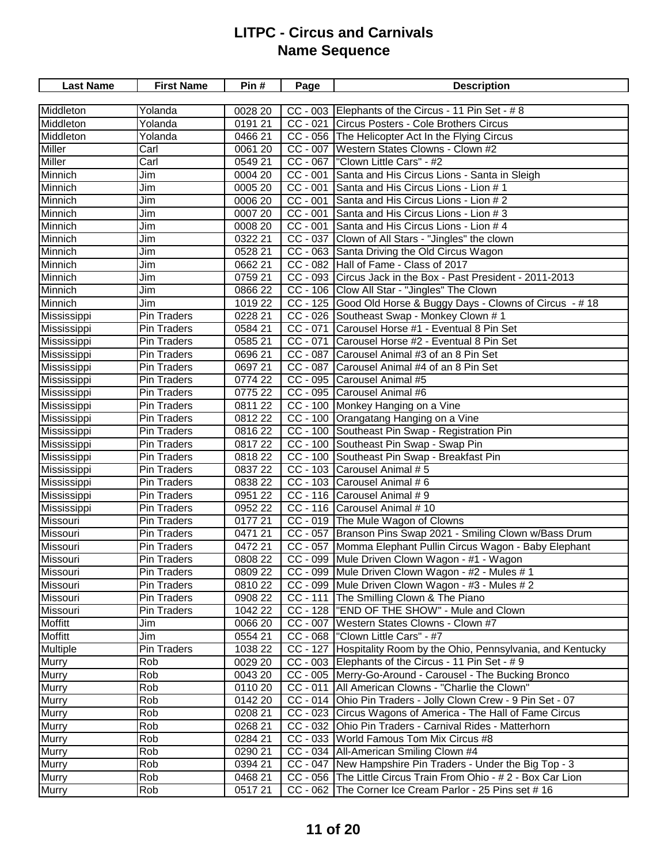| <b>Last Name</b> | <b>First Name</b>  | Pin #   | Page       | <b>Description</b>                                              |
|------------------|--------------------|---------|------------|-----------------------------------------------------------------|
|                  |                    |         |            |                                                                 |
| Middleton        | Yolanda            | 0028 20 |            | CC - 003 Elephants of the Circus - 11 Pin Set - #8              |
| Middleton        | Yolanda            | 0191 21 |            | CC - 021 Circus Posters - Cole Brothers Circus                  |
| Middleton        | Yolanda            | 0466 21 |            | CC - 056 The Helicopter Act In the Flying Circus                |
| <b>Miller</b>    | Carl               | 0061 20 |            | CC - 007 Western States Clowns - Clown #2                       |
| Miller           | Carl               | 0549 21 |            | CC - 067   "Clown Little Cars" - #2                             |
| Minnich          | Jim                | 0004 20 | $CC - 001$ | Santa and His Circus Lions - Santa in Sleigh                    |
| <b>Minnich</b>   | Jim                | 0005 20 |            | CC - 001 Santa and His Circus Lions - Lion # 1                  |
| Minnich          | Jim                | 0006 20 |            | CC - 001 Santa and His Circus Lions - Lion # 2                  |
| Minnich          | Jim                | 0007 20 |            | CC - 001 Santa and His Circus Lions - Lion # 3                  |
| Minnich          | Jim                | 0008 20 |            | CC - 001 Santa and His Circus Lions - Lion # 4                  |
| Minnich          | Jim                | 0322 21 |            | CC - 037 Clown of All Stars - "Jingles" the clown               |
| <b>Minnich</b>   | Jim                | 0528 21 |            | CC - 063 Santa Driving the Old Circus Wagon                     |
| Minnich          | Jim                | 0662 21 |            | CC - 082 Hall of Fame - Class of 2017                           |
| Minnich          | Jim                | 0759 21 |            | CC - 093 Circus Jack in the Box - Past President - 2011-2013    |
| Minnich          | Jim                | 0866 22 |            | CC - 106 Clow All Star - "Jingles" The Clown                    |
| Minnich          | Jim                | 1019 22 |            | CC - 125 Good Old Horse & Buggy Days - Clowns of Circus - #18   |
| Mississippi      | <b>Pin Traders</b> | 0228 21 |            | CC - 026 Southeast Swap - Monkey Clown # 1                      |
| Mississippi      | <b>Pin Traders</b> | 0584 21 | $CC - 071$ | Carousel Horse #1 - Eventual 8 Pin Set                          |
| Mississippi      | Pin Traders        | 0585 21 |            | CC - 071 Carousel Horse #2 - Eventual 8 Pin Set                 |
| Mississippi      | Pin Traders        | 0696 21 |            | CC - 087 Carousel Animal #3 of an 8 Pin Set                     |
| Mississippi      | Pin Traders        | 0697 21 |            | CC - 087 Carousel Animal #4 of an 8 Pin Set                     |
| Mississippi      | <b>Pin Traders</b> | 0774 22 |            | CC - 095 Carousel Animal #5                                     |
| Mississippi      | <b>Pin Traders</b> | 0775 22 |            | CC - 095 Carousel Animal #6                                     |
| Mississippi      | <b>Pin Traders</b> | 0811 22 |            | CC - 100 Monkey Hanging on a Vine                               |
| Mississippi      | <b>Pin Traders</b> | 0812 22 |            | CC - 100 Orangatang Hanging on a Vine                           |
| Mississippi      | Pin Traders        | 0816 22 |            | CC - 100 Southeast Pin Swap - Registration Pin                  |
| Mississippi      | Pin Traders        | 081722  |            | CC - 100 Southeast Pin Swap - Swap Pin                          |
| Mississippi      | Pin Traders        | 081822  |            | CC - 100 Southeast Pin Swap - Breakfast Pin                     |
| Mississippi      | <b>Pin Traders</b> | 0837 22 |            | CC - 103 Carousel Animal # 5                                    |
| Mississippi      | Pin Traders        | 0838 22 |            | CC - 103 Carousel Animal # 6                                    |
| Mississippi      | <b>Pin Traders</b> | 0951 22 |            | $\overline{CC}$ - 116 Carousel Animal # 9                       |
| Mississippi      | Pin Traders        | 0952 22 |            | CC - 116 Carousel Animal # 10                                   |
| Missouri         | <b>Pin Traders</b> | 0177 21 |            | CC - 019 The Mule Wagon of Clowns                               |
| Missouri         | Pin Traders        | 0471 21 |            | CC - 057 Branson Pins Swap 2021 - Smiling Clown w/Bass Drum     |
| Missouri         | Pin Traders        | 0472 21 |            | CC - 057 Momma Elephant Pullin Circus Wagon - Baby Elephant     |
| <b>Missouri</b>  | <b>Pin Traders</b> | 0808 22 |            | CC - 099 Mule Driven Clown Wagon - #1 - Wagon                   |
| Missouri         | Pin Traders        | 0809 22 |            | CC - 099 Mule Driven Clown Wagon - #2 - Mules # 1               |
| Missouri         | Pin Traders        | 0810 22 |            | CC - 099 Mule Driven Clown Wagon - #3 - Mules # 2               |
| Missouri         | Pin Traders        | 0908 22 | $CC - 111$ | The Smilling Clown & The Piano                                  |
| Missouri         | Pin Traders        | 1042 22 |            | CC - 128  "END OF THE SHOW" - Mule and Clown                    |
| Moffitt          | Jim                | 0066 20 | $CC - 007$ | Western States Clowns - Clown #7                                |
| Moffitt          | Jim                | 0554 21 |            | CC - 068   "Clown Little Cars" - #7                             |
| Multiple         | Pin Traders        | 1038 22 | $CC - 127$ | Hospitality Room by the Ohio, Pennsylvania, and Kentucky        |
| <b>Murry</b>     | Rob                | 0029 20 |            | CC - 003 Elephants of the Circus - 11 Pin Set - #9              |
| <b>Murry</b>     | Rob                | 0043 20 |            | CC - 005 Merry-Go-Around - Carousel - The Bucking Bronco        |
| <b>Murry</b>     | Rob                | 0110 20 |            | CC - 011   All American Clowns - "Charlie the Clown"            |
| <b>Murry</b>     | Rob                | 0142 20 |            | CC - 014 Ohio Pin Traders - Jolly Clown Crew - 9 Pin Set - 07   |
| <b>Murry</b>     | Rob                | 0208 21 |            | CC - 023 Circus Wagons of America - The Hall of Fame Circus     |
| <b>Murry</b>     | Rob                | 0268 21 |            | CC - 032 Ohio Pin Traders - Carnival Rides - Matterhorn         |
| <b>Murry</b>     | Rob                | 0284 21 |            | CC - 033 World Famous Tom Mix Circus #8                         |
| <b>Murry</b>     | Rob                | 0290 21 |            | CC - 034   All-American Smiling Clown #4                        |
| <b>Murry</b>     | Rob                | 0394 21 |            | CC - 047 New Hampshire Pin Traders - Under the Big Top - 3      |
| <b>Murry</b>     | Rob                | 0468 21 |            | CC - 056 The Little Circus Train From Ohio - # 2 - Box Car Lion |
| <b>Murry</b>     | Rob                | 051721  |            | CC - 062 The Corner Ice Cream Parlor - 25 Pins set #16          |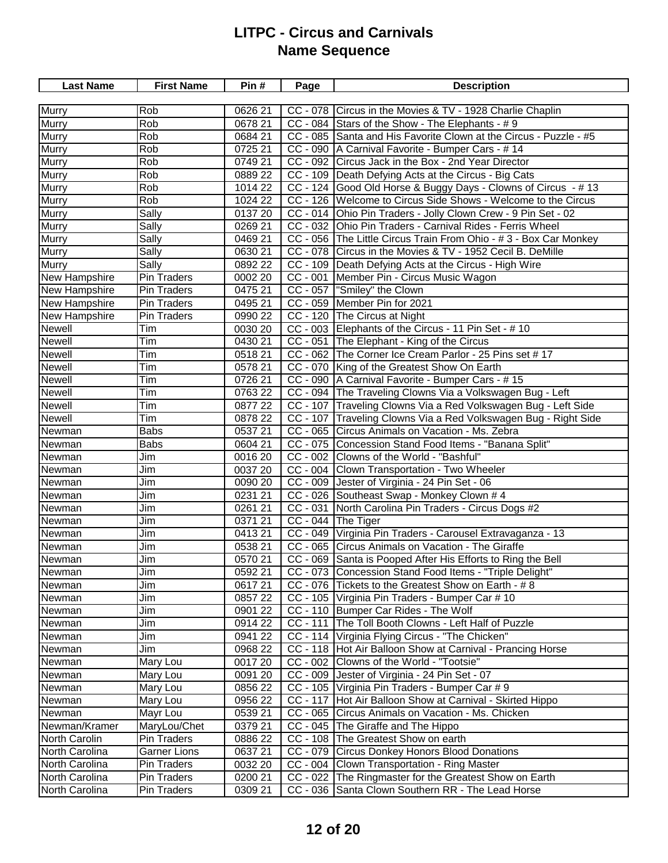| Murry<br>Rob<br>0626 21<br>CC - 078 Circus in the Movies & TV - 1928 Charlie Chaplin<br>Murry<br>Rob<br>0678 21<br>CC - 084 Stars of the Show - The Elephants - # 9<br>Murry<br>Rob<br>0684 21<br>CC - 085 Santa and His Favorite Clown at the Circus - Puzzle - #5<br><b>Murry</b><br>0725 21<br>Rob<br>CC - 090 A Carnival Favorite - Bumper Cars - # 14<br><b>Murry</b><br>CC - 092 Circus Jack in the Box - 2nd Year Director<br>Rob<br>0749 21<br>Murry<br>Rob<br>CC - 109   Death Defying Acts at the Circus - Big Cats<br>0889 22<br>Murry<br>CC - 124 Good Old Horse & Buggy Days - Clowns of Circus - # 13<br>Rob<br>1014 22<br>Murry<br>CC - 126 Welcome to Circus Side Shows - Welcome to the Circus<br>Rob<br>1024 22<br><b>Murry</b><br>CC - 014 Ohio Pin Traders - Jolly Clown Crew - 9 Pin Set - 02<br>Sally<br>0137 20<br><b>Murry</b><br>CC - 032 Ohio Pin Traders - Carnival Rides - Ferris Wheel<br>Sally<br>0269 21<br><b>Murry</b><br>CC - 056 The Little Circus Train From Ohio - #3 - Box Car Monkey<br>0469 21<br>Sally<br><b>Murry</b><br>CC - 078 Circus in the Movies & TV - 1952 Cecil B. DeMille<br>Sally<br>0630 21<br><b>Murry</b><br>Sally<br>CC - 109 Death Defying Acts at the Circus - High Wire<br>0892 22<br>CC - 001 Member Pin - Circus Music Wagon<br>New Hampshire<br>Pin Traders<br>0002 20<br>CC - 057  "Smiley" the Clown<br><b>New Hampshire</b><br><b>Pin Traders</b><br>0475 21<br>CC - 059 Member Pin for 2021<br>New Hampshire<br><b>Pin Traders</b><br>0495 21<br>CC - 120 The Circus at Night<br>New Hampshire<br><b>Pin Traders</b><br>0990 22<br>Newell<br>CC - 003 Elephants of the Circus - 11 Pin Set - # 10<br>Tim<br>0030 20<br>Newell<br>Tim<br>CC - 051 The Elephant - King of the Circus<br>0430 21<br>Newell<br>Tim<br>CC - 062 The Corner Ice Cream Parlor - 25 Pins set #17<br>051821<br>Newell<br>Tim<br>CC - 070 King of the Greatest Show On Earth<br>0578 21<br>CC - 090   A Carnival Favorite - Bumper Cars - #15<br><b>Newell</b><br>Tim<br>0726 21<br>Tim<br>CC - 094 The Traveling Clowns Via a Volkswagen Bug - Left<br>Newell<br>0763 22<br>Tim<br>CC - 107 Traveling Clowns Via a Red Volkswagen Bug - Left Side<br>Newell<br>0877 22<br>Tim<br>Newell<br>CC - 107 Traveling Clowns Via a Red Volkswagen Bug - Right Side<br>0878 22<br>Newman<br><b>Babs</b><br>CC - 065 Circus Animals on Vacation - Ms. Zebra<br>0537 21<br>Newman<br><b>Babs</b><br>CC - 075 Concession Stand Food Items - "Banana Split"<br>0604 21<br>CC - 002 Clowns of the World - "Bashful"<br>Newman<br>Jim<br>0016 20 | <b>Last Name</b> | <b>First Name</b> | Pin# | Page | <b>Description</b> |
|-----------------------------------------------------------------------------------------------------------------------------------------------------------------------------------------------------------------------------------------------------------------------------------------------------------------------------------------------------------------------------------------------------------------------------------------------------------------------------------------------------------------------------------------------------------------------------------------------------------------------------------------------------------------------------------------------------------------------------------------------------------------------------------------------------------------------------------------------------------------------------------------------------------------------------------------------------------------------------------------------------------------------------------------------------------------------------------------------------------------------------------------------------------------------------------------------------------------------------------------------------------------------------------------------------------------------------------------------------------------------------------------------------------------------------------------------------------------------------------------------------------------------------------------------------------------------------------------------------------------------------------------------------------------------------------------------------------------------------------------------------------------------------------------------------------------------------------------------------------------------------------------------------------------------------------------------------------------------------------------------------------------------------------------------------------------------------------------------------------------------------------------------------------------------------------------------------------------------------------------------------------------------------------------------------------------------------------------------------------------------------------------------------------------------------------------------------------------------------------------------------------------------------------------------------------------------------|------------------|-------------------|------|------|--------------------|
|                                                                                                                                                                                                                                                                                                                                                                                                                                                                                                                                                                                                                                                                                                                                                                                                                                                                                                                                                                                                                                                                                                                                                                                                                                                                                                                                                                                                                                                                                                                                                                                                                                                                                                                                                                                                                                                                                                                                                                                                                                                                                                                                                                                                                                                                                                                                                                                                                                                                                                                                                                             |                  |                   |      |      |                    |
|                                                                                                                                                                                                                                                                                                                                                                                                                                                                                                                                                                                                                                                                                                                                                                                                                                                                                                                                                                                                                                                                                                                                                                                                                                                                                                                                                                                                                                                                                                                                                                                                                                                                                                                                                                                                                                                                                                                                                                                                                                                                                                                                                                                                                                                                                                                                                                                                                                                                                                                                                                             |                  |                   |      |      |                    |
|                                                                                                                                                                                                                                                                                                                                                                                                                                                                                                                                                                                                                                                                                                                                                                                                                                                                                                                                                                                                                                                                                                                                                                                                                                                                                                                                                                                                                                                                                                                                                                                                                                                                                                                                                                                                                                                                                                                                                                                                                                                                                                                                                                                                                                                                                                                                                                                                                                                                                                                                                                             |                  |                   |      |      |                    |
|                                                                                                                                                                                                                                                                                                                                                                                                                                                                                                                                                                                                                                                                                                                                                                                                                                                                                                                                                                                                                                                                                                                                                                                                                                                                                                                                                                                                                                                                                                                                                                                                                                                                                                                                                                                                                                                                                                                                                                                                                                                                                                                                                                                                                                                                                                                                                                                                                                                                                                                                                                             |                  |                   |      |      |                    |
|                                                                                                                                                                                                                                                                                                                                                                                                                                                                                                                                                                                                                                                                                                                                                                                                                                                                                                                                                                                                                                                                                                                                                                                                                                                                                                                                                                                                                                                                                                                                                                                                                                                                                                                                                                                                                                                                                                                                                                                                                                                                                                                                                                                                                                                                                                                                                                                                                                                                                                                                                                             |                  |                   |      |      |                    |
|                                                                                                                                                                                                                                                                                                                                                                                                                                                                                                                                                                                                                                                                                                                                                                                                                                                                                                                                                                                                                                                                                                                                                                                                                                                                                                                                                                                                                                                                                                                                                                                                                                                                                                                                                                                                                                                                                                                                                                                                                                                                                                                                                                                                                                                                                                                                                                                                                                                                                                                                                                             |                  |                   |      |      |                    |
|                                                                                                                                                                                                                                                                                                                                                                                                                                                                                                                                                                                                                                                                                                                                                                                                                                                                                                                                                                                                                                                                                                                                                                                                                                                                                                                                                                                                                                                                                                                                                                                                                                                                                                                                                                                                                                                                                                                                                                                                                                                                                                                                                                                                                                                                                                                                                                                                                                                                                                                                                                             |                  |                   |      |      |                    |
|                                                                                                                                                                                                                                                                                                                                                                                                                                                                                                                                                                                                                                                                                                                                                                                                                                                                                                                                                                                                                                                                                                                                                                                                                                                                                                                                                                                                                                                                                                                                                                                                                                                                                                                                                                                                                                                                                                                                                                                                                                                                                                                                                                                                                                                                                                                                                                                                                                                                                                                                                                             |                  |                   |      |      |                    |
|                                                                                                                                                                                                                                                                                                                                                                                                                                                                                                                                                                                                                                                                                                                                                                                                                                                                                                                                                                                                                                                                                                                                                                                                                                                                                                                                                                                                                                                                                                                                                                                                                                                                                                                                                                                                                                                                                                                                                                                                                                                                                                                                                                                                                                                                                                                                                                                                                                                                                                                                                                             |                  |                   |      |      |                    |
|                                                                                                                                                                                                                                                                                                                                                                                                                                                                                                                                                                                                                                                                                                                                                                                                                                                                                                                                                                                                                                                                                                                                                                                                                                                                                                                                                                                                                                                                                                                                                                                                                                                                                                                                                                                                                                                                                                                                                                                                                                                                                                                                                                                                                                                                                                                                                                                                                                                                                                                                                                             |                  |                   |      |      |                    |
|                                                                                                                                                                                                                                                                                                                                                                                                                                                                                                                                                                                                                                                                                                                                                                                                                                                                                                                                                                                                                                                                                                                                                                                                                                                                                                                                                                                                                                                                                                                                                                                                                                                                                                                                                                                                                                                                                                                                                                                                                                                                                                                                                                                                                                                                                                                                                                                                                                                                                                                                                                             |                  |                   |      |      |                    |
|                                                                                                                                                                                                                                                                                                                                                                                                                                                                                                                                                                                                                                                                                                                                                                                                                                                                                                                                                                                                                                                                                                                                                                                                                                                                                                                                                                                                                                                                                                                                                                                                                                                                                                                                                                                                                                                                                                                                                                                                                                                                                                                                                                                                                                                                                                                                                                                                                                                                                                                                                                             |                  |                   |      |      |                    |
|                                                                                                                                                                                                                                                                                                                                                                                                                                                                                                                                                                                                                                                                                                                                                                                                                                                                                                                                                                                                                                                                                                                                                                                                                                                                                                                                                                                                                                                                                                                                                                                                                                                                                                                                                                                                                                                                                                                                                                                                                                                                                                                                                                                                                                                                                                                                                                                                                                                                                                                                                                             |                  |                   |      |      |                    |
|                                                                                                                                                                                                                                                                                                                                                                                                                                                                                                                                                                                                                                                                                                                                                                                                                                                                                                                                                                                                                                                                                                                                                                                                                                                                                                                                                                                                                                                                                                                                                                                                                                                                                                                                                                                                                                                                                                                                                                                                                                                                                                                                                                                                                                                                                                                                                                                                                                                                                                                                                                             |                  |                   |      |      |                    |
|                                                                                                                                                                                                                                                                                                                                                                                                                                                                                                                                                                                                                                                                                                                                                                                                                                                                                                                                                                                                                                                                                                                                                                                                                                                                                                                                                                                                                                                                                                                                                                                                                                                                                                                                                                                                                                                                                                                                                                                                                                                                                                                                                                                                                                                                                                                                                                                                                                                                                                                                                                             |                  |                   |      |      |                    |
|                                                                                                                                                                                                                                                                                                                                                                                                                                                                                                                                                                                                                                                                                                                                                                                                                                                                                                                                                                                                                                                                                                                                                                                                                                                                                                                                                                                                                                                                                                                                                                                                                                                                                                                                                                                                                                                                                                                                                                                                                                                                                                                                                                                                                                                                                                                                                                                                                                                                                                                                                                             |                  |                   |      |      |                    |
|                                                                                                                                                                                                                                                                                                                                                                                                                                                                                                                                                                                                                                                                                                                                                                                                                                                                                                                                                                                                                                                                                                                                                                                                                                                                                                                                                                                                                                                                                                                                                                                                                                                                                                                                                                                                                                                                                                                                                                                                                                                                                                                                                                                                                                                                                                                                                                                                                                                                                                                                                                             |                  |                   |      |      |                    |
|                                                                                                                                                                                                                                                                                                                                                                                                                                                                                                                                                                                                                                                                                                                                                                                                                                                                                                                                                                                                                                                                                                                                                                                                                                                                                                                                                                                                                                                                                                                                                                                                                                                                                                                                                                                                                                                                                                                                                                                                                                                                                                                                                                                                                                                                                                                                                                                                                                                                                                                                                                             |                  |                   |      |      |                    |
|                                                                                                                                                                                                                                                                                                                                                                                                                                                                                                                                                                                                                                                                                                                                                                                                                                                                                                                                                                                                                                                                                                                                                                                                                                                                                                                                                                                                                                                                                                                                                                                                                                                                                                                                                                                                                                                                                                                                                                                                                                                                                                                                                                                                                                                                                                                                                                                                                                                                                                                                                                             |                  |                   |      |      |                    |
|                                                                                                                                                                                                                                                                                                                                                                                                                                                                                                                                                                                                                                                                                                                                                                                                                                                                                                                                                                                                                                                                                                                                                                                                                                                                                                                                                                                                                                                                                                                                                                                                                                                                                                                                                                                                                                                                                                                                                                                                                                                                                                                                                                                                                                                                                                                                                                                                                                                                                                                                                                             |                  |                   |      |      |                    |
|                                                                                                                                                                                                                                                                                                                                                                                                                                                                                                                                                                                                                                                                                                                                                                                                                                                                                                                                                                                                                                                                                                                                                                                                                                                                                                                                                                                                                                                                                                                                                                                                                                                                                                                                                                                                                                                                                                                                                                                                                                                                                                                                                                                                                                                                                                                                                                                                                                                                                                                                                                             |                  |                   |      |      |                    |
|                                                                                                                                                                                                                                                                                                                                                                                                                                                                                                                                                                                                                                                                                                                                                                                                                                                                                                                                                                                                                                                                                                                                                                                                                                                                                                                                                                                                                                                                                                                                                                                                                                                                                                                                                                                                                                                                                                                                                                                                                                                                                                                                                                                                                                                                                                                                                                                                                                                                                                                                                                             |                  |                   |      |      |                    |
|                                                                                                                                                                                                                                                                                                                                                                                                                                                                                                                                                                                                                                                                                                                                                                                                                                                                                                                                                                                                                                                                                                                                                                                                                                                                                                                                                                                                                                                                                                                                                                                                                                                                                                                                                                                                                                                                                                                                                                                                                                                                                                                                                                                                                                                                                                                                                                                                                                                                                                                                                                             |                  |                   |      |      |                    |
|                                                                                                                                                                                                                                                                                                                                                                                                                                                                                                                                                                                                                                                                                                                                                                                                                                                                                                                                                                                                                                                                                                                                                                                                                                                                                                                                                                                                                                                                                                                                                                                                                                                                                                                                                                                                                                                                                                                                                                                                                                                                                                                                                                                                                                                                                                                                                                                                                                                                                                                                                                             |                  |                   |      |      |                    |
|                                                                                                                                                                                                                                                                                                                                                                                                                                                                                                                                                                                                                                                                                                                                                                                                                                                                                                                                                                                                                                                                                                                                                                                                                                                                                                                                                                                                                                                                                                                                                                                                                                                                                                                                                                                                                                                                                                                                                                                                                                                                                                                                                                                                                                                                                                                                                                                                                                                                                                                                                                             |                  |                   |      |      |                    |
|                                                                                                                                                                                                                                                                                                                                                                                                                                                                                                                                                                                                                                                                                                                                                                                                                                                                                                                                                                                                                                                                                                                                                                                                                                                                                                                                                                                                                                                                                                                                                                                                                                                                                                                                                                                                                                                                                                                                                                                                                                                                                                                                                                                                                                                                                                                                                                                                                                                                                                                                                                             |                  |                   |      |      |                    |
|                                                                                                                                                                                                                                                                                                                                                                                                                                                                                                                                                                                                                                                                                                                                                                                                                                                                                                                                                                                                                                                                                                                                                                                                                                                                                                                                                                                                                                                                                                                                                                                                                                                                                                                                                                                                                                                                                                                                                                                                                                                                                                                                                                                                                                                                                                                                                                                                                                                                                                                                                                             |                  |                   |      |      |                    |
|                                                                                                                                                                                                                                                                                                                                                                                                                                                                                                                                                                                                                                                                                                                                                                                                                                                                                                                                                                                                                                                                                                                                                                                                                                                                                                                                                                                                                                                                                                                                                                                                                                                                                                                                                                                                                                                                                                                                                                                                                                                                                                                                                                                                                                                                                                                                                                                                                                                                                                                                                                             |                  |                   |      |      |                    |
|                                                                                                                                                                                                                                                                                                                                                                                                                                                                                                                                                                                                                                                                                                                                                                                                                                                                                                                                                                                                                                                                                                                                                                                                                                                                                                                                                                                                                                                                                                                                                                                                                                                                                                                                                                                                                                                                                                                                                                                                                                                                                                                                                                                                                                                                                                                                                                                                                                                                                                                                                                             |                  |                   |      |      |                    |
| Newman<br>Jim<br>CC - 004 Clown Transportation - Two Wheeler<br>0037 20                                                                                                                                                                                                                                                                                                                                                                                                                                                                                                                                                                                                                                                                                                                                                                                                                                                                                                                                                                                                                                                                                                                                                                                                                                                                                                                                                                                                                                                                                                                                                                                                                                                                                                                                                                                                                                                                                                                                                                                                                                                                                                                                                                                                                                                                                                                                                                                                                                                                                                     |                  |                   |      |      |                    |
| CC - 009 Jester of Virginia - 24 Pin Set - 06<br>Newman<br>Jim<br>0090 20                                                                                                                                                                                                                                                                                                                                                                                                                                                                                                                                                                                                                                                                                                                                                                                                                                                                                                                                                                                                                                                                                                                                                                                                                                                                                                                                                                                                                                                                                                                                                                                                                                                                                                                                                                                                                                                                                                                                                                                                                                                                                                                                                                                                                                                                                                                                                                                                                                                                                                   |                  |                   |      |      |                    |
| Newman<br>CC - 026 Southeast Swap - Monkey Clown # 4<br>Jim<br>0231 21                                                                                                                                                                                                                                                                                                                                                                                                                                                                                                                                                                                                                                                                                                                                                                                                                                                                                                                                                                                                                                                                                                                                                                                                                                                                                                                                                                                                                                                                                                                                                                                                                                                                                                                                                                                                                                                                                                                                                                                                                                                                                                                                                                                                                                                                                                                                                                                                                                                                                                      |                  |                   |      |      |                    |
| Newman<br>CC - 031 North Carolina Pin Traders - Circus Dogs #2<br>0261 21<br>Jim                                                                                                                                                                                                                                                                                                                                                                                                                                                                                                                                                                                                                                                                                                                                                                                                                                                                                                                                                                                                                                                                                                                                                                                                                                                                                                                                                                                                                                                                                                                                                                                                                                                                                                                                                                                                                                                                                                                                                                                                                                                                                                                                                                                                                                                                                                                                                                                                                                                                                            |                  |                   |      |      |                    |
| Newman<br>CC - 044 The Tiger<br>0371 21<br>Jim                                                                                                                                                                                                                                                                                                                                                                                                                                                                                                                                                                                                                                                                                                                                                                                                                                                                                                                                                                                                                                                                                                                                                                                                                                                                                                                                                                                                                                                                                                                                                                                                                                                                                                                                                                                                                                                                                                                                                                                                                                                                                                                                                                                                                                                                                                                                                                                                                                                                                                                              |                  |                   |      |      |                    |
| Newman<br>CC - 049 Virginia Pin Traders - Carousel Extravaganza - 13<br>041321<br>Jim                                                                                                                                                                                                                                                                                                                                                                                                                                                                                                                                                                                                                                                                                                                                                                                                                                                                                                                                                                                                                                                                                                                                                                                                                                                                                                                                                                                                                                                                                                                                                                                                                                                                                                                                                                                                                                                                                                                                                                                                                                                                                                                                                                                                                                                                                                                                                                                                                                                                                       |                  |                   |      |      |                    |
| Newman<br>0538 21<br>CC - 065 Circus Animals on Vacation - The Giraffe<br>Jim                                                                                                                                                                                                                                                                                                                                                                                                                                                                                                                                                                                                                                                                                                                                                                                                                                                                                                                                                                                                                                                                                                                                                                                                                                                                                                                                                                                                                                                                                                                                                                                                                                                                                                                                                                                                                                                                                                                                                                                                                                                                                                                                                                                                                                                                                                                                                                                                                                                                                               |                  |                   |      |      |                    |
| Newman<br>CC - 069 Santa is Pooped After His Efforts to Ring the Bell<br>Jim<br>0570 21                                                                                                                                                                                                                                                                                                                                                                                                                                                                                                                                                                                                                                                                                                                                                                                                                                                                                                                                                                                                                                                                                                                                                                                                                                                                                                                                                                                                                                                                                                                                                                                                                                                                                                                                                                                                                                                                                                                                                                                                                                                                                                                                                                                                                                                                                                                                                                                                                                                                                     |                  |                   |      |      |                    |
| CC - 073 Concession Stand Food Items - "Triple Delight"<br>0592 21<br>Jim<br>Newman                                                                                                                                                                                                                                                                                                                                                                                                                                                                                                                                                                                                                                                                                                                                                                                                                                                                                                                                                                                                                                                                                                                                                                                                                                                                                                                                                                                                                                                                                                                                                                                                                                                                                                                                                                                                                                                                                                                                                                                                                                                                                                                                                                                                                                                                                                                                                                                                                                                                                         |                  |                   |      |      |                    |
| CC - 076 Tickets to the Greatest Show on Earth - #8<br>Jim<br>061721<br>Newman                                                                                                                                                                                                                                                                                                                                                                                                                                                                                                                                                                                                                                                                                                                                                                                                                                                                                                                                                                                                                                                                                                                                                                                                                                                                                                                                                                                                                                                                                                                                                                                                                                                                                                                                                                                                                                                                                                                                                                                                                                                                                                                                                                                                                                                                                                                                                                                                                                                                                              |                  |                   |      |      |                    |
| CC - 105 Virginia Pin Traders - Bumper Car # 10<br>0857 22<br>Newman<br>Jim                                                                                                                                                                                                                                                                                                                                                                                                                                                                                                                                                                                                                                                                                                                                                                                                                                                                                                                                                                                                                                                                                                                                                                                                                                                                                                                                                                                                                                                                                                                                                                                                                                                                                                                                                                                                                                                                                                                                                                                                                                                                                                                                                                                                                                                                                                                                                                                                                                                                                                 |                  |                   |      |      |                    |
| CC - 110 Bumper Car Rides - The Wolf<br>0901 22<br>Newman<br>Jim                                                                                                                                                                                                                                                                                                                                                                                                                                                                                                                                                                                                                                                                                                                                                                                                                                                                                                                                                                                                                                                                                                                                                                                                                                                                                                                                                                                                                                                                                                                                                                                                                                                                                                                                                                                                                                                                                                                                                                                                                                                                                                                                                                                                                                                                                                                                                                                                                                                                                                            |                  |                   |      |      |                    |
| CC - 111 The Toll Booth Clowns - Left Half of Puzzle<br>0914 22<br>Newman<br>Jim                                                                                                                                                                                                                                                                                                                                                                                                                                                                                                                                                                                                                                                                                                                                                                                                                                                                                                                                                                                                                                                                                                                                                                                                                                                                                                                                                                                                                                                                                                                                                                                                                                                                                                                                                                                                                                                                                                                                                                                                                                                                                                                                                                                                                                                                                                                                                                                                                                                                                            |                  |                   |      |      |                    |
| CC - 114 Virginia Flying Circus - "The Chicken"<br>Jim<br>0941 22<br>Newman                                                                                                                                                                                                                                                                                                                                                                                                                                                                                                                                                                                                                                                                                                                                                                                                                                                                                                                                                                                                                                                                                                                                                                                                                                                                                                                                                                                                                                                                                                                                                                                                                                                                                                                                                                                                                                                                                                                                                                                                                                                                                                                                                                                                                                                                                                                                                                                                                                                                                                 |                  |                   |      |      |                    |
| 0968 22<br>CC - 118 Hot Air Balloon Show at Carnival - Prancing Horse<br>Newman<br>Jim                                                                                                                                                                                                                                                                                                                                                                                                                                                                                                                                                                                                                                                                                                                                                                                                                                                                                                                                                                                                                                                                                                                                                                                                                                                                                                                                                                                                                                                                                                                                                                                                                                                                                                                                                                                                                                                                                                                                                                                                                                                                                                                                                                                                                                                                                                                                                                                                                                                                                      |                  |                   |      |      |                    |
| CC - 002 Clowns of the World - "Tootsie"<br>Mary Lou<br>0017 20<br>Newman                                                                                                                                                                                                                                                                                                                                                                                                                                                                                                                                                                                                                                                                                                                                                                                                                                                                                                                                                                                                                                                                                                                                                                                                                                                                                                                                                                                                                                                                                                                                                                                                                                                                                                                                                                                                                                                                                                                                                                                                                                                                                                                                                                                                                                                                                                                                                                                                                                                                                                   |                  |                   |      |      |                    |
| CC - 009 Jester of Virginia - 24 Pin Set - 07<br>0091 20<br>Newman<br>Mary Lou                                                                                                                                                                                                                                                                                                                                                                                                                                                                                                                                                                                                                                                                                                                                                                                                                                                                                                                                                                                                                                                                                                                                                                                                                                                                                                                                                                                                                                                                                                                                                                                                                                                                                                                                                                                                                                                                                                                                                                                                                                                                                                                                                                                                                                                                                                                                                                                                                                                                                              |                  |                   |      |      |                    |
| 0856 22<br>CC - 105 Virginia Pin Traders - Bumper Car # 9<br>Newman<br>Mary Lou                                                                                                                                                                                                                                                                                                                                                                                                                                                                                                                                                                                                                                                                                                                                                                                                                                                                                                                                                                                                                                                                                                                                                                                                                                                                                                                                                                                                                                                                                                                                                                                                                                                                                                                                                                                                                                                                                                                                                                                                                                                                                                                                                                                                                                                                                                                                                                                                                                                                                             |                  |                   |      |      |                    |
| 0956 22<br>$CC - 117$<br>Hot Air Balloon Show at Carnival - Skirted Hippo<br>Newman<br>Mary Lou                                                                                                                                                                                                                                                                                                                                                                                                                                                                                                                                                                                                                                                                                                                                                                                                                                                                                                                                                                                                                                                                                                                                                                                                                                                                                                                                                                                                                                                                                                                                                                                                                                                                                                                                                                                                                                                                                                                                                                                                                                                                                                                                                                                                                                                                                                                                                                                                                                                                             |                  |                   |      |      |                    |
| 0539 21<br>CC - 065 Circus Animals on Vacation - Ms. Chicken<br>Mayr Lou<br>Newman                                                                                                                                                                                                                                                                                                                                                                                                                                                                                                                                                                                                                                                                                                                                                                                                                                                                                                                                                                                                                                                                                                                                                                                                                                                                                                                                                                                                                                                                                                                                                                                                                                                                                                                                                                                                                                                                                                                                                                                                                                                                                                                                                                                                                                                                                                                                                                                                                                                                                          |                  |                   |      |      |                    |
| Newman/Kramer<br>CC - 045 The Giraffe and The Hippo<br>MaryLou/Chet<br>0379 21                                                                                                                                                                                                                                                                                                                                                                                                                                                                                                                                                                                                                                                                                                                                                                                                                                                                                                                                                                                                                                                                                                                                                                                                                                                                                                                                                                                                                                                                                                                                                                                                                                                                                                                                                                                                                                                                                                                                                                                                                                                                                                                                                                                                                                                                                                                                                                                                                                                                                              |                  |                   |      |      |                    |
| CC - 108 The Greatest Show on earth<br>North Carolin<br>Pin Traders<br>0886 22                                                                                                                                                                                                                                                                                                                                                                                                                                                                                                                                                                                                                                                                                                                                                                                                                                                                                                                                                                                                                                                                                                                                                                                                                                                                                                                                                                                                                                                                                                                                                                                                                                                                                                                                                                                                                                                                                                                                                                                                                                                                                                                                                                                                                                                                                                                                                                                                                                                                                              |                  |                   |      |      |                    |
| CC - 079 Circus Donkey Honors Blood Donations<br>North Carolina<br><b>Garner Lions</b><br>0637 21                                                                                                                                                                                                                                                                                                                                                                                                                                                                                                                                                                                                                                                                                                                                                                                                                                                                                                                                                                                                                                                                                                                                                                                                                                                                                                                                                                                                                                                                                                                                                                                                                                                                                                                                                                                                                                                                                                                                                                                                                                                                                                                                                                                                                                                                                                                                                                                                                                                                           |                  |                   |      |      |                    |
| North Carolina<br>Pin Traders<br>0032 20<br>CC - 004<br>Clown Transportation - Ring Master                                                                                                                                                                                                                                                                                                                                                                                                                                                                                                                                                                                                                                                                                                                                                                                                                                                                                                                                                                                                                                                                                                                                                                                                                                                                                                                                                                                                                                                                                                                                                                                                                                                                                                                                                                                                                                                                                                                                                                                                                                                                                                                                                                                                                                                                                                                                                                                                                                                                                  |                  |                   |      |      |                    |
| CC - 022 The Ringmaster for the Greatest Show on Earth<br>North Carolina<br>Pin Traders<br>0200 21                                                                                                                                                                                                                                                                                                                                                                                                                                                                                                                                                                                                                                                                                                                                                                                                                                                                                                                                                                                                                                                                                                                                                                                                                                                                                                                                                                                                                                                                                                                                                                                                                                                                                                                                                                                                                                                                                                                                                                                                                                                                                                                                                                                                                                                                                                                                                                                                                                                                          |                  |                   |      |      |                    |
| North Carolina<br>CC - 036 Santa Clown Southern RR - The Lead Horse<br>Pin Traders<br>0309 21                                                                                                                                                                                                                                                                                                                                                                                                                                                                                                                                                                                                                                                                                                                                                                                                                                                                                                                                                                                                                                                                                                                                                                                                                                                                                                                                                                                                                                                                                                                                                                                                                                                                                                                                                                                                                                                                                                                                                                                                                                                                                                                                                                                                                                                                                                                                                                                                                                                                               |                  |                   |      |      |                    |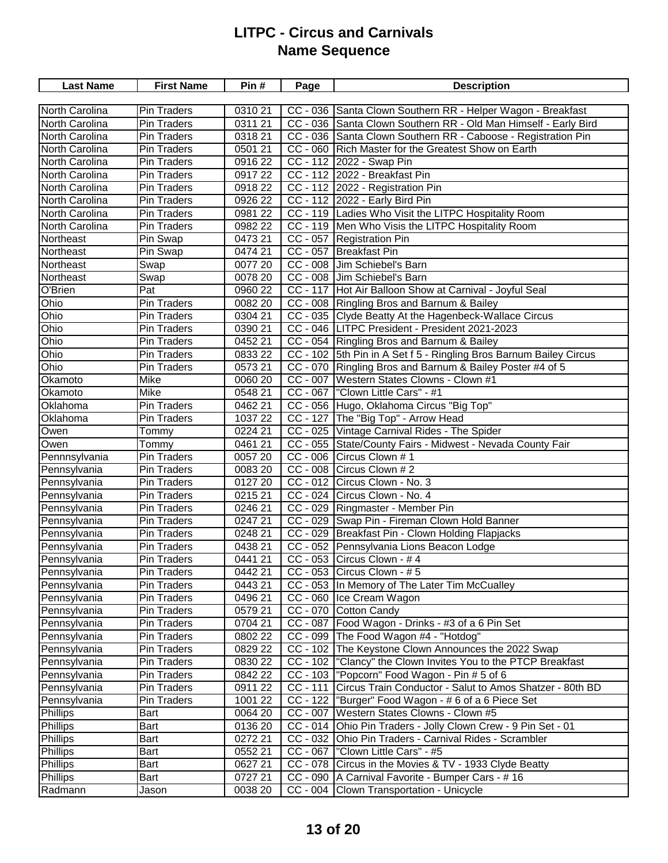| <b>Last Name</b>                   | <b>First Name</b>  | Pin#                  | Page       | <b>Description</b>                                                                                             |
|------------------------------------|--------------------|-----------------------|------------|----------------------------------------------------------------------------------------------------------------|
|                                    |                    |                       |            |                                                                                                                |
| North Carolina                     | <b>Pin Traders</b> | 0310 21               |            | CC - 036 Santa Clown Southern RR - Helper Wagon - Breakfast                                                    |
| North Carolina                     | Pin Traders        | 0311 21               |            | CC - 036 Santa Clown Southern RR - Old Man Himself - Early Bird                                                |
| North Carolina                     | <b>Pin Traders</b> | 0318 21               |            | CC - 036 Santa Clown Southern RR - Caboose - Registration Pin                                                  |
| North Carolina                     | <b>Pin Traders</b> | 0501 21               |            | CC - 060 Rich Master for the Greatest Show on Earth                                                            |
| North Carolina                     | <b>Pin Traders</b> | 0916 22               |            | CC - 112 2022 - Swap Pin                                                                                       |
| North Carolina                     | <b>Pin Traders</b> | 091722                |            | CC - 112 2022 - Breakfast Pin                                                                                  |
| North Carolina                     | Pin Traders        | 0918 22               |            | CC - 112 2022 - Registration Pin                                                                               |
| North Carolina                     | <b>Pin Traders</b> | 0926 22               |            | CC - 112 2022 - Early Bird Pin                                                                                 |
| North Carolina                     | <b>Pin Traders</b> | 0981 22               |            | CC - 119 Ladies Who Visit the LITPC Hospitality Room                                                           |
| <b>North Carolina</b>              | <b>Pin Traders</b> | 0982 22               |            | CC - 119   Men Who Visis the LITPC Hospitality Room                                                            |
| Northeast                          | Pin Swap           | 0473 21               |            | CC - 057 Registration Pin                                                                                      |
| Northeast                          | Pin Swap           | 0474 21               |            | CC - 057 Breakfast Pin                                                                                         |
| Northeast                          | Swap               | 0077 20               |            | CC - 008 Jim Schiebel's Barn                                                                                   |
| Northeast                          | Swap               | 0078 20               |            | CC - 008 Jim Schiebel's Barn                                                                                   |
| O'Brien                            | Pat                | 0960 22               |            | CC - 117 Hot Air Balloon Show at Carnival - Joyful Seal                                                        |
| Ohio                               | Pin Traders        | 0082 20               |            | CC - 008 Ringling Bros and Barnum & Bailey                                                                     |
| Ohio                               | <b>Pin Traders</b> | 0304 21               |            | CC - 035 Clyde Beatty At the Hagenbeck-Wallace Circus                                                          |
| Ohio                               | Pin Traders        | 0390 21               |            | CC - 046 LITPC President - President 2021-2023                                                                 |
| Ohio                               | <b>Pin Traders</b> | 0452 21               |            | CC - 054 Ringling Bros and Barnum & Bailey                                                                     |
| Ohio                               | <b>Pin Traders</b> | 0833 22               |            | CC - 102 5th Pin in A Set f 5 - Ringling Bros Barnum Bailey Circus                                             |
| Ohio                               | Pin Traders        | 0573 21               | $CC - 070$ | Ringling Bros and Barnum & Bailey Poster #4 of 5                                                               |
| Okamoto                            | Mike               | 0060 20               | $CC - 007$ | Western States Clowns - Clown #1                                                                               |
| Okamoto                            | Mike               | 0548 21               |            | CC - 067   "Clown Little Cars" - #1                                                                            |
| Oklahoma                           | Pin Traders        | 0462 21               |            | CC - 056 Hugo, Oklahoma Circus "Big Top"                                                                       |
| Oklahoma                           | Pin Traders        | 1037 22               |            | CC - 127 The "Big Top" - Arrow Head                                                                            |
| Owen                               | Tommy              | 0224 21               |            | CC - 025 Vintage Carnival Rides - The Spider                                                                   |
| Owen                               | Tommy              | 0461 21               |            | CC - 055 State/County Fairs - Midwest - Nevada County Fair                                                     |
| Pennnsylvania                      | <b>Pin Traders</b> | 0057 20               |            | $CC - 006$ Circus Clown # 1                                                                                    |
| Pennsylvania                       | Pin Traders        | 0083 20               |            | CC - 008 Circus Clown # 2                                                                                      |
| Pennsylvania                       | <b>Pin Traders</b> | 0127 20               |            | CC - 012 Circus Clown - No. 3                                                                                  |
| Pennsylvania                       | <b>Pin Traders</b> | 0215 21               |            | CC - 024 Circus Clown - No. 4                                                                                  |
| Pennsylvania                       | Pin Traders        | 0246 21               |            | CC - 029 Ringmaster - Member Pin                                                                               |
| Pennsylvania                       | <b>Pin Traders</b> | 0247 21               |            | CC - 029 Swap Pin - Fireman Clown Hold Banner                                                                  |
| Pennsylvania                       | Pin Traders        | 0248 21               |            | CC - 029 Breakfast Pin - Clown Holding Flapjacks                                                               |
| Pennsylvania                       | Pin Traders        | 0438 21               |            | CC - 052 Pennsylvania Lions Beacon Lodge                                                                       |
| Pennsylvania                       | <b>Pin Traders</b> | 0441 21               |            | $CC - 053$ Circus Clown - #4                                                                                   |
| Pennsylvania                       | Pin Traders        | 0442 21               |            | CC - 053 Circus Clown - #5                                                                                     |
| Pennsylvania                       | Pin Traders        | 0443 21               |            | CC - 053 In Memory of The Later Tim McCualley                                                                  |
| Pennsylvania                       | Pin Traders        | 0496 21               |            | CC - 060 Ice Cream Wagon                                                                                       |
| Pennsylvania                       | Pin Traders        | 0579 21               |            | CC - 070 Cotton Candy                                                                                          |
| Pennsylvania                       | Pin Traders        | 0704 21               |            | CC - 087 Food Wagon - Drinks - #3 of a 6 Pin Set                                                               |
| Pennsylvania                       | Pin Traders        | 0802 22               |            | CC - 099 The Food Wagon #4 - "Hotdog"                                                                          |
| Pennsylvania                       | Pin Traders        | 0829 22               |            | CC - 102 The Keystone Clown Announces the 2022 Swap                                                            |
| Pennsylvania                       | Pin Traders        | 0830 22               |            | CC - 102  "Clancy" the Clown Invites You to the PTCP Breakfast                                                 |
| Pennsylvania                       | Pin Traders        | 0842 22               |            | CC - 103  "Popcorn" Food Wagon - Pin # 5 of 6                                                                  |
| Pennsylvania                       | Pin Traders        | 0911 22               | $CC - 111$ | Circus Train Conductor - Salut to Amos Shatzer - 80th BD                                                       |
| Pennsylvania                       | Pin Traders        | 1001 22               | $CC - 122$ | "Burger" Food Wagon - # 6 of a 6 Piece Set                                                                     |
|                                    |                    |                       | $CC - 007$ | Western States Clowns - Clown #5                                                                               |
| <b>Phillips</b><br><b>Phillips</b> | Bart               | 0064 20               | $CC - 014$ |                                                                                                                |
| <b>Phillips</b>                    | Bart               | 0136 20<br>0272 21    |            | Ohio Pin Traders - Jolly Clown Crew - 9 Pin Set - 01<br>CC - 032 Ohio Pin Traders - Carnival Rides - Scrambler |
| <b>Phillips</b>                    | Bart<br>Bart       | $\overline{0}$ 552 21 |            | CC - 067   "Clown Little Cars" - #5                                                                            |
|                                    |                    |                       |            |                                                                                                                |
| <b>Phillips</b><br><b>Phillips</b> | Bart               | 0627 21<br>0727 21    |            | CC - 078 Circus in the Movies & TV - 1933 Clyde Beatty<br>CC - 090   A Carnival Favorite - Bumper Cars - # 16  |
|                                    | Bart               |                       |            |                                                                                                                |
| Radmann                            | Jason              | 0038 20               |            | CC - 004 Clown Transportation - Unicycle                                                                       |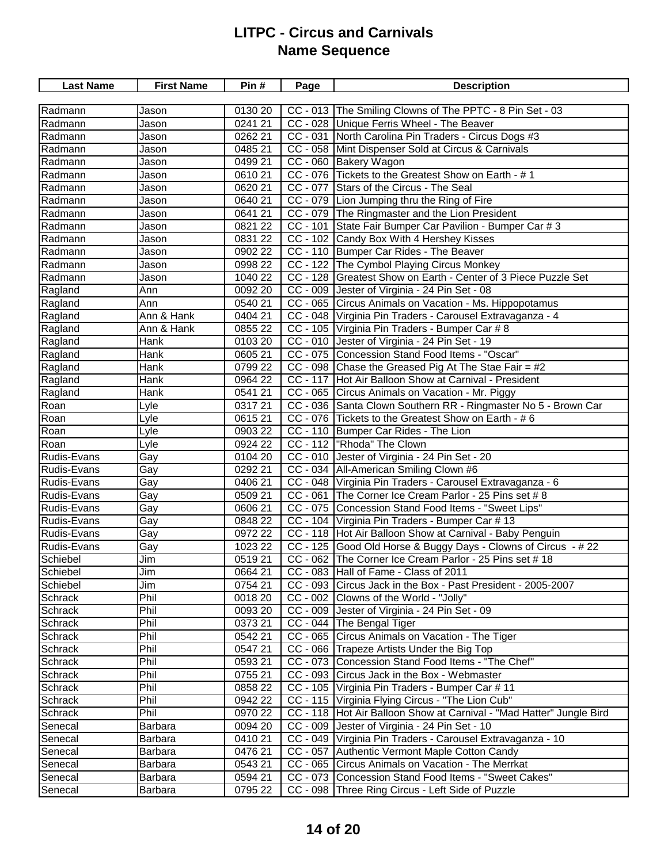| <b>Last Name</b> | <b>First Name</b> | Pin#    | Page       | <b>Description</b>                                                     |
|------------------|-------------------|---------|------------|------------------------------------------------------------------------|
|                  |                   |         |            |                                                                        |
| Radmann          | Jason             | 0130 20 |            | CC - 013 The Smiling Clowns of The PPTC - 8 Pin Set - 03               |
| Radmann          | Jason             | 0241 21 |            | CC - 028 Unique Ferris Wheel - The Beaver                              |
| Radmann          | Jason             | 0262 21 |            | CC - 031 North Carolina Pin Traders - Circus Dogs #3                   |
| Radmann          | Jason             | 0485 21 |            | CC - 058 Mint Dispenser Sold at Circus & Carnivals                     |
| Radmann          | Jason             | 0499 21 |            | CC - 060 Bakery Wagon                                                  |
| Radmann          | Jason             | 0610 21 |            | CC - 076 Tickets to the Greatest Show on Earth - #1                    |
| Radmann          | Jason             | 062021  |            | CC - 077 Stars of the Circus - The Seal                                |
| Radmann          | Jason             | 0640 21 |            | CC - 079 Lion Jumping thru the Ring of Fire                            |
| Radmann          | Jason             | 0641 21 |            | CC - 079 The Ringmaster and the Lion President                         |
| Radmann          | Jason             | 0821 22 |            | CC - 101 State Fair Bumper Car Pavilion - Bumper Car # 3               |
| Radmann          | Jason             | 0831 22 |            | CC - 102 Candy Box With 4 Hershey Kisses                               |
| Radmann          | Jason             | 0902 22 |            | CC - 110 Bumper Car Rides - The Beaver                                 |
| Radmann          | Jason             | 0998 22 |            | CC - 122 The Cymbol Playing Circus Monkey                              |
| Radmann          | Jason             | 1040 22 |            | CC - 128 Greatest Show on Earth - Center of 3 Piece Puzzle Set         |
| Ragland          | Ann               | 0092 20 |            | CC - 009 Jester of Virginia - 24 Pin Set - 08                          |
| Ragland          | Ann               | 0540 21 |            | CC - 065 Circus Animals on Vacation - Ms. Hippopotamus                 |
| Ragland          | Ann & Hank        | 0404 21 |            | CC - 048 Virginia Pin Traders - Carousel Extravaganza - 4              |
| Ragland          | Ann & Hank        | 0855 22 |            | CC - 105 Virginia Pin Traders - Bumper Car # 8                         |
| Ragland          | Hank              | 0103 20 |            | CC - 010 Jester of Virginia - 24 Pin Set - 19                          |
| Ragland          | Hank              | 0605 21 |            | CC - 075 Concession Stand Food Items - "Oscar"                         |
| Ragland          | Hank              | 0799 22 |            | $CC - 098$ Chase the Greased Pig At The Stae Fair = #2                 |
| Ragland          | Hank              | 0964 22 |            | CC - 117 Hot Air Balloon Show at Carnival - President                  |
| Ragland          | <b>Hank</b>       | 0541 21 |            | CC - 065 Circus Animals on Vacation - Mr. Piggy                        |
| Roan             | Lyle              | 031721  |            | CC - 036 Santa Clown Southern RR - Ringmaster No 5 - Brown Car         |
| Roan             | Lyle              | 0615 21 |            | CC - 076 Tickets to the Greatest Show on Earth - #6                    |
| Roan             | Lyle              | 0903 22 |            | CC - 110 Bumper Car Rides - The Lion                                   |
| Roan             | Lyle              | 0924 22 |            | CC - 112  "Rhoda" The Clown                                            |
| Rudis-Evans      | Gay               | 0104 20 |            | CC - 010 Jester of Virginia - 24 Pin Set - 20                          |
| Rudis-Evans      | Gay               | 0292 21 |            | CC - 034   All-American Smiling Clown #6                               |
| Rudis-Evans      | Gay               | 0406 21 |            | CC - 048 Virginia Pin Traders - Carousel Extravaganza - 6              |
| Rudis-Evans      | Gay               | 0509 21 | $CC - 061$ | The Corner Ice Cream Parlor - 25 Pins set # 8                          |
| Rudis-Evans      | Gay               | 0606 21 |            | CC - 075 Concession Stand Food Items - "Sweet Lips"                    |
| Rudis-Evans      | Gay               | 0848 22 |            | CC - 104 Virginia Pin Traders - Bumper Car # 13                        |
| Rudis-Evans      | Gay               | 0972 22 |            | CC - 118 Hot Air Balloon Show at Carnival - Baby Penguin               |
| Rudis-Evans      | Gay               | 1023 22 |            | CC - 125 Good Old Horse & Buggy Days - Clowns of Circus - #22          |
| Schiebel         | Jim               | 051921  |            | CC - 062 The Corner Ice Cream Parlor - 25 Pins set # 18                |
| Schiebel         | Jim               | 0664 21 |            | CC - 083 Hall of Fame - Class of 2011                                  |
| Schiebel         | Jim               | 0754 21 |            | CC - 093 Circus Jack in the Box - Past President - 2005-2007           |
| Schrack          | Phil              | 0018 20 |            | CC - 002 Clowns of the World - "Jolly"                                 |
| Schrack          | Phil              | 0093 20 |            | CC - 009 Jester of Virginia - 24 Pin Set - 09                          |
| Schrack          | Phil              | 0373 21 |            | CC - 044 The Bengal Tiger                                              |
| Schrack          | Phil              | 0542 21 |            | CC - 065 Circus Animals on Vacation - The Tiger                        |
| Schrack          | Phil              | 0547 21 |            | CC - 066 Trapeze Artists Under the Big Top                             |
| Schrack          | Phil              | 0593 21 |            | CC - 073 Concession Stand Food Items - "The Chef"                      |
| Schrack          | Phil              | 0755 21 |            | CC - 093 Circus Jack in the Box - Webmaster                            |
| Schrack          | Phil              | 0858 22 |            | CC - 105 Virginia Pin Traders - Bumper Car # 11                        |
| Schrack          | Phil              | 0942 22 |            | CC - 115 Virginia Flying Circus - "The Lion Cub"                       |
| Schrack          | Phil              | 0970 22 |            | CC - 118   Hot Air Balloon Show at Carnival - "Mad Hatter" Jungle Bird |
| Senecal          | Barbara           | 0094 20 | $CC - 009$ | Jester of Virginia - 24 Pin Set - 10                                   |
| Senecal          | Barbara           | 0410 21 | $CC - 049$ | Virginia Pin Traders - Carousel Extravaganza - 10                      |
| Senecal          | Barbara           | 0476 21 | $CC - 057$ | Authentic Vermont Maple Cotton Candy                                   |
| Senecal          | Barbara           | 0543 21 |            | CC - 065 Circus Animals on Vacation - The Merrkat                      |
| Senecal          | Barbara           | 0594 21 |            | CC - 073 Concession Stand Food Items - "Sweet Cakes"                   |
| Senecal          | Barbara           | 0795 22 | $CC - 098$ | Three Ring Circus - Left Side of Puzzle                                |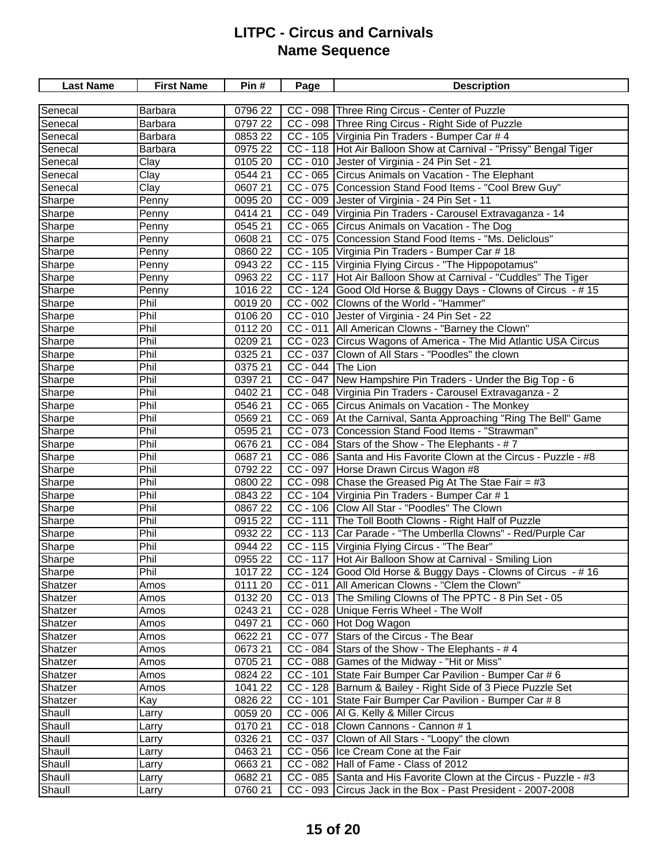| <b>Last Name</b> | <b>First Name</b> | Pin#    | Page              | <b>Description</b>                                                |
|------------------|-------------------|---------|-------------------|-------------------------------------------------------------------|
|                  |                   |         |                   |                                                                   |
| Senecal          | Barbara           | 0796 22 |                   | CC - 098 Three Ring Circus - Center of Puzzle                     |
| Senecal          | Barbara           | 0797 22 |                   | CC - 098 Three Ring Circus - Right Side of Puzzle                 |
| Senecal          | Barbara           | 0853 22 |                   | CC - 105 Virginia Pin Traders - Bumper Car # 4                    |
| Senecal          | Barbara           | 0975 22 |                   | CC - 118 Hot Air Balloon Show at Carnival - "Prissy" Bengal Tiger |
| Senecal          | Clay              | 0105 20 |                   | CC - 010 Jester of Virginia - 24 Pin Set - 21                     |
| Senecal          | Clay              | 0544 21 |                   | CC - 065 Circus Animals on Vacation - The Elephant                |
| Senecal          | Clay              | 0607 21 |                   | CC - 075 Concession Stand Food Items - "Cool Brew Guy"            |
| Sharpe           | Penny             | 009520  |                   | CC - 009 Jester of Virginia - 24 Pin Set - 11                     |
| Sharpe           | Penny             | 0414 21 |                   | CC - 049 Virginia Pin Traders - Carousel Extravaganza - 14        |
| Sharpe           | Penny             | 0545 21 |                   | CC - 065 Circus Animals on Vacation - The Dog                     |
| Sharpe           | Penny             | 0608 21 |                   | CC - 075 Concession Stand Food Items - "Ms. Deliclous"            |
| Sharpe           | Penny             | 0860 22 |                   | CC - 105 Virginia Pin Traders - Bumper Car # 18                   |
| Sharpe           | Penny             | 0943 22 |                   | CC - 115 Virginia Flying Circus - "The Hippopotamus"              |
| Sharpe           | Penny             | 0963 22 | $CC - 117$        | Hot Air Balloon Show at Carnival - "Cuddles" The Tiger            |
| Sharpe           | Penny             | 1016 22 |                   | CC - 124 Good Old Horse & Buggy Days - Clowns of Circus - #15     |
| Sharpe           | Phil              | 0019 20 |                   | CC - 002 Clowns of the World - "Hammer"                           |
| Sharpe           | Phil              | 0106 20 |                   | CC - 010 Jester of Virginia - 24 Pin Set - 22                     |
| Sharpe           | Phil              | 0112 20 |                   | CC - 011   All American Clowns - "Barney the Clown"               |
| Sharpe           | Phil              | 0209 21 |                   | CC - 023 Circus Wagons of America - The Mid Atlantic USA Circus   |
| Sharpe           | Phil              | 0325 21 |                   | CC - 037 Clown of All Stars - "Poodles" the clown                 |
| Sharpe           | Phil              | 0375 21 | CC - 044 The Lion |                                                                   |
| Sharpe           | Phil              | 0397 21 |                   | CC - 047   New Hampshire Pin Traders - Under the Big Top - 6      |
| Sharpe           | Phil              | 0402 21 |                   | CC - 048 Virginia Pin Traders - Carousel Extravaganza - 2         |
| Sharpe           | Phil              | 0546 21 |                   | CC - 065 Circus Animals on Vacation - The Monkey                  |
| Sharpe           | Phil              | 0569 21 |                   | CC - 069 At the Carnival, Santa Approaching "Ring The Bell" Game  |
| Sharpe           | Phil              | 0595 21 |                   | CC - 073 Concession Stand Food Items - "Strawman"                 |
| Sharpe           | Phil              | 0676 21 |                   | CC - 084 Stars of the Show - The Elephants - #7                   |
| Sharpe           | Phil              | 0687 21 |                   | CC - 086 Santa and His Favorite Clown at the Circus - Puzzle - #8 |
| Sharpe           | Phil              | 0792 22 |                   | CC - 097 Horse Drawn Circus Wagon #8                              |
| Sharpe           | Phil              | 0800 22 |                   | $CC - 098$ Chase the Greased Pig At The Stae Fair = #3            |
| Sharpe           | Phil              | 0843 22 |                   | CC - 104 Virginia Pin Traders - Bumper Car # 1                    |
| Sharpe           | Phil              | 0867 22 |                   | CC - 106 Clow All Star - "Poodles" The Clown                      |
| Sharpe           | Phil              | 0915 22 | $CC - 111$        | The Toll Booth Clowns - Right Half of Puzzle                      |
| Sharpe           | Phil              | 0932 22 |                   | CC - 113 Car Parade - "The Umberlla Clowns" - Red/Purple Car      |
| Sharpe           | Phil              | 0944 22 |                   | CC - 115 Virginia Flying Circus - "The Bear"                      |
| Sharpe           | Phil              | 0955 22 |                   | CC - 117 Hot Air Balloon Show at Carnival - Smiling Lion          |
| Sharpe           | Phil              | 1017 22 |                   | CC - 124 Good Old Horse & Buggy Days - Clowns of Circus - #16     |
| Shatzer          | Amos              | 0111 20 |                   | CC - 011   All American Clowns - "Clem the Clown"                 |
| Shatzer          | Amos              | 0132 20 |                   | CC - 013 The Smiling Clowns of The PPTC - 8 Pin Set - 05          |
| Shatzer          | Amos              | 0243 21 |                   | CC - 028 Unique Ferris Wheel - The Wolf                           |
| Shatzer          | Amos              | 0497 21 |                   | CC - 060 Hot Dog Wagon                                            |
| Shatzer          | Amos              | 0622 21 |                   | CC - 077 Stars of the Circus - The Bear                           |
| Shatzer          | Amos              | 0673 21 |                   | $CC - 084$ Stars of the Show - The Elephants - #4                 |
| Shatzer          | Amos              | 0705 21 |                   | CC - 088 Games of the Midway - "Hit or Miss"                      |
| Shatzer          | Amos              | 0824 22 |                   | CC - 101 State Fair Bumper Car Pavilion - Bumper Car # 6          |
| Shatzer          | Amos              | 1041 22 |                   | CC - 128 Barnum & Bailey - Right Side of 3 Piece Puzzle Set       |
| Shatzer          | Kay               | 0826 22 |                   | CC - 101 State Fair Bumper Car Pavilion - Bumper Car # 8          |
| Shaull           | Larry             | 0059 20 |                   | CC - 006   Al G. Kelly & Miller Circus                            |
| Shaull           | Larry             | 0170 21 |                   | CC - 018 Clown Cannons - Cannon # 1                               |
| Shaull           | Larry             | 0326 21 |                   | CC - 037 Clown of All Stars - "Loopy" the clown                   |
| Shaull           | Larry             | 046321  |                   | CC - 056 Ice Cream Cone at the Fair                               |
| Shaull           | Larry             | 066321  |                   | CC - 082 Hall of Fame - Class of 2012                             |
| Shaull           | Larry             | 0682 21 |                   | CC - 085 Santa and His Favorite Clown at the Circus - Puzzle - #3 |
| Shaull           | Larry             | 0760 21 |                   | CC - 093 Circus Jack in the Box - Past President - 2007-2008      |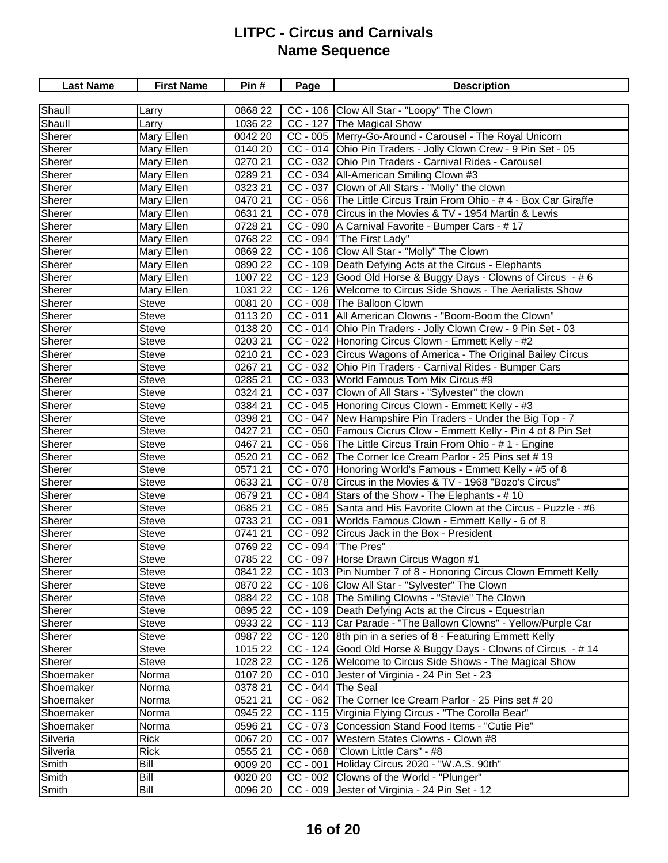| <b>Last Name</b> | <b>First Name</b> | Pin#    | Page              | <b>Description</b>                                                |
|------------------|-------------------|---------|-------------------|-------------------------------------------------------------------|
|                  |                   |         |                   |                                                                   |
| Shaull           | Larry             | 0868 22 |                   | CC - 106 Clow All Star - "Loopy" The Clown                        |
| Shaull           | Larry             | 1036 22 |                   | CC - 127 The Magical Show                                         |
| Sherer           | Mary Ellen        | 0042 20 |                   | CC - 005 Merry-Go-Around - Carousel - The Royal Unicorn           |
| Sherer           | Mary Ellen        | 0140 20 |                   | CC - 014 Ohio Pin Traders - Jolly Clown Crew - 9 Pin Set - 05     |
| Sherer           | Mary Ellen        | 0270 21 |                   | CC - 032 Ohio Pin Traders - Carnival Rides - Carousel             |
| Sherer           | Mary Ellen        | 0289 21 |                   | CC - 034 All-American Smiling Clown #3                            |
| Sherer           | Mary Ellen        | 0323 21 |                   | CC - 037 Clown of All Stars - "Molly" the clown                   |
| Sherer           | Mary Ellen        | 0470 21 |                   | CC - 056 The Little Circus Train From Ohio - #4 - Box Car Giraffe |
| Sherer           | Mary Ellen        | 0631 21 |                   | CC - 078 Circus in the Movies & TV - 1954 Martin & Lewis          |
| Sherer           | Mary Ellen        | 0728 21 |                   | CC - 090   A Carnival Favorite - Bumper Cars - # 17               |
| Sherer           | Mary Ellen        | 0768 22 |                   | CC - 094   "The First Lady"                                       |
| Sherer           | Mary Ellen        | 0869 22 |                   | CC - 106 Clow All Star - "Molly" The Clown                        |
| Sherer           | Mary Ellen        | 0890 22 |                   | CC - 109 Death Defying Acts at the Circus - Elephants             |
| Sherer           | Mary Ellen        | 1007 22 |                   | CC - 123 Good Old Horse & Buggy Days - Clowns of Circus - #6      |
| Sherer           | Mary Ellen        | 1031 22 |                   | CC - 126 Welcome to Circus Side Shows - The Aerialists Show       |
| Sherer           | <b>Steve</b>      | 0081 20 |                   | CC - 008 The Balloon Clown                                        |
| Sherer           | Steve             | 0113 20 |                   | CC - 011   All American Clowns - "Boom-Boom the Clown"            |
| Sherer           | Steve             | 0138 20 |                   | CC - 014 Ohio Pin Traders - Jolly Clown Crew - 9 Pin Set - 03     |
| Sherer           | <b>Steve</b>      | 0203 21 |                   | CC - 022 Honoring Circus Clown - Emmett Kelly - #2                |
| Sherer           | <b>Steve</b>      | 0210 21 |                   | CC - 023 Circus Wagons of America - The Original Bailey Circus    |
| Sherer           | <b>Steve</b>      | 0267 21 |                   | CC - 032 Ohio Pin Traders - Carnival Rides - Bumper Cars          |
| Sherer           | <b>Steve</b>      | 0285 21 |                   | CC - 033 World Famous Tom Mix Circus #9                           |
| Sherer           | <b>Steve</b>      | 0324 21 |                   | CC - 037 Clown of All Stars - "Sylvester" the clown               |
| Sherer           | Steve             | 0384 21 |                   | CC - 045 Honoring Circus Clown - Emmett Kelly - #3                |
| Sherer           | Steve             | 0398 21 |                   | CC - 047   New Hampshire Pin Traders - Under the Big Top - 7      |
| Sherer           | <b>Steve</b>      | 0427 21 |                   | CC - 050   Famous Cicrus Clow - Emmett Kelly - Pin 4 of 8 Pin Set |
| Sherer           | <b>Steve</b>      | 046721  |                   | CC - 056 The Little Circus Train From Ohio - # 1 - Engine         |
| Sherer           | <b>Steve</b>      | 0520 21 |                   | CC - 062 The Corner Ice Cream Parlor - 25 Pins set #19            |
| Sherer           | <b>Steve</b>      | 057121  |                   | CC - 070   Honoring World's Famous - Emmett Kelly - #5 of 8       |
| Sherer           | <b>Steve</b>      | 0633 21 |                   | CC - 078 Circus in the Movies & TV - 1968 "Bozo's Circus"         |
| Sherer           | <b>Steve</b>      | 0679 21 |                   | CC - 084 Stars of the Show - The Elephants - #10                  |
| Sherer           | <b>Steve</b>      | 0685 21 |                   | CC - 085 Santa and His Favorite Clown at the Circus - Puzzle - #6 |
| Sherer           | <b>Steve</b>      | 0733 21 | $CC - 091$        | Worlds Famous Clown - Emmett Kelly - 6 of 8                       |
| Sherer           | <b>Steve</b>      | 0741 21 | $CC - 092$        | Circus Jack in the Box - President                                |
| Sherer           | <b>Steve</b>      | 0769 22 |                   | CC - 094   "The Pres"                                             |
| Sherer           | <b>Steve</b>      | 0785 22 |                   | CC - 097 Horse Drawn Circus Wagon #1                              |
| Sherer           | <b>Steve</b>      | 0841 22 |                   | CC - 103 Pin Number 7 of 8 - Honoring Circus Clown Emmett Kelly   |
| Sherer           | <b>Steve</b>      | 0870 22 |                   | CC - 106 Clow All Star - "Sylvester" The Clown                    |
| Sherer           | Steve             | 0884 22 |                   | CC - 108 The Smiling Clowns - "Stevie" The Clown                  |
| Sherer           | <b>Steve</b>      | 0895 22 |                   | CC - 109   Death Defying Acts at the Circus - Equestrian          |
| Sherer           | <b>Steve</b>      | 0933 22 |                   | CC - 113 Car Parade - "The Ballown Clowns" - Yellow/Purple Car    |
| Sherer           | <b>Steve</b>      | 0987 22 | $CC - 120$        | 8th pin in a series of 8 - Featuring Emmett Kelly                 |
| Sherer           | <b>Steve</b>      | 1015 22 | $CC - 124$        | Good Old Horse & Buggy Days - Clowns of Circus - #14              |
| Sherer           | <b>Steve</b>      | 1028 22 |                   | CC - 126   Welcome to Circus Side Shows - The Magical Show        |
| Shoemaker        | Norma             | 0107 20 | $CC - 010$        | Jester of Virginia - 24 Pin Set - 23                              |
| Shoemaker        | Norma             | 0378 21 | CC - 044 The Seal |                                                                   |
| Shoemaker        | Norma             | 0521 21 | $CC - 062$        | The Corner Ice Cream Parlor - 25 Pins set # 20                    |
| Shoemaker        | Norma             | 0945 22 |                   | CC - 115   Virginia Flying Circus - "The Corolla Bear"            |
| Shoemaker        | Norma             | 0596 21 | $CC - 073$        | Concession Stand Food Items - "Cutie Pie"                         |
| Silveria         | <b>Rick</b>       | 0067 20 |                   | CC - 007   Western States Clowns - Clown #8                       |
| Silveria         | <b>Rick</b>       | 0555 21 |                   | CC - 068  "Clown Little Cars" - #8                                |
| Smith            | Bill              | 0009 20 | $CC - 001$        | Holiday Circus 2020 - "W.A.S. 90th"                               |
| Smith            | Bill              | 0020 20 |                   | CC - 002 Clowns of the World - "Plunger"                          |
| Smith            | Bill              | 0096 20 |                   | CC - 009 Jester of Virginia - 24 Pin Set - 12                     |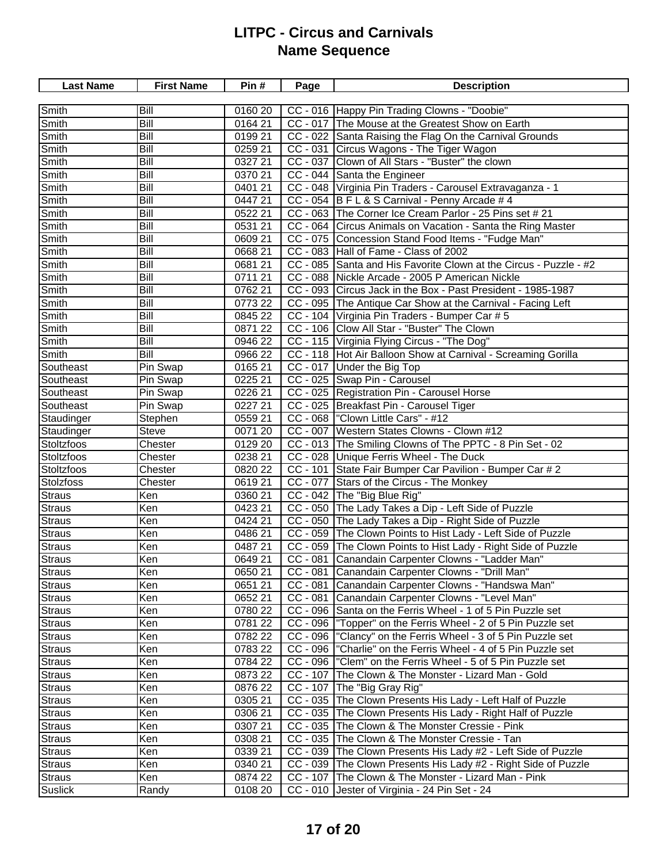| <b>Last Name</b> | <b>First Name</b> | Pin#    | Page                  | <b>Description</b>                                                |
|------------------|-------------------|---------|-----------------------|-------------------------------------------------------------------|
|                  |                   |         |                       |                                                                   |
| Smith            | Bill              | 0160 20 |                       | CC - 016 Happy Pin Trading Clowns - "Doobie"                      |
| Smith            | Bill              | 0164 21 |                       | CC - 017 The Mouse at the Greatest Show on Earth                  |
| Smith            | Bill              | 0199 21 |                       | CC - 022 Santa Raising the Flag On the Carnival Grounds           |
| Smith            | Bill              | 0259 21 |                       | CC - 031 Circus Wagons - The Tiger Wagon                          |
| Smith            | Bill              | 0327 21 |                       | CC - 037 Clown of All Stars - "Buster" the clown                  |
| Smith            | Bill              | 0370 21 |                       | CC - 044 Santa the Engineer                                       |
| Smith            | Bill              | 0401 21 |                       | CC - 048 Virginia Pin Traders - Carousel Extravaganza - 1         |
| Smith            | Bill              | 044721  |                       | CC - 054 B F L & S Carnival - Penny Arcade # 4                    |
| Smith            | Bill              | 0522 21 |                       | CC - 063 The Corner Ice Cream Parlor - 25 Pins set # 21           |
| Smith            | Bill              | 0531 21 |                       | CC - 064 Circus Animals on Vacation - Santa the Ring Master       |
| Smith            | Bill              | 0609 21 |                       | CC - 075 Concession Stand Food Items - "Fudge Man"                |
| Smith            | Bill              | 0668 21 |                       | CC - 083 Hall of Fame - Class of 2002                             |
| Smith            | Bill              | 068121  |                       | CC - 085 Santa and His Favorite Clown at the Circus - Puzzle - #2 |
| Smith            | Bill              | 0711 21 |                       | CC - 088 Nickle Arcade - 2005 P American Nickle                   |
| Smith            | Bill              | 076221  |                       | CC - 093 Circus Jack in the Box - Past President - 1985-1987      |
| Smith            | Bill              | 0773 22 |                       | CC - 095 The Antique Car Show at the Carnival - Facing Left       |
| Smith            | Bill              | 0845 22 |                       | CC - 104 Virginia Pin Traders - Bumper Car # 5                    |
| Smith            | Bill              | 087122  |                       | CC - 106 Clow All Star - "Buster" The Clown                       |
| Smith            | Bill              | 0946 22 |                       | CC - 115 Virginia Flying Circus - "The Dog"                       |
| Smith            | Bill              | 0966 22 |                       | CC - 118 Hot Air Balloon Show at Carnival - Screaming Gorilla     |
| Southeast        | Pin Swap          | 0165 21 |                       | CC - 017 Under the Big Top                                        |
| Southeast        | Pin Swap          | 0225 21 |                       | CC - 025 Swap Pin - Carousel                                      |
| Southeast        | Pin Swap          | 0226 21 |                       | CC - 025 Registration Pin - Carousel Horse                        |
| Southeast        | Pin Swap          | 0227 21 |                       | CC - 025 Breakfast Pin - Carousel Tiger                           |
| Staudinger       | Stephen           | 0559 21 |                       | CC - 068  "Clown Little Cars" - #12                               |
| Staudinger       | <b>Steve</b>      | 0071 20 |                       | CC - 007 Western States Clowns - Clown #12                        |
| Stoltzfoos       | Chester           | 0129 20 |                       | CC - 013 The Smiling Clowns of The PPTC - 8 Pin Set - 02          |
| Stoltzfoos       | Chester           | 0238 21 |                       | CC - 028 Unique Ferris Wheel - The Duck                           |
| Stoltzfoos       | Chester           | 0820 22 |                       | CC - 101 State Fair Bumper Car Pavilion - Bumper Car # 2          |
| Stolzfoss        | Chester           | 061921  |                       | CC - 077 Stars of the Circus - The Monkey                         |
| <b>Straus</b>    | Ken               | 0360 21 |                       | CC - 042 The "Big Blue Rig"                                       |
| Straus           | Ken               | 0423 21 |                       | CC - 050 The Lady Takes a Dip - Left Side of Puzzle               |
| Straus           | Ken               | 0424 21 | $\overline{CC}$ - 050 | The Lady Takes a Dip - Right Side of Puzzle                       |
| <b>Straus</b>    | Ken               | 0486 21 | $CC - 059$            | The Clown Points to Hist Lady - Left Side of Puzzle               |
| Straus           | Ken               | 0487 21 |                       | CC - 059 The Clown Points to Hist Lady - Right Side of Puzzle     |
| Straus           | Ken               | 0649 21 | $CC - 081$            | Canandain Carpenter Clowns - "Ladder Man"                         |
| Straus           | Ken               | 0650 21 |                       | CC - 081 Canandain Carpenter Clowns - "Drill Man"                 |
| <b>Straus</b>    | Ken               | 0651 21 | $CC - 081$            | Canandain Carpenter Clowns - "Handswa Man"                        |
| <b>Straus</b>    | Ken               | 0652 21 | $CC - 081$            | Canandain Carpenter Clowns - "Level Man"                          |
| <b>Straus</b>    | Ken               | 0780 22 |                       | CC - 096 Santa on the Ferris Wheel - 1 of 5 Pin Puzzle set        |
| <b>Straus</b>    | Ken               | 0781 22 |                       | CC - 096  "Topper" on the Ferris Wheel - 2 of 5 Pin Puzzle set    |
| <b>Straus</b>    | Ken               | 0782 22 |                       | CC - 096  "Clancy" on the Ferris Wheel - 3 of 5 Pin Puzzle set    |
| <b>Straus</b>    | Ken               | 0783 22 |                       | CC - 096  "Charlie" on the Ferris Wheel - 4 of 5 Pin Puzzle set   |
| <b>Straus</b>    | Ken               | 0784 22 |                       | CC - 096  "Clem" on the Ferris Wheel - 5 of 5 Pin Puzzle set      |
| <b>Straus</b>    | Ken               | 0873 22 | $CC - 107$            | The Clown & The Monster - Lizard Man - Gold                       |
| <b>Straus</b>    | Ken               | 0876 22 | $CC - 107$            | The "Big Gray Rig"                                                |
| <b>Straus</b>    | Ken               | 0305 21 |                       | CC - 035 The Clown Presents His Lady - Left Half of Puzzle        |
| <b>Straus</b>    | Ken               | 0306 21 |                       | CC - 035 The Clown Presents His Lady - Right Half of Puzzle       |
|                  | Ken               | 0307 21 |                       | CC - 035 The Clown & The Monster Cressie - Pink                   |
| Straus           | Ken               | 0308 21 |                       | CC - 035 The Clown & The Monster Cressie - Tan                    |
| <b>Straus</b>    |                   |         |                       |                                                                   |
| Straus           | Ken               | 0339 21 |                       | CC - 039 The Clown Presents His Lady #2 - Left Side of Puzzle     |
| Straus           | Ken               | 0340 21 |                       | CC - 039 The Clown Presents His Lady #2 - Right Side of Puzzle    |
| <b>Straus</b>    | Ken               | 0874 22 | $CC - 107$            | The Clown & The Monster - Lizard Man - Pink                       |
| Suslick          | Randy             | 0108 20 |                       | CC - 010 Jester of Virginia - 24 Pin Set - 24                     |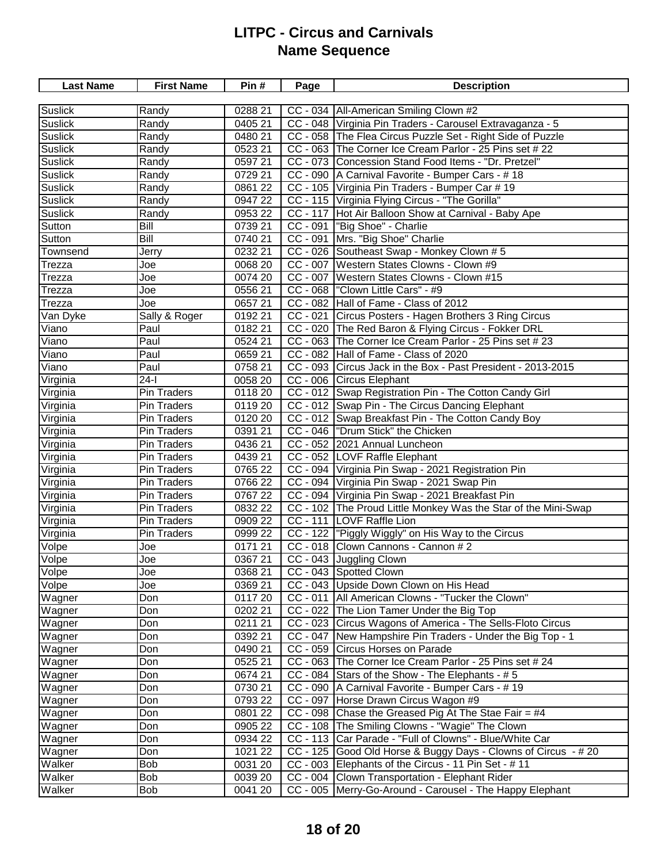| <b>Suslick</b><br>0288 21<br>CC - 034   All-American Smiling Clown #2<br>Randy<br>0405 21<br>CC - 048 Virginia Pin Traders - Carousel Extravaganza - 5<br><b>Suslick</b><br>Randy<br><b>Suslick</b><br>CC - 058 The Flea Circus Puzzle Set - Right Side of Puzzle<br>0480 21<br>Randy<br><b>Suslick</b><br>CC - 063 The Corner Ice Cream Parlor - 25 Pins set # 22<br>0523 21<br>Randy<br>CC - 073 Concession Stand Food Items - "Dr. Pretzel"<br><b>Suslick</b><br>0597 21<br>Randy<br>CC - 090   A Carnival Favorite - Bumper Cars - #18<br><b>Suslick</b><br>0729 21<br>Randy<br>CC - 105 Virginia Pin Traders - Bumper Car # 19<br><b>Suslick</b><br>0861 22<br>Randy<br><b>Suslick</b><br>CC - 115 Virginia Flying Circus - "The Gorilla"<br>0947 22<br>Randy<br>CC - 117 Hot Air Balloon Show at Carnival - Baby Ape<br><b>Suslick</b><br>0953 22<br>Randy<br>CC - 091  "Big Shoe" - Charlie<br>Sutton<br>Bill<br>0739 21<br>CC - 091<br>Mrs. "Big Shoe" Charlie<br>Sutton<br>Bill<br>0740 21<br>CC - 026 Southeast Swap - Monkey Clown # 5<br>Townsend<br>0232 21<br>Jerry<br>CC - 007 Western States Clowns - Clown #9<br>0068 20<br>Trezza<br>Joe<br>CC - 007 Western States Clowns - Clown #15<br>0074 20<br>Trezza<br>Joe<br>CC - 068   "Clown Little Cars" - #9<br>0556 21<br>Trezza<br>Joe<br>CC - 082 Hall of Fame - Class of 2012<br>0657 21<br>Trezza<br>Joe<br>Circus Posters - Hagen Brothers 3 Ring Circus<br>Van Dyke<br>0192 21<br>$CC - 021$<br>Sally & Roger<br>CC - 020 The Red Baron & Flying Circus - Fokker DRL<br>Viano<br>Paul<br>0182 21<br>CC - 063 The Corner Ice Cream Parlor - 25 Pins set # 23<br>Viano<br>Paul<br>0524 21<br>CC - 082 Hall of Fame - Class of 2020<br>Viano<br>Paul<br>0659 21<br>Viano<br>Paul<br>0758 21<br>CC - 093 Circus Jack in the Box - Past President - 2013-2015<br>$24-I$<br>CC - 006 Circus Elephant<br>Virginia<br>0058 20<br>CC - 012 Swap Registration Pin - The Cotton Candy Girl<br>Virginia<br>Pin Traders<br>0118 20<br>CC - 012 Swap Pin - The Circus Dancing Elephant<br>Virginia<br>Pin Traders<br>0119 20<br>Virginia<br>CC - 012 Swap Breakfast Pin - The Cotton Candy Boy<br>Pin Traders<br>0120 20<br>CC - 046  "Drum Stick" the Chicken<br>Virginia<br>Pin Traders<br>0391 21<br>CC - 052 2021 Annual Luncheon<br>Virginia<br>Pin Traders<br>0436 21<br>CC - 052 LOVF Raffle Elephant<br>Virginia<br>0439 21<br>Pin Traders<br>CC - 094 Virginia Pin Swap - 2021 Registration Pin<br>Virginia<br>0765 22<br>Pin Traders<br>CC - 094 Virginia Pin Swap - 2021 Swap Pin<br>Virginia<br>0766 22<br>Pin Traders<br>CC - 094 Virginia Pin Swap - 2021 Breakfast Pin<br>Virginia<br>0767 22<br>Pin Traders<br>CC - 102 The Proud Little Monkey Was the Star of the Mini-Swap<br>Virginia<br>Pin Traders<br>0832 22<br>CC - 111 LOVF Raffle Lion<br>Virginia<br>Pin Traders<br>0909 22<br>CC - 122  "Piggly Wiggly" on His Way to the Circus<br>Virginia<br>0999 22<br>Pin Traders<br>CC - 018 Clown Cannons - Cannon # 2<br>Volpe<br>0171 21<br>Joe<br>Volpe<br>CC - 043 Juggling Clown<br>0367 21<br>Joe<br>CC - 043 Spotted Clown<br>Volpe<br>0368 21<br>Joe<br>Volpe<br>CC - 043 Upside Down Clown on His Head<br>Joe<br>0369 21<br>CC - 011   All American Clowns - "Tucker the Clown"<br>Wagner<br>Don<br>0117 20<br>CC - 022 The Lion Tamer Under the Big Top<br>Wagner<br>0202 21<br>Don<br>CC - 023 Circus Wagons of America - The Sells-Floto Circus<br>0211 21<br>Wagner<br>Don<br>CC - 047 New Hampshire Pin Traders - Under the Big Top - 1<br>Wagner<br>Don<br>0392 21<br>CC - 059 Circus Horses on Parade<br>Wagner<br>0490 21<br>Don<br>CC - 063 The Corner Ice Cream Parlor - 25 Pins set # 24<br>Wagner<br>Don<br>0525 21<br>$CC - 084$ Stars of the Show - The Elephants - #5<br>Wagner<br>0674 21<br>Don<br>A Carnival Favorite - Bumper Cars - # 19<br>Wagner<br>0730 21<br>$CC - 090$<br>Don<br>CC - 097 Horse Drawn Circus Wagon #9<br>Wagner<br>0793 22<br>Don<br>CC - 098 Chase the Greased Pig At The Stae Fair = $#4$<br>Wagner<br>0801 22<br>Don<br>CC - 108 The Smiling Clowns - "Wagie" The Clown<br>Wagner<br>0905 22<br>Don<br>CC - 113 Car Parade - "Full of Clowns" - Blue/White Car<br>Wagner<br>Don<br>0934 22<br>Wagner<br>Don<br>1021 22<br>CC - 125 Good Old Horse & Buggy Days - Clowns of Circus - # 20<br>CC - 003 Elephants of the Circus - 11 Pin Set - # 11<br>Walker<br>Bob<br>0031 20 | <b>Last Name</b> | <b>First Name</b> | Pin# | Page | <b>Description</b> |
|--------------------------------------------------------------------------------------------------------------------------------------------------------------------------------------------------------------------------------------------------------------------------------------------------------------------------------------------------------------------------------------------------------------------------------------------------------------------------------------------------------------------------------------------------------------------------------------------------------------------------------------------------------------------------------------------------------------------------------------------------------------------------------------------------------------------------------------------------------------------------------------------------------------------------------------------------------------------------------------------------------------------------------------------------------------------------------------------------------------------------------------------------------------------------------------------------------------------------------------------------------------------------------------------------------------------------------------------------------------------------------------------------------------------------------------------------------------------------------------------------------------------------------------------------------------------------------------------------------------------------------------------------------------------------------------------------------------------------------------------------------------------------------------------------------------------------------------------------------------------------------------------------------------------------------------------------------------------------------------------------------------------------------------------------------------------------------------------------------------------------------------------------------------------------------------------------------------------------------------------------------------------------------------------------------------------------------------------------------------------------------------------------------------------------------------------------------------------------------------------------------------------------------------------------------------------------------------------------------------------------------------------------------------------------------------------------------------------------------------------------------------------------------------------------------------------------------------------------------------------------------------------------------------------------------------------------------------------------------------------------------------------------------------------------------------------------------------------------------------------------------------------------------------------------------------------------------------------------------------------------------------------------------------------------------------------------------------------------------------------------------------------------------------------------------------------------------------------------------------------------------------------------------------------------------------------------------------------------------------------------------------------------------------------------------------------------------------------------------------------------------------------------------------------------------------------------------------------------------------------------------------------------------------------------------------------------------------------------------------------------------------------------------------------------------------------------------------------------------------------------------------------------------------------------------------------------------------------------------------------------------------------------------------------------------------------------------------------------------------------------------------------------------------|------------------|-------------------|------|------|--------------------|
|                                                                                                                                                                                                                                                                                                                                                                                                                                                                                                                                                                                                                                                                                                                                                                                                                                                                                                                                                                                                                                                                                                                                                                                                                                                                                                                                                                                                                                                                                                                                                                                                                                                                                                                                                                                                                                                                                                                                                                                                                                                                                                                                                                                                                                                                                                                                                                                                                                                                                                                                                                                                                                                                                                                                                                                                                                                                                                                                                                                                                                                                                                                                                                                                                                                                                                                                                                                                                                                                                                                                                                                                                                                                                                                                                                                                                                                                                                                                                                                                                                                                                                                                                                                                                                                                                                                                                                                                              |                  |                   |      |      |                    |
|                                                                                                                                                                                                                                                                                                                                                                                                                                                                                                                                                                                                                                                                                                                                                                                                                                                                                                                                                                                                                                                                                                                                                                                                                                                                                                                                                                                                                                                                                                                                                                                                                                                                                                                                                                                                                                                                                                                                                                                                                                                                                                                                                                                                                                                                                                                                                                                                                                                                                                                                                                                                                                                                                                                                                                                                                                                                                                                                                                                                                                                                                                                                                                                                                                                                                                                                                                                                                                                                                                                                                                                                                                                                                                                                                                                                                                                                                                                                                                                                                                                                                                                                                                                                                                                                                                                                                                                                              |                  |                   |      |      |                    |
|                                                                                                                                                                                                                                                                                                                                                                                                                                                                                                                                                                                                                                                                                                                                                                                                                                                                                                                                                                                                                                                                                                                                                                                                                                                                                                                                                                                                                                                                                                                                                                                                                                                                                                                                                                                                                                                                                                                                                                                                                                                                                                                                                                                                                                                                                                                                                                                                                                                                                                                                                                                                                                                                                                                                                                                                                                                                                                                                                                                                                                                                                                                                                                                                                                                                                                                                                                                                                                                                                                                                                                                                                                                                                                                                                                                                                                                                                                                                                                                                                                                                                                                                                                                                                                                                                                                                                                                                              |                  |                   |      |      |                    |
|                                                                                                                                                                                                                                                                                                                                                                                                                                                                                                                                                                                                                                                                                                                                                                                                                                                                                                                                                                                                                                                                                                                                                                                                                                                                                                                                                                                                                                                                                                                                                                                                                                                                                                                                                                                                                                                                                                                                                                                                                                                                                                                                                                                                                                                                                                                                                                                                                                                                                                                                                                                                                                                                                                                                                                                                                                                                                                                                                                                                                                                                                                                                                                                                                                                                                                                                                                                                                                                                                                                                                                                                                                                                                                                                                                                                                                                                                                                                                                                                                                                                                                                                                                                                                                                                                                                                                                                                              |                  |                   |      |      |                    |
|                                                                                                                                                                                                                                                                                                                                                                                                                                                                                                                                                                                                                                                                                                                                                                                                                                                                                                                                                                                                                                                                                                                                                                                                                                                                                                                                                                                                                                                                                                                                                                                                                                                                                                                                                                                                                                                                                                                                                                                                                                                                                                                                                                                                                                                                                                                                                                                                                                                                                                                                                                                                                                                                                                                                                                                                                                                                                                                                                                                                                                                                                                                                                                                                                                                                                                                                                                                                                                                                                                                                                                                                                                                                                                                                                                                                                                                                                                                                                                                                                                                                                                                                                                                                                                                                                                                                                                                                              |                  |                   |      |      |                    |
|                                                                                                                                                                                                                                                                                                                                                                                                                                                                                                                                                                                                                                                                                                                                                                                                                                                                                                                                                                                                                                                                                                                                                                                                                                                                                                                                                                                                                                                                                                                                                                                                                                                                                                                                                                                                                                                                                                                                                                                                                                                                                                                                                                                                                                                                                                                                                                                                                                                                                                                                                                                                                                                                                                                                                                                                                                                                                                                                                                                                                                                                                                                                                                                                                                                                                                                                                                                                                                                                                                                                                                                                                                                                                                                                                                                                                                                                                                                                                                                                                                                                                                                                                                                                                                                                                                                                                                                                              |                  |                   |      |      |                    |
|                                                                                                                                                                                                                                                                                                                                                                                                                                                                                                                                                                                                                                                                                                                                                                                                                                                                                                                                                                                                                                                                                                                                                                                                                                                                                                                                                                                                                                                                                                                                                                                                                                                                                                                                                                                                                                                                                                                                                                                                                                                                                                                                                                                                                                                                                                                                                                                                                                                                                                                                                                                                                                                                                                                                                                                                                                                                                                                                                                                                                                                                                                                                                                                                                                                                                                                                                                                                                                                                                                                                                                                                                                                                                                                                                                                                                                                                                                                                                                                                                                                                                                                                                                                                                                                                                                                                                                                                              |                  |                   |      |      |                    |
|                                                                                                                                                                                                                                                                                                                                                                                                                                                                                                                                                                                                                                                                                                                                                                                                                                                                                                                                                                                                                                                                                                                                                                                                                                                                                                                                                                                                                                                                                                                                                                                                                                                                                                                                                                                                                                                                                                                                                                                                                                                                                                                                                                                                                                                                                                                                                                                                                                                                                                                                                                                                                                                                                                                                                                                                                                                                                                                                                                                                                                                                                                                                                                                                                                                                                                                                                                                                                                                                                                                                                                                                                                                                                                                                                                                                                                                                                                                                                                                                                                                                                                                                                                                                                                                                                                                                                                                                              |                  |                   |      |      |                    |
|                                                                                                                                                                                                                                                                                                                                                                                                                                                                                                                                                                                                                                                                                                                                                                                                                                                                                                                                                                                                                                                                                                                                                                                                                                                                                                                                                                                                                                                                                                                                                                                                                                                                                                                                                                                                                                                                                                                                                                                                                                                                                                                                                                                                                                                                                                                                                                                                                                                                                                                                                                                                                                                                                                                                                                                                                                                                                                                                                                                                                                                                                                                                                                                                                                                                                                                                                                                                                                                                                                                                                                                                                                                                                                                                                                                                                                                                                                                                                                                                                                                                                                                                                                                                                                                                                                                                                                                                              |                  |                   |      |      |                    |
|                                                                                                                                                                                                                                                                                                                                                                                                                                                                                                                                                                                                                                                                                                                                                                                                                                                                                                                                                                                                                                                                                                                                                                                                                                                                                                                                                                                                                                                                                                                                                                                                                                                                                                                                                                                                                                                                                                                                                                                                                                                                                                                                                                                                                                                                                                                                                                                                                                                                                                                                                                                                                                                                                                                                                                                                                                                                                                                                                                                                                                                                                                                                                                                                                                                                                                                                                                                                                                                                                                                                                                                                                                                                                                                                                                                                                                                                                                                                                                                                                                                                                                                                                                                                                                                                                                                                                                                                              |                  |                   |      |      |                    |
|                                                                                                                                                                                                                                                                                                                                                                                                                                                                                                                                                                                                                                                                                                                                                                                                                                                                                                                                                                                                                                                                                                                                                                                                                                                                                                                                                                                                                                                                                                                                                                                                                                                                                                                                                                                                                                                                                                                                                                                                                                                                                                                                                                                                                                                                                                                                                                                                                                                                                                                                                                                                                                                                                                                                                                                                                                                                                                                                                                                                                                                                                                                                                                                                                                                                                                                                                                                                                                                                                                                                                                                                                                                                                                                                                                                                                                                                                                                                                                                                                                                                                                                                                                                                                                                                                                                                                                                                              |                  |                   |      |      |                    |
|                                                                                                                                                                                                                                                                                                                                                                                                                                                                                                                                                                                                                                                                                                                                                                                                                                                                                                                                                                                                                                                                                                                                                                                                                                                                                                                                                                                                                                                                                                                                                                                                                                                                                                                                                                                                                                                                                                                                                                                                                                                                                                                                                                                                                                                                                                                                                                                                                                                                                                                                                                                                                                                                                                                                                                                                                                                                                                                                                                                                                                                                                                                                                                                                                                                                                                                                                                                                                                                                                                                                                                                                                                                                                                                                                                                                                                                                                                                                                                                                                                                                                                                                                                                                                                                                                                                                                                                                              |                  |                   |      |      |                    |
|                                                                                                                                                                                                                                                                                                                                                                                                                                                                                                                                                                                                                                                                                                                                                                                                                                                                                                                                                                                                                                                                                                                                                                                                                                                                                                                                                                                                                                                                                                                                                                                                                                                                                                                                                                                                                                                                                                                                                                                                                                                                                                                                                                                                                                                                                                                                                                                                                                                                                                                                                                                                                                                                                                                                                                                                                                                                                                                                                                                                                                                                                                                                                                                                                                                                                                                                                                                                                                                                                                                                                                                                                                                                                                                                                                                                                                                                                                                                                                                                                                                                                                                                                                                                                                                                                                                                                                                                              |                  |                   |      |      |                    |
|                                                                                                                                                                                                                                                                                                                                                                                                                                                                                                                                                                                                                                                                                                                                                                                                                                                                                                                                                                                                                                                                                                                                                                                                                                                                                                                                                                                                                                                                                                                                                                                                                                                                                                                                                                                                                                                                                                                                                                                                                                                                                                                                                                                                                                                                                                                                                                                                                                                                                                                                                                                                                                                                                                                                                                                                                                                                                                                                                                                                                                                                                                                                                                                                                                                                                                                                                                                                                                                                                                                                                                                                                                                                                                                                                                                                                                                                                                                                                                                                                                                                                                                                                                                                                                                                                                                                                                                                              |                  |                   |      |      |                    |
|                                                                                                                                                                                                                                                                                                                                                                                                                                                                                                                                                                                                                                                                                                                                                                                                                                                                                                                                                                                                                                                                                                                                                                                                                                                                                                                                                                                                                                                                                                                                                                                                                                                                                                                                                                                                                                                                                                                                                                                                                                                                                                                                                                                                                                                                                                                                                                                                                                                                                                                                                                                                                                                                                                                                                                                                                                                                                                                                                                                                                                                                                                                                                                                                                                                                                                                                                                                                                                                                                                                                                                                                                                                                                                                                                                                                                                                                                                                                                                                                                                                                                                                                                                                                                                                                                                                                                                                                              |                  |                   |      |      |                    |
|                                                                                                                                                                                                                                                                                                                                                                                                                                                                                                                                                                                                                                                                                                                                                                                                                                                                                                                                                                                                                                                                                                                                                                                                                                                                                                                                                                                                                                                                                                                                                                                                                                                                                                                                                                                                                                                                                                                                                                                                                                                                                                                                                                                                                                                                                                                                                                                                                                                                                                                                                                                                                                                                                                                                                                                                                                                                                                                                                                                                                                                                                                                                                                                                                                                                                                                                                                                                                                                                                                                                                                                                                                                                                                                                                                                                                                                                                                                                                                                                                                                                                                                                                                                                                                                                                                                                                                                                              |                  |                   |      |      |                    |
|                                                                                                                                                                                                                                                                                                                                                                                                                                                                                                                                                                                                                                                                                                                                                                                                                                                                                                                                                                                                                                                                                                                                                                                                                                                                                                                                                                                                                                                                                                                                                                                                                                                                                                                                                                                                                                                                                                                                                                                                                                                                                                                                                                                                                                                                                                                                                                                                                                                                                                                                                                                                                                                                                                                                                                                                                                                                                                                                                                                                                                                                                                                                                                                                                                                                                                                                                                                                                                                                                                                                                                                                                                                                                                                                                                                                                                                                                                                                                                                                                                                                                                                                                                                                                                                                                                                                                                                                              |                  |                   |      |      |                    |
|                                                                                                                                                                                                                                                                                                                                                                                                                                                                                                                                                                                                                                                                                                                                                                                                                                                                                                                                                                                                                                                                                                                                                                                                                                                                                                                                                                                                                                                                                                                                                                                                                                                                                                                                                                                                                                                                                                                                                                                                                                                                                                                                                                                                                                                                                                                                                                                                                                                                                                                                                                                                                                                                                                                                                                                                                                                                                                                                                                                                                                                                                                                                                                                                                                                                                                                                                                                                                                                                                                                                                                                                                                                                                                                                                                                                                                                                                                                                                                                                                                                                                                                                                                                                                                                                                                                                                                                                              |                  |                   |      |      |                    |
|                                                                                                                                                                                                                                                                                                                                                                                                                                                                                                                                                                                                                                                                                                                                                                                                                                                                                                                                                                                                                                                                                                                                                                                                                                                                                                                                                                                                                                                                                                                                                                                                                                                                                                                                                                                                                                                                                                                                                                                                                                                                                                                                                                                                                                                                                                                                                                                                                                                                                                                                                                                                                                                                                                                                                                                                                                                                                                                                                                                                                                                                                                                                                                                                                                                                                                                                                                                                                                                                                                                                                                                                                                                                                                                                                                                                                                                                                                                                                                                                                                                                                                                                                                                                                                                                                                                                                                                                              |                  |                   |      |      |                    |
|                                                                                                                                                                                                                                                                                                                                                                                                                                                                                                                                                                                                                                                                                                                                                                                                                                                                                                                                                                                                                                                                                                                                                                                                                                                                                                                                                                                                                                                                                                                                                                                                                                                                                                                                                                                                                                                                                                                                                                                                                                                                                                                                                                                                                                                                                                                                                                                                                                                                                                                                                                                                                                                                                                                                                                                                                                                                                                                                                                                                                                                                                                                                                                                                                                                                                                                                                                                                                                                                                                                                                                                                                                                                                                                                                                                                                                                                                                                                                                                                                                                                                                                                                                                                                                                                                                                                                                                                              |                  |                   |      |      |                    |
|                                                                                                                                                                                                                                                                                                                                                                                                                                                                                                                                                                                                                                                                                                                                                                                                                                                                                                                                                                                                                                                                                                                                                                                                                                                                                                                                                                                                                                                                                                                                                                                                                                                                                                                                                                                                                                                                                                                                                                                                                                                                                                                                                                                                                                                                                                                                                                                                                                                                                                                                                                                                                                                                                                                                                                                                                                                                                                                                                                                                                                                                                                                                                                                                                                                                                                                                                                                                                                                                                                                                                                                                                                                                                                                                                                                                                                                                                                                                                                                                                                                                                                                                                                                                                                                                                                                                                                                                              |                  |                   |      |      |                    |
|                                                                                                                                                                                                                                                                                                                                                                                                                                                                                                                                                                                                                                                                                                                                                                                                                                                                                                                                                                                                                                                                                                                                                                                                                                                                                                                                                                                                                                                                                                                                                                                                                                                                                                                                                                                                                                                                                                                                                                                                                                                                                                                                                                                                                                                                                                                                                                                                                                                                                                                                                                                                                                                                                                                                                                                                                                                                                                                                                                                                                                                                                                                                                                                                                                                                                                                                                                                                                                                                                                                                                                                                                                                                                                                                                                                                                                                                                                                                                                                                                                                                                                                                                                                                                                                                                                                                                                                                              |                  |                   |      |      |                    |
|                                                                                                                                                                                                                                                                                                                                                                                                                                                                                                                                                                                                                                                                                                                                                                                                                                                                                                                                                                                                                                                                                                                                                                                                                                                                                                                                                                                                                                                                                                                                                                                                                                                                                                                                                                                                                                                                                                                                                                                                                                                                                                                                                                                                                                                                                                                                                                                                                                                                                                                                                                                                                                                                                                                                                                                                                                                                                                                                                                                                                                                                                                                                                                                                                                                                                                                                                                                                                                                                                                                                                                                                                                                                                                                                                                                                                                                                                                                                                                                                                                                                                                                                                                                                                                                                                                                                                                                                              |                  |                   |      |      |                    |
|                                                                                                                                                                                                                                                                                                                                                                                                                                                                                                                                                                                                                                                                                                                                                                                                                                                                                                                                                                                                                                                                                                                                                                                                                                                                                                                                                                                                                                                                                                                                                                                                                                                                                                                                                                                                                                                                                                                                                                                                                                                                                                                                                                                                                                                                                                                                                                                                                                                                                                                                                                                                                                                                                                                                                                                                                                                                                                                                                                                                                                                                                                                                                                                                                                                                                                                                                                                                                                                                                                                                                                                                                                                                                                                                                                                                                                                                                                                                                                                                                                                                                                                                                                                                                                                                                                                                                                                                              |                  |                   |      |      |                    |
|                                                                                                                                                                                                                                                                                                                                                                                                                                                                                                                                                                                                                                                                                                                                                                                                                                                                                                                                                                                                                                                                                                                                                                                                                                                                                                                                                                                                                                                                                                                                                                                                                                                                                                                                                                                                                                                                                                                                                                                                                                                                                                                                                                                                                                                                                                                                                                                                                                                                                                                                                                                                                                                                                                                                                                                                                                                                                                                                                                                                                                                                                                                                                                                                                                                                                                                                                                                                                                                                                                                                                                                                                                                                                                                                                                                                                                                                                                                                                                                                                                                                                                                                                                                                                                                                                                                                                                                                              |                  |                   |      |      |                    |
|                                                                                                                                                                                                                                                                                                                                                                                                                                                                                                                                                                                                                                                                                                                                                                                                                                                                                                                                                                                                                                                                                                                                                                                                                                                                                                                                                                                                                                                                                                                                                                                                                                                                                                                                                                                                                                                                                                                                                                                                                                                                                                                                                                                                                                                                                                                                                                                                                                                                                                                                                                                                                                                                                                                                                                                                                                                                                                                                                                                                                                                                                                                                                                                                                                                                                                                                                                                                                                                                                                                                                                                                                                                                                                                                                                                                                                                                                                                                                                                                                                                                                                                                                                                                                                                                                                                                                                                                              |                  |                   |      |      |                    |
|                                                                                                                                                                                                                                                                                                                                                                                                                                                                                                                                                                                                                                                                                                                                                                                                                                                                                                                                                                                                                                                                                                                                                                                                                                                                                                                                                                                                                                                                                                                                                                                                                                                                                                                                                                                                                                                                                                                                                                                                                                                                                                                                                                                                                                                                                                                                                                                                                                                                                                                                                                                                                                                                                                                                                                                                                                                                                                                                                                                                                                                                                                                                                                                                                                                                                                                                                                                                                                                                                                                                                                                                                                                                                                                                                                                                                                                                                                                                                                                                                                                                                                                                                                                                                                                                                                                                                                                                              |                  |                   |      |      |                    |
|                                                                                                                                                                                                                                                                                                                                                                                                                                                                                                                                                                                                                                                                                                                                                                                                                                                                                                                                                                                                                                                                                                                                                                                                                                                                                                                                                                                                                                                                                                                                                                                                                                                                                                                                                                                                                                                                                                                                                                                                                                                                                                                                                                                                                                                                                                                                                                                                                                                                                                                                                                                                                                                                                                                                                                                                                                                                                                                                                                                                                                                                                                                                                                                                                                                                                                                                                                                                                                                                                                                                                                                                                                                                                                                                                                                                                                                                                                                                                                                                                                                                                                                                                                                                                                                                                                                                                                                                              |                  |                   |      |      |                    |
|                                                                                                                                                                                                                                                                                                                                                                                                                                                                                                                                                                                                                                                                                                                                                                                                                                                                                                                                                                                                                                                                                                                                                                                                                                                                                                                                                                                                                                                                                                                                                                                                                                                                                                                                                                                                                                                                                                                                                                                                                                                                                                                                                                                                                                                                                                                                                                                                                                                                                                                                                                                                                                                                                                                                                                                                                                                                                                                                                                                                                                                                                                                                                                                                                                                                                                                                                                                                                                                                                                                                                                                                                                                                                                                                                                                                                                                                                                                                                                                                                                                                                                                                                                                                                                                                                                                                                                                                              |                  |                   |      |      |                    |
|                                                                                                                                                                                                                                                                                                                                                                                                                                                                                                                                                                                                                                                                                                                                                                                                                                                                                                                                                                                                                                                                                                                                                                                                                                                                                                                                                                                                                                                                                                                                                                                                                                                                                                                                                                                                                                                                                                                                                                                                                                                                                                                                                                                                                                                                                                                                                                                                                                                                                                                                                                                                                                                                                                                                                                                                                                                                                                                                                                                                                                                                                                                                                                                                                                                                                                                                                                                                                                                                                                                                                                                                                                                                                                                                                                                                                                                                                                                                                                                                                                                                                                                                                                                                                                                                                                                                                                                                              |                  |                   |      |      |                    |
|                                                                                                                                                                                                                                                                                                                                                                                                                                                                                                                                                                                                                                                                                                                                                                                                                                                                                                                                                                                                                                                                                                                                                                                                                                                                                                                                                                                                                                                                                                                                                                                                                                                                                                                                                                                                                                                                                                                                                                                                                                                                                                                                                                                                                                                                                                                                                                                                                                                                                                                                                                                                                                                                                                                                                                                                                                                                                                                                                                                                                                                                                                                                                                                                                                                                                                                                                                                                                                                                                                                                                                                                                                                                                                                                                                                                                                                                                                                                                                                                                                                                                                                                                                                                                                                                                                                                                                                                              |                  |                   |      |      |                    |
|                                                                                                                                                                                                                                                                                                                                                                                                                                                                                                                                                                                                                                                                                                                                                                                                                                                                                                                                                                                                                                                                                                                                                                                                                                                                                                                                                                                                                                                                                                                                                                                                                                                                                                                                                                                                                                                                                                                                                                                                                                                                                                                                                                                                                                                                                                                                                                                                                                                                                                                                                                                                                                                                                                                                                                                                                                                                                                                                                                                                                                                                                                                                                                                                                                                                                                                                                                                                                                                                                                                                                                                                                                                                                                                                                                                                                                                                                                                                                                                                                                                                                                                                                                                                                                                                                                                                                                                                              |                  |                   |      |      |                    |
|                                                                                                                                                                                                                                                                                                                                                                                                                                                                                                                                                                                                                                                                                                                                                                                                                                                                                                                                                                                                                                                                                                                                                                                                                                                                                                                                                                                                                                                                                                                                                                                                                                                                                                                                                                                                                                                                                                                                                                                                                                                                                                                                                                                                                                                                                                                                                                                                                                                                                                                                                                                                                                                                                                                                                                                                                                                                                                                                                                                                                                                                                                                                                                                                                                                                                                                                                                                                                                                                                                                                                                                                                                                                                                                                                                                                                                                                                                                                                                                                                                                                                                                                                                                                                                                                                                                                                                                                              |                  |                   |      |      |                    |
|                                                                                                                                                                                                                                                                                                                                                                                                                                                                                                                                                                                                                                                                                                                                                                                                                                                                                                                                                                                                                                                                                                                                                                                                                                                                                                                                                                                                                                                                                                                                                                                                                                                                                                                                                                                                                                                                                                                                                                                                                                                                                                                                                                                                                                                                                                                                                                                                                                                                                                                                                                                                                                                                                                                                                                                                                                                                                                                                                                                                                                                                                                                                                                                                                                                                                                                                                                                                                                                                                                                                                                                                                                                                                                                                                                                                                                                                                                                                                                                                                                                                                                                                                                                                                                                                                                                                                                                                              |                  |                   |      |      |                    |
|                                                                                                                                                                                                                                                                                                                                                                                                                                                                                                                                                                                                                                                                                                                                                                                                                                                                                                                                                                                                                                                                                                                                                                                                                                                                                                                                                                                                                                                                                                                                                                                                                                                                                                                                                                                                                                                                                                                                                                                                                                                                                                                                                                                                                                                                                                                                                                                                                                                                                                                                                                                                                                                                                                                                                                                                                                                                                                                                                                                                                                                                                                                                                                                                                                                                                                                                                                                                                                                                                                                                                                                                                                                                                                                                                                                                                                                                                                                                                                                                                                                                                                                                                                                                                                                                                                                                                                                                              |                  |                   |      |      |                    |
|                                                                                                                                                                                                                                                                                                                                                                                                                                                                                                                                                                                                                                                                                                                                                                                                                                                                                                                                                                                                                                                                                                                                                                                                                                                                                                                                                                                                                                                                                                                                                                                                                                                                                                                                                                                                                                                                                                                                                                                                                                                                                                                                                                                                                                                                                                                                                                                                                                                                                                                                                                                                                                                                                                                                                                                                                                                                                                                                                                                                                                                                                                                                                                                                                                                                                                                                                                                                                                                                                                                                                                                                                                                                                                                                                                                                                                                                                                                                                                                                                                                                                                                                                                                                                                                                                                                                                                                                              |                  |                   |      |      |                    |
|                                                                                                                                                                                                                                                                                                                                                                                                                                                                                                                                                                                                                                                                                                                                                                                                                                                                                                                                                                                                                                                                                                                                                                                                                                                                                                                                                                                                                                                                                                                                                                                                                                                                                                                                                                                                                                                                                                                                                                                                                                                                                                                                                                                                                                                                                                                                                                                                                                                                                                                                                                                                                                                                                                                                                                                                                                                                                                                                                                                                                                                                                                                                                                                                                                                                                                                                                                                                                                                                                                                                                                                                                                                                                                                                                                                                                                                                                                                                                                                                                                                                                                                                                                                                                                                                                                                                                                                                              |                  |                   |      |      |                    |
|                                                                                                                                                                                                                                                                                                                                                                                                                                                                                                                                                                                                                                                                                                                                                                                                                                                                                                                                                                                                                                                                                                                                                                                                                                                                                                                                                                                                                                                                                                                                                                                                                                                                                                                                                                                                                                                                                                                                                                                                                                                                                                                                                                                                                                                                                                                                                                                                                                                                                                                                                                                                                                                                                                                                                                                                                                                                                                                                                                                                                                                                                                                                                                                                                                                                                                                                                                                                                                                                                                                                                                                                                                                                                                                                                                                                                                                                                                                                                                                                                                                                                                                                                                                                                                                                                                                                                                                                              |                  |                   |      |      |                    |
|                                                                                                                                                                                                                                                                                                                                                                                                                                                                                                                                                                                                                                                                                                                                                                                                                                                                                                                                                                                                                                                                                                                                                                                                                                                                                                                                                                                                                                                                                                                                                                                                                                                                                                                                                                                                                                                                                                                                                                                                                                                                                                                                                                                                                                                                                                                                                                                                                                                                                                                                                                                                                                                                                                                                                                                                                                                                                                                                                                                                                                                                                                                                                                                                                                                                                                                                                                                                                                                                                                                                                                                                                                                                                                                                                                                                                                                                                                                                                                                                                                                                                                                                                                                                                                                                                                                                                                                                              |                  |                   |      |      |                    |
|                                                                                                                                                                                                                                                                                                                                                                                                                                                                                                                                                                                                                                                                                                                                                                                                                                                                                                                                                                                                                                                                                                                                                                                                                                                                                                                                                                                                                                                                                                                                                                                                                                                                                                                                                                                                                                                                                                                                                                                                                                                                                                                                                                                                                                                                                                                                                                                                                                                                                                                                                                                                                                                                                                                                                                                                                                                                                                                                                                                                                                                                                                                                                                                                                                                                                                                                                                                                                                                                                                                                                                                                                                                                                                                                                                                                                                                                                                                                                                                                                                                                                                                                                                                                                                                                                                                                                                                                              |                  |                   |      |      |                    |
|                                                                                                                                                                                                                                                                                                                                                                                                                                                                                                                                                                                                                                                                                                                                                                                                                                                                                                                                                                                                                                                                                                                                                                                                                                                                                                                                                                                                                                                                                                                                                                                                                                                                                                                                                                                                                                                                                                                                                                                                                                                                                                                                                                                                                                                                                                                                                                                                                                                                                                                                                                                                                                                                                                                                                                                                                                                                                                                                                                                                                                                                                                                                                                                                                                                                                                                                                                                                                                                                                                                                                                                                                                                                                                                                                                                                                                                                                                                                                                                                                                                                                                                                                                                                                                                                                                                                                                                                              |                  |                   |      |      |                    |
|                                                                                                                                                                                                                                                                                                                                                                                                                                                                                                                                                                                                                                                                                                                                                                                                                                                                                                                                                                                                                                                                                                                                                                                                                                                                                                                                                                                                                                                                                                                                                                                                                                                                                                                                                                                                                                                                                                                                                                                                                                                                                                                                                                                                                                                                                                                                                                                                                                                                                                                                                                                                                                                                                                                                                                                                                                                                                                                                                                                                                                                                                                                                                                                                                                                                                                                                                                                                                                                                                                                                                                                                                                                                                                                                                                                                                                                                                                                                                                                                                                                                                                                                                                                                                                                                                                                                                                                                              |                  |                   |      |      |                    |
|                                                                                                                                                                                                                                                                                                                                                                                                                                                                                                                                                                                                                                                                                                                                                                                                                                                                                                                                                                                                                                                                                                                                                                                                                                                                                                                                                                                                                                                                                                                                                                                                                                                                                                                                                                                                                                                                                                                                                                                                                                                                                                                                                                                                                                                                                                                                                                                                                                                                                                                                                                                                                                                                                                                                                                                                                                                                                                                                                                                                                                                                                                                                                                                                                                                                                                                                                                                                                                                                                                                                                                                                                                                                                                                                                                                                                                                                                                                                                                                                                                                                                                                                                                                                                                                                                                                                                                                                              |                  |                   |      |      |                    |
|                                                                                                                                                                                                                                                                                                                                                                                                                                                                                                                                                                                                                                                                                                                                                                                                                                                                                                                                                                                                                                                                                                                                                                                                                                                                                                                                                                                                                                                                                                                                                                                                                                                                                                                                                                                                                                                                                                                                                                                                                                                                                                                                                                                                                                                                                                                                                                                                                                                                                                                                                                                                                                                                                                                                                                                                                                                                                                                                                                                                                                                                                                                                                                                                                                                                                                                                                                                                                                                                                                                                                                                                                                                                                                                                                                                                                                                                                                                                                                                                                                                                                                                                                                                                                                                                                                                                                                                                              |                  |                   |      |      |                    |
|                                                                                                                                                                                                                                                                                                                                                                                                                                                                                                                                                                                                                                                                                                                                                                                                                                                                                                                                                                                                                                                                                                                                                                                                                                                                                                                                                                                                                                                                                                                                                                                                                                                                                                                                                                                                                                                                                                                                                                                                                                                                                                                                                                                                                                                                                                                                                                                                                                                                                                                                                                                                                                                                                                                                                                                                                                                                                                                                                                                                                                                                                                                                                                                                                                                                                                                                                                                                                                                                                                                                                                                                                                                                                                                                                                                                                                                                                                                                                                                                                                                                                                                                                                                                                                                                                                                                                                                                              |                  |                   |      |      |                    |
|                                                                                                                                                                                                                                                                                                                                                                                                                                                                                                                                                                                                                                                                                                                                                                                                                                                                                                                                                                                                                                                                                                                                                                                                                                                                                                                                                                                                                                                                                                                                                                                                                                                                                                                                                                                                                                                                                                                                                                                                                                                                                                                                                                                                                                                                                                                                                                                                                                                                                                                                                                                                                                                                                                                                                                                                                                                                                                                                                                                                                                                                                                                                                                                                                                                                                                                                                                                                                                                                                                                                                                                                                                                                                                                                                                                                                                                                                                                                                                                                                                                                                                                                                                                                                                                                                                                                                                                                              |                  |                   |      |      |                    |
|                                                                                                                                                                                                                                                                                                                                                                                                                                                                                                                                                                                                                                                                                                                                                                                                                                                                                                                                                                                                                                                                                                                                                                                                                                                                                                                                                                                                                                                                                                                                                                                                                                                                                                                                                                                                                                                                                                                                                                                                                                                                                                                                                                                                                                                                                                                                                                                                                                                                                                                                                                                                                                                                                                                                                                                                                                                                                                                                                                                                                                                                                                                                                                                                                                                                                                                                                                                                                                                                                                                                                                                                                                                                                                                                                                                                                                                                                                                                                                                                                                                                                                                                                                                                                                                                                                                                                                                                              |                  |                   |      |      |                    |
|                                                                                                                                                                                                                                                                                                                                                                                                                                                                                                                                                                                                                                                                                                                                                                                                                                                                                                                                                                                                                                                                                                                                                                                                                                                                                                                                                                                                                                                                                                                                                                                                                                                                                                                                                                                                                                                                                                                                                                                                                                                                                                                                                                                                                                                                                                                                                                                                                                                                                                                                                                                                                                                                                                                                                                                                                                                                                                                                                                                                                                                                                                                                                                                                                                                                                                                                                                                                                                                                                                                                                                                                                                                                                                                                                                                                                                                                                                                                                                                                                                                                                                                                                                                                                                                                                                                                                                                                              |                  |                   |      |      |                    |
|                                                                                                                                                                                                                                                                                                                                                                                                                                                                                                                                                                                                                                                                                                                                                                                                                                                                                                                                                                                                                                                                                                                                                                                                                                                                                                                                                                                                                                                                                                                                                                                                                                                                                                                                                                                                                                                                                                                                                                                                                                                                                                                                                                                                                                                                                                                                                                                                                                                                                                                                                                                                                                                                                                                                                                                                                                                                                                                                                                                                                                                                                                                                                                                                                                                                                                                                                                                                                                                                                                                                                                                                                                                                                                                                                                                                                                                                                                                                                                                                                                                                                                                                                                                                                                                                                                                                                                                                              |                  |                   |      |      |                    |
|                                                                                                                                                                                                                                                                                                                                                                                                                                                                                                                                                                                                                                                                                                                                                                                                                                                                                                                                                                                                                                                                                                                                                                                                                                                                                                                                                                                                                                                                                                                                                                                                                                                                                                                                                                                                                                                                                                                                                                                                                                                                                                                                                                                                                                                                                                                                                                                                                                                                                                                                                                                                                                                                                                                                                                                                                                                                                                                                                                                                                                                                                                                                                                                                                                                                                                                                                                                                                                                                                                                                                                                                                                                                                                                                                                                                                                                                                                                                                                                                                                                                                                                                                                                                                                                                                                                                                                                                              |                  |                   |      |      |                    |
|                                                                                                                                                                                                                                                                                                                                                                                                                                                                                                                                                                                                                                                                                                                                                                                                                                                                                                                                                                                                                                                                                                                                                                                                                                                                                                                                                                                                                                                                                                                                                                                                                                                                                                                                                                                                                                                                                                                                                                                                                                                                                                                                                                                                                                                                                                                                                                                                                                                                                                                                                                                                                                                                                                                                                                                                                                                                                                                                                                                                                                                                                                                                                                                                                                                                                                                                                                                                                                                                                                                                                                                                                                                                                                                                                                                                                                                                                                                                                                                                                                                                                                                                                                                                                                                                                                                                                                                                              |                  |                   |      |      |                    |
|                                                                                                                                                                                                                                                                                                                                                                                                                                                                                                                                                                                                                                                                                                                                                                                                                                                                                                                                                                                                                                                                                                                                                                                                                                                                                                                                                                                                                                                                                                                                                                                                                                                                                                                                                                                                                                                                                                                                                                                                                                                                                                                                                                                                                                                                                                                                                                                                                                                                                                                                                                                                                                                                                                                                                                                                                                                                                                                                                                                                                                                                                                                                                                                                                                                                                                                                                                                                                                                                                                                                                                                                                                                                                                                                                                                                                                                                                                                                                                                                                                                                                                                                                                                                                                                                                                                                                                                                              |                  |                   |      |      |                    |
|                                                                                                                                                                                                                                                                                                                                                                                                                                                                                                                                                                                                                                                                                                                                                                                                                                                                                                                                                                                                                                                                                                                                                                                                                                                                                                                                                                                                                                                                                                                                                                                                                                                                                                                                                                                                                                                                                                                                                                                                                                                                                                                                                                                                                                                                                                                                                                                                                                                                                                                                                                                                                                                                                                                                                                                                                                                                                                                                                                                                                                                                                                                                                                                                                                                                                                                                                                                                                                                                                                                                                                                                                                                                                                                                                                                                                                                                                                                                                                                                                                                                                                                                                                                                                                                                                                                                                                                                              |                  |                   |      |      |                    |
| CC - 004 Clown Transportation - Elephant Rider<br>Walker<br>Bob<br>0039 20                                                                                                                                                                                                                                                                                                                                                                                                                                                                                                                                                                                                                                                                                                                                                                                                                                                                                                                                                                                                                                                                                                                                                                                                                                                                                                                                                                                                                                                                                                                                                                                                                                                                                                                                                                                                                                                                                                                                                                                                                                                                                                                                                                                                                                                                                                                                                                                                                                                                                                                                                                                                                                                                                                                                                                                                                                                                                                                                                                                                                                                                                                                                                                                                                                                                                                                                                                                                                                                                                                                                                                                                                                                                                                                                                                                                                                                                                                                                                                                                                                                                                                                                                                                                                                                                                                                                   |                  |                   |      |      |                    |
| Walker<br>CC - 005 Merry-Go-Around - Carousel - The Happy Elephant<br>Bob<br>0041 20                                                                                                                                                                                                                                                                                                                                                                                                                                                                                                                                                                                                                                                                                                                                                                                                                                                                                                                                                                                                                                                                                                                                                                                                                                                                                                                                                                                                                                                                                                                                                                                                                                                                                                                                                                                                                                                                                                                                                                                                                                                                                                                                                                                                                                                                                                                                                                                                                                                                                                                                                                                                                                                                                                                                                                                                                                                                                                                                                                                                                                                                                                                                                                                                                                                                                                                                                                                                                                                                                                                                                                                                                                                                                                                                                                                                                                                                                                                                                                                                                                                                                                                                                                                                                                                                                                                         |                  |                   |      |      |                    |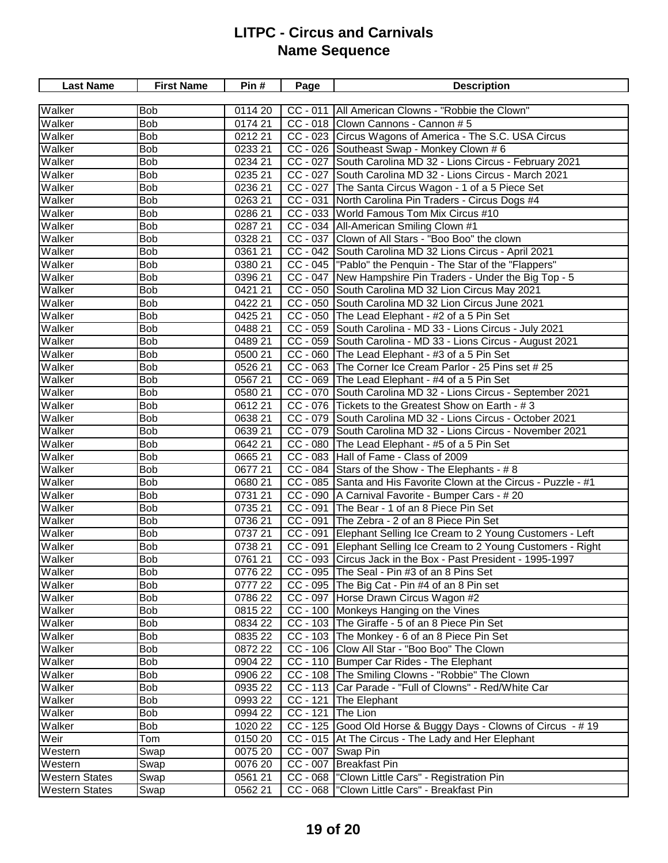| <b>Last Name</b>      | <b>First Name</b> | Pin#    | Page                  | <b>Description</b>                                                |
|-----------------------|-------------------|---------|-----------------------|-------------------------------------------------------------------|
|                       |                   |         |                       |                                                                   |
| Walker                | <b>Bob</b>        | 0114 20 | $CC - 011$            | All American Clowns - "Robbie the Clown"                          |
| Walker                | <b>Bob</b>        | 0174 21 |                       | CC - 018 Clown Cannons - Cannon # 5                               |
| Walker                | <b>Bob</b>        | 0212 21 |                       | CC - 023 Circus Wagons of America - The S.C. USA Circus           |
| Walker                | <b>Bob</b>        | 0233 21 |                       | CC - 026 Southeast Swap - Monkey Clown # 6                        |
| Walker                | <b>Bob</b>        | 0234 21 |                       | CC - 027 South Carolina MD 32 - Lions Circus - February 2021      |
| Walker                | Bob               | 0235 21 |                       | CC - 027 South Carolina MD 32 - Lions Circus - March 2021         |
| Walker                | Bob               | 0236 21 |                       | CC - 027 The Santa Circus Wagon - 1 of a 5 Piece Set              |
| Walker                | <b>Bob</b>        | 0263 21 | $\overline{CC}$ - 031 | North Carolina Pin Traders - Circus Dogs #4                       |
| Walker                | <b>Bob</b>        | 0286 21 |                       | CC - 033 World Famous Tom Mix Circus #10                          |
| Walker                | <b>Bob</b>        | 0287 21 |                       | CC - 034 All-American Smiling Clown #1                            |
| Walker                | <b>Bob</b>        | 0328 21 |                       | CC - 037 Clown of All Stars - "Boo Boo" the clown                 |
| Walker                | <b>Bob</b>        | 0361 21 |                       | CC - 042 South Carolina MD 32 Lions Circus - April 2021           |
| Walker                | <b>Bob</b>        | 0380 21 |                       | CC - 045  "Pablo" the Penquin - The Star of the "Flappers"        |
| Walker                | <b>Bob</b>        | 0396 21 |                       | CC - 047   New Hampshire Pin Traders - Under the Big Top - 5      |
| Walker                | <b>Bob</b>        | 0421 21 |                       | CC - 050 South Carolina MD 32 Lion Circus May 2021                |
| Walker                | <b>Bob</b>        | 0422 21 |                       | CC - 050 South Carolina MD 32 Lion Circus June 2021               |
| Walker                | Bob               | 0425 21 |                       | CC - 050 The Lead Elephant - #2 of a 5 Pin Set                    |
| Walker                | Bob               | 0488 21 |                       | CC - 059 South Carolina - MD 33 - Lions Circus - July 2021        |
| Walker                | Bob               | 0489 21 |                       | CC - 059 South Carolina - MD 33 - Lions Circus - August 2021      |
| Walker                | <b>Bob</b>        | 0500 21 |                       | CC - 060 The Lead Elephant - #3 of a 5 Pin Set                    |
| Walker                | <b>Bob</b>        | 0526 21 |                       | CC - 063 The Corner Ice Cream Parlor - 25 Pins set # 25           |
| Walker                | <b>Bob</b>        | 056721  |                       | CC - 069 The Lead Elephant - #4 of a 5 Pin Set                    |
| Walker                | <b>Bob</b>        | 0580 21 |                       | CC - 070 South Carolina MD 32 - Lions Circus - September 2021     |
| Walker                | <b>Bob</b>        | 061221  |                       | CC - 076 Tickets to the Greatest Show on Earth - #3               |
| Walker                | <b>Bob</b>        | 0638 21 |                       | CC - 079 South Carolina MD 32 - Lions Circus - October 2021       |
| Walker                | <b>Bob</b>        | 0639 21 |                       | CC - 079 South Carolina MD 32 - Lions Circus - November 2021      |
| Walker                | Bob               | 0642 21 |                       | CC - 080 The Lead Elephant - #5 of a 5 Pin Set                    |
| Walker                | <b>Bob</b>        | 0665 21 |                       | CC - 083 Hall of Fame - Class of 2009                             |
| Walker                | <b>Bob</b>        | 0677 21 |                       | CC - 084 Stars of the Show - The Elephants - #8                   |
| Walker                | <b>Bob</b>        | 0680 21 |                       | CC - 085 Santa and His Favorite Clown at the Circus - Puzzle - #1 |
| Walker                | <b>Bob</b>        | 0731 21 |                       | CC - 090   A Carnival Favorite - Bumper Cars - # 20               |
| Walker                | Bob               | 0735 21 | CC - 091              | The Bear - 1 of an 8 Piece Pin Set                                |
| Walker                | <b>Bob</b>        | 0736 21 | $\overline{CC}$ - 091 | The Zebra - 2 of an 8 Piece Pin Set                               |
| Walker                | <b>Bob</b>        | 0737 21 | $CC - 091$            | Elephant Selling Ice Cream to 2 Young Customers - Left            |
| Walker                | <b>Bob</b>        | 0738 21 | $CC - 091$            | Elephant Selling Ice Cream to 2 Young Customers - Right           |
| Walker                | <b>Bob</b>        | 0761 21 |                       | CC - 093 Circus Jack in the Box - Past President - 1995-1997      |
| Walker                | <b>Bob</b>        | 0776 22 |                       | CC - 095 The Seal - Pin #3 of an 8 Pins Set                       |
| Walker                | <b>Bob</b>        | 0777 22 |                       | CC - 095 The Big Cat - Pin #4 of an 8 Pin set                     |
| Walker                | Bob               | 0786 22 |                       | CC - 097 Horse Drawn Circus Wagon #2                              |
| Walker                | Bob               | 0815 22 |                       | CC - 100 Monkeys Hanging on the Vines                             |
| Walker                | Bob               | 0834 22 |                       | CC - 103 The Giraffe - 5 of an 8 Piece Pin Set                    |
| Walker                | <b>Bob</b>        | 0835 22 |                       | CC - 103 The Monkey - 6 of an 8 Piece Pin Set                     |
| Walker                | <b>Bob</b>        | 0872 22 |                       | CC - 106 Clow All Star - "Boo Boo" The Clown                      |
| Walker                | <b>Bob</b>        | 0904 22 |                       | CC - 110 Bumper Car Rides - The Elephant                          |
| Walker                | Bob               | 0906 22 |                       | CC - 108 The Smiling Clowns - "Robbie" The Clown                  |
| Walker                | Bob               | 0935 22 |                       | CC - 113 Car Parade - "Full of Clowns" - Red/White Car            |
| Walker                | Bob               | 0993 22 | $CC - 121$            | The Elephant                                                      |
| Walker                | Bob               | 0994 22 | $CC - 121$            | The Lion                                                          |
| Walker                | Bob               | 1020 22 |                       | CC - 125 Good Old Horse & Buggy Days - Clowns of Circus - #19     |
| Weir                  | Tom               | 0150 20 |                       | CC - 015 At The Circus - The Lady and Her Elephant                |
| Western               | Swap              | 0075 20 |                       | CC - 007 Swap Pin                                                 |
| Western               | Swap              | 0076 20 | $CC - 007$            | <b>Breakfast Pin</b>                                              |
| <b>Western States</b> | Swap              | 056121  |                       | CC - 068  "Clown Little Cars" - Registration Pin                  |
| <b>Western States</b> | Swap              | 0562 21 |                       | CC - 068   "Clown Little Cars" - Breakfast Pin                    |